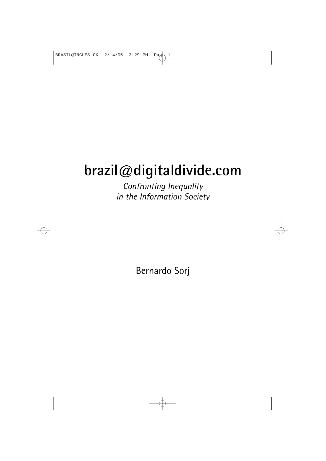# **brazil@digitaldivide.com**

*Confronting Inequality in the Information Society*

Bernardo Sorj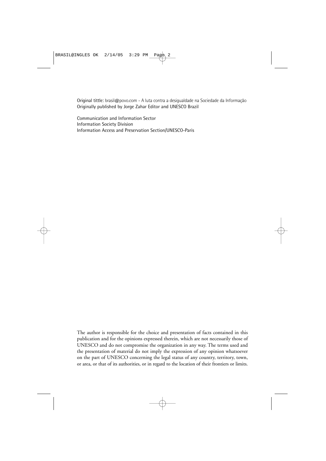Original tittle: brasil@povo.com - A luta contra a desigualdade na Sociedade da Informação Originally published by Jorge Zahar Editor and UNESCO Brazil

Communication and Information Sector Information Society Division Information Access and Preservation Section/UNESCO-Paris

The author is responsible for the choice and presentation of facts contained in this publication and for the opinions expressed therein, which are not necessarily those of UNESCO and do not compromise the organization in any way. The terms used and the presentation of material do not imply the expression of any opinion whatsoever on the part of UNESCO concerning the legal status of any country, territory, town, or area, or that of its authorities, or in regard to the location of their frontiers or limits.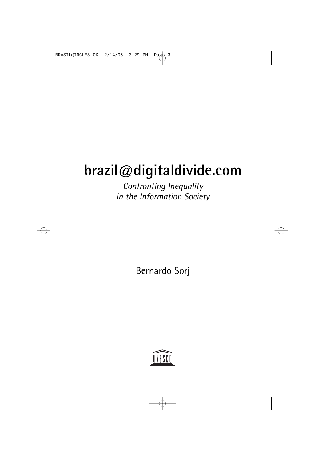# **brazil@digitaldivide.com**

*Confronting Inequality in the Information Society*

Bernardo Sorj

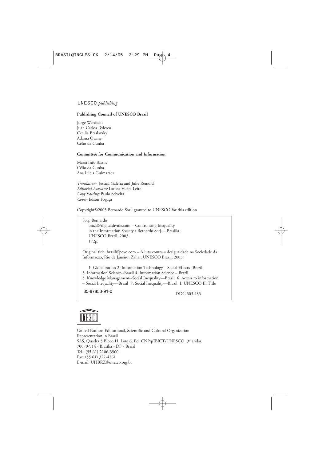#### UNESCO *publishing*

#### **Publishing Council of UNESCO Brazil**

Jorge Werthein Juan Carlos Tedesco Cecilia Braslavsky Adama Ouane Célio da Cunha

#### **Committee for Communication and Information**

Maria Inês Bastos Célio da Cunha Ana Lúcia Guimarães

*Translation:* Jessica Galeria and Julie Remold *Editorial Assistant:* Larissa Vieira Leite *Copy Editing:* Paulo Selveira *Cover:* Edson Fogaça

Copyright©2003 Bernardo Sorj, granted to UNESCO for this edition

Sorj, Bernardo brazil@digitaldivide.com – Confronting Inequality in the Information Society / Bernardo Sorj. – Brasilia : UNESCO Brazil, 2003. 172p.

Original title: brasil@povo.com – A luta contra a desigualdade na Sociedade da Informação, Rio de Janeiro, Zahar, UNESCO Brazil, 2003.

1. Globalization 2. Information Technology—Social Effects--Brazil

3. Information Science--Brazil 4. Information Science – Brazil

5. Knowledge Management--Social Inequality—Brazil 6. Access to information

– Social Inequality—Brazil 7. Social Inequality—Brazil I. UNESCO II. Title

85-87853-91-0

DDC 303.483



United Nations Educational, Scientific and Cultural Organization Representation in Brazil SAS, Quadra 5 Bloco H, Lote 6, Ed. CNPq/IBICT/UNESCO, 9º andar. 70070-914 - Brasília - DF - Brasil Tel.: (55 61) 2106-3500 Fax: (55 61) 322-4261 E-mail: UHBRZ@unesco.org.br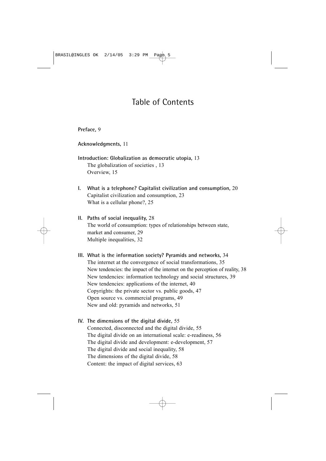# Table of Contents

### **[Preface,](#page-8-0)** 9

**Acknowledgments,** 11

### **Introduction: Globalization as democratic utopia,** 13 The globalization of societies , 13

Overview, 15

- **I. What is a telephone? Capitalist civilization and consumption,** 20 Capitalist civilization and consumption, 23 What is a cellular phone?, 25
- **II. Paths of social inequality,** 28 The world of consumption: types of relationships between state, market and consumer, 29 Multiple inequalities, 32
- **III. What is the information society? Pyramids and networks,** 34 The internet at the convergence of social transformations, 35 New tendencies: the impact of the internet on the perception of reality, 38 New tendencies: information technology and social structures, 39 New tendencies: applications of the internet, 40 Copyrights: the private sector vs. public goods, 47 Open source vs. commercial programs, 49 New and old: pyramids and networks, 51

### **IV. The dimensions of the digital divide,** 55 Connected, disconnected and the digital divide, 55 The digital divide on an international scale: e-readiness, 56 The digital divide and development: e-development, 57 The digital divide and social inequality, 58 The dimensions of the digital divide, 58 Content: the impact of digital services, 63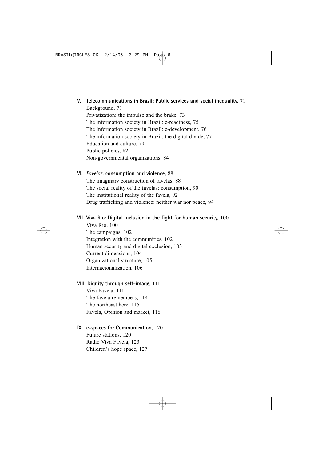- **V. Telecommunications in Brazil: Public services and social inequality,** 71 Background, 71 Privatization: the impulse and the brake, 73 The information society in Brazil: e-readiness, 75 The information society in Brazil: e-development, 76 The information society in Brazil: the digital divide, 77 Education and culture, 79 Public policies, 82 Non-governmental organizations, 84
- **VI.** *Favelas***, consumption and violence,** 88 The imaginary construction of favelas, 88 The social reality of the favelas: consumption, 90 The institutional reality of the favela, 92 Drug trafficking and violence: neither war nor peace, 94
- **VII. Viva Rio: Digital inclusion in the fight for human security,** 100 Viva Rio, 100 The campaigns, 102 Integration with the communities, 102 Human security and digital exclusion, 103 Current dimensions, 104 Organizational structure, 105

Internacionalization, 106

#### **VIII. Dignity through self-image,** 111

Viva Favela, 111 The favela remembers, 114 The northeast here, 115 Favela, Opinion and market, 116

#### **IX. e-spaces for Communication,** 120

Future stations, 120 Radio Viva Favela, 123 Children's hope space, 127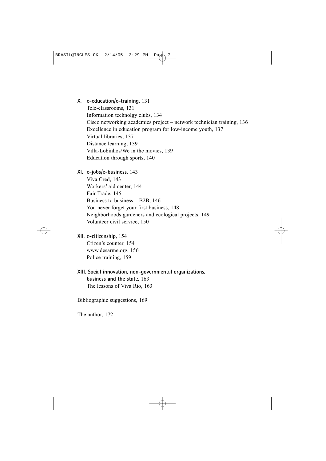#### **X. e-education/e-training,** 131

Tele-classrooms, 131 Information technolgy clubs, 134 Cisco networking academies project – network technician training, 136 Excellence in education program for low-income youth, 137 Virtual libraries, 137 Distance learning, 139 Villa-Lobinhos/We in the movies, 139 Education through sports, 140

**XI. e-jobs/e-business,** 143

Viva Cred, 143 Workers' aid center, 144 Fair Trade, 145 Business to business – B2B, 146 You never forget your first business, 148 Neighborhoods gardeners and ecological projects, 149 Volunteer civil service, 150

**XII. e-citizenship,** 154

Ctizen's counter, 154 www.desarme.org, 156 Police training, 159

**XIII. Social innovation, non-governmental organizations, business and the state,** 163 The lessons of Viva Rio, 163

Bibliographic suggestions, 169

The author, 172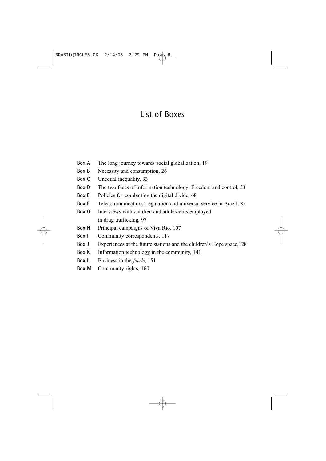# List of Boxes

- **Box A** The long journey towards social globalization, 19
- **Box B** Necessity and consumption, 26
- **Box C** Unequal inequality, 33
- **Box D** The two faces of information technology: Freedom and control, 53
- **Box E** Policies for combatting the digital divide, 68
- **Box F** Telecommunications' regulation and universal service in Brazil, 85
- **Box G** Interviews with children and adolescents employed in drug trafficking, 97
- **Box H** Principal campaigns of Viva Rio, 107
- **Box I** Community correspondents, 117
- **Box J** Experiences at the future stations and the children's Hope space,128
- **Box K** Information technology in the community, 141
- **Box L** Business in the *favela*, 151
- **Box M** Community rights, 160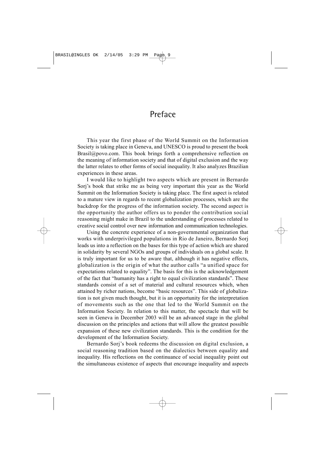## Preface

<span id="page-8-0"></span>This year the first phase of the World Summit on the Information Society is taking place in Geneva, and UNESCO is proud to present the book Brasil@povo.com. This book brings forth a comprehensive reflection on the meaning of information society and that of digital exclusion and the way the latter relates to other forms of social inequality. It also analyzes Brazilian experiences in these areas.

I would like to highlight two aspects which are present in Bernardo Sorj's book that strike me as being very important this year as the World Summit on the Information Society is taking place. The first aspect is related to a mature view in regards to recent globalization processes, which are the backdrop for the progress of the information society. The second aspect is the opportunity the author offers us to ponder the contribution social reasoning might make in Brazil to the understanding of processes related to creative social control over new information and communication technologies.

Using the concrete experience of a non-governmental organization that works with underprivileged populations in Rio de Janeiro, Bernardo Sorj leads us into a reflection on the bases for this type of action which are shared in solidarity by several NGOs and groups of individuals on a global scale. It is truly important for us to be aware that, although it has negative effects, globalization is the origin of what the author calls "a unified space for expectations related to equality". The basis for this is the acknowledgement of the fact that "humanity has a right to equal civilization standards". These standards consist of a set of material and cultural resources which, when attained by richer nations, become "basic resources". This side of globalization is not given much thought, but it is an opportunity for the interpretation of movements such as the one that led to the World Summit on the Information Society. In relation to this matter, the spectacle that will be seen in Geneva in December 2003 will be an advanced stage in the global discussion on the principles and actions that will allow the greatest possible expansion of these new civilization standards. This is the condition for the development of the Information Society.

Bernardo Sorj's book redeems the discussion on digital exclusion, a social reasoning tradition based on the dialectics between equality and inequality. His reflections on the continuance of social inequality point out the simultaneous existence of aspects that encourage inequality and aspects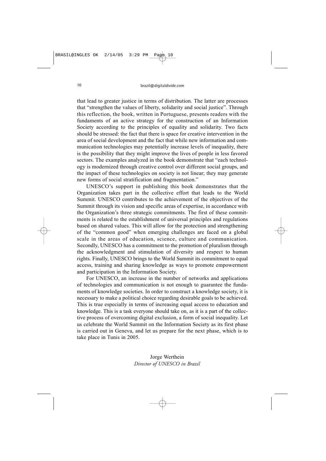that lead to greater justice in terms of distribution. The latter are processes that "strengthen the values of liberty, solidarity and social justice". Through this reflection, the book, written in Portuguese, presents readers with the fundaments of an active strategy for the construction of an Information Society according to the principles of equality and solidarity. Two facts should be stressed: the fact that there is space for creative intervention in the area of social development and the fact that while new information and communication technologies may potentially increase levels of inequality, there is the possibility that they might improve the lives of people in less favored sectors. The examples analyzed in the book demonstrate that "each technology is modernized through creative control over different social groups, and the impact of these technologies on society is not linear; they may generate new forms of social stratification and fragmentation."

UNESCO's support in publishing this book demonstrates that the Organization takes part in the collective effort that leads to the World Summit. UNESCO contributes to the achievement of the objectives of the Summit through its vision and specific areas of expertise, in accordance with the Organization's three strategic commitments. The first of these commitments is related to the establishment of universal principles and regulations based on shared values. This will allow for the protection and strengthening of the "common good" when emerging challenges are faced on a global scale in the areas of education, science, culture and communication. Secondly, UNESCO has a commitment to the promotion of pluralism through the acknowledgment and stimulation of diversity and respect to human rights. Finally, UNESCO brings to the World Summit its commitment to equal access, training and sharing knowledge as ways to promote empowerment and participation in the Information Society.

For UNESCO, an increase in the number of networks and applications of technologies and communication is not enough to guarantee the fundaments of knowledge societies. In order to construct a knowledge society, it is necessary to make a political choice regarding desirable goals to be achieved. This is true especially in terms of increasing equal access to education and knowledge. This is a task everyone should take on, as it is a part of the collective process of overcoming digital exclusion, a form of social inequality. Let us celebrate the World Summit on the Information Society as its first phase is carried out in Geneva, and let us prepare for the next phase, which is to take place in Tunis in 2005.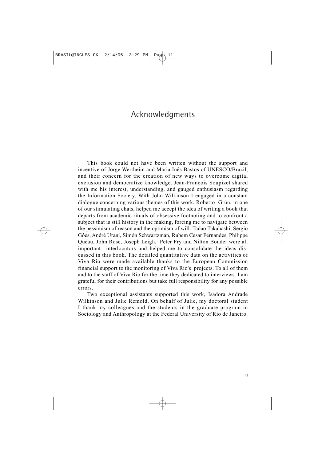# Acknowledgments

This book could not have been written without the support and incentive of Jorge Wertheim and Maria Inês Bastos of UNESCO/Brazil, and their concern for the creation of new ways to overcome digital exclusion and democratize knowledge. Jean-François Soupizet shared with me his interest, understanding, and gauged enthusiasm regarding the Information Society. With John Wilkinson I engaged in a constant dialogue concerning various themes of this work. Roberto Grün, in one of our stimulating chats, helped me accept the idea of writing a book that departs from academic rituals of obsessive footnoting and to confront a subject that is still history in the making, forcing me to navigate between the pessimism of reason and the optimism of will. Tadao Takahashi, Sergio Góes, André Urani, Simón Schwartzman, Rubem Cesar Fernandes, Philippe Quéau, John Rose, Joseph Leigh, Peter Fry and Nilton Bonder were all important interlocutors and helped me to consolidate the ideas discussed in this book. The detailed quantitative data on the activities of Viva Rio were made available thanks to the European Commission financial support to the monitoring of Viva Rio's projects. To all of them and to the staff of Viva Rio for the time they dedicated to interviews. I am grateful for their contributions but take full responsibility for any possible errors.

Two exceptional assistants supported this work, Isadora Andrade Wilkinson and Julie Remold. On behalf of Julie, my doctoral student I thank my colleagues and the students in the graduate program in Sociology and Anthropology at the Federal University of Rio de Janeiro.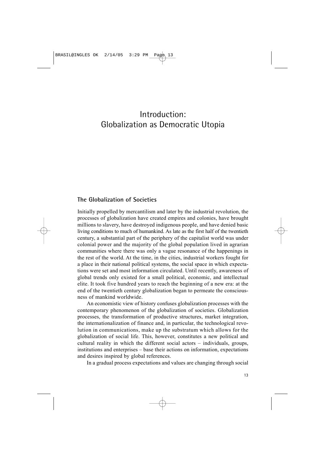# Introduction: Globalization as Democratic Utopia

### **The Globalization of Societies**

Initially propelled by mercantilism and later by the industrial revolution, the processes of globalization have created empires and colonies, have brought millions to slavery, have destroyed indigenous people, and have denied basic living conditions to much of humankind. As late as the first half of the twentieth century, a substantial part of the periphery of the capitalist world was under colonial power and the majority of the global population lived in agrarian communities where there was only a vague resonance of the happenings in the rest of the world. At the time, in the cities, industrial workers fought for a place in their national political systems, the social space in which expectations were set and most information circulated. Until recently, awareness of global trends only existed for a small political, economic, and intellectual elite. It took five hundred years to reach the beginning of a new era: at the end of the twentieth century globalization began to permeate the consciousness of mankind worldwide.

An economistic view of history confuses globalization processes with the contemporary phenomenon of the globalization of societies. Globalization processes, the transformation of productive structures, market integration, the internationalization of finance and, in particular, the technological revolution in communications, make up the substratum which allows for the globalization of social life. This, however, constitutes a new political and cultural reality in which the different social actors – individuals, groups, institutions and enterprises – base their actions on information, expectations and desires inspired by global references.

In a gradual process expectations and values are changing through social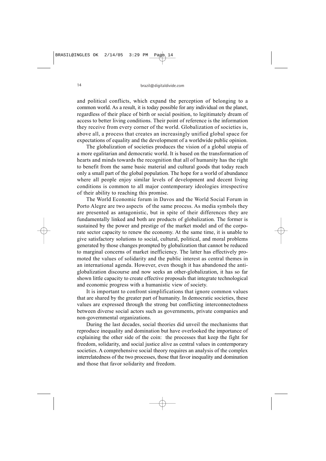and political conflicts, which expand the perception of belonging to a common world. As a result, it is today possible for any individual on the planet, regardless of their place of birth or social position, to legitimately dream of access to better living conditions. Their point of reference is the information they receive from every corner of the world. Globalization of societies is, above all, a process that creates an increasingly unified global space for expectations of equality and the development of a worldwide public opinion.

The globalization of societies produces the vision of a global utopia of a more egalitarian and democratic world. It is based on the transformation of hearts and minds towards the recognition that all of humanity has the right to benefit from the same basic material and cultural goods that today reach only a small part of the global population. The hope for a world of abundance where all people enjoy similar levels of development and decent living conditions is common to all major contemporary ideologies irrespective of their ability to reaching this promise.

The World Economic forum in Davos and the World Social Forum in Porto Alegre are two aspects of the same process. As media symbols they are presented as antagonistic, but in spite of their differences they are fundamentally linked and both are products of globalization. The former is sustained by the power and prestige of the market model and of the corporate sector capacity to renew the economy. At the same time, it is unable to give satisfactory solutions to social, cultural, political, and moral problems generated by those changes prompted by globalization that cannot be reduced to marginal concerns of market inefficiency. The latter has effectively promoted the values of solidarity and the public interest as central themes in an international agenda. However, even though it has abandoned the antiglobalization discourse and now seeks an other-globalization, it has so far shown little capacity to create effective proposals that integrate technological and economic progress with a humanistic view of society.

It is important to confront simplifications that ignore common values that are shared by the greater part of humanity. In democratic societies, these values are expressed through the strong but conflicting interconnectedness between diverse social actors such as governments, private companies and non-governmental organizations.

During the last decades, social theories did unveil the mechanisms that reproduce inequality and domination but have overlooked the importance of explaining the other side of the coin: the processes that keep the fight for freedom, solidarity, and social justice alive as central values in contemporary societies. A comprehensive social theory requires an analysis of the complex interrelatedness of the two processes, those that favor inequality and domination and those that favor solidarity and freedom.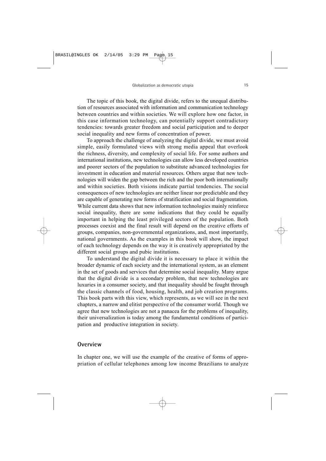The topic of this book, the digital divide, refers to the unequal distribution of resources associated with information and communication technology between countries and within societies. We will explore how one factor, in this case information technology, can potentially support contradictory tendencies: towards greater freedom and social participation and to deeper social inequality and new forms of concentration of power.

To approach the challenge of analyzing the digital divide, we must avoid simple, easily formulated views with strong media appeal that overlook the richness, diversity, and complexity of social life. For some authors and international institutions, new technologies can allow less developed countries and poorer sectors of the population to substitute advanced technologies for investment in education and material resources. Others argue that new technologies will widen the gap between the rich and the poor both internationally and within societies. Both visions indicate partial tendencies. The social consequences of new technologies are neither linear nor predictable and they are capable of generating new forms of stratification and social fragmentation. While current data shows that new information technologies mainly reinforce social inequality, there are some indications that they could be equally important in helping the least privileged sectors of the population. Both processes coexist and the final result will depend on the creative efforts of groups, companies, non-governmental organizations, and, most importantly, national governments. As the examples in this book will show, the impact of each technology depends on the way it is creatively appropriated by the different social groups and pubic institutions.

To understand the digital divide it is necessary to place it within the broader dynamic of each society and the international system, as an element in the set of goods and services that determine social inequality. Many argue that the digital divide is a secondary problem, that new technologies are luxuries in a consumer society, and that inequality should be fought through the classic channels of food, housing, health, and job creation programs. This book parts with this view, which represents, as we will see in the next chapters, a narrow and elitist perspective of the consumer world. Though we agree that new technologies are not a panacea for the problems of inequality, their universalization is today among the fundamental conditions of participation and productive integration in society.

### **Overview**

In chapter one, we will use the example of the creative of forms of appropriation of cellular telephones among low income Brazilians to analyze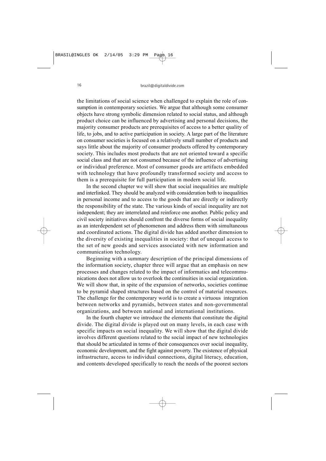the limitations of social science when challenged to explain the role of consumption in contemporary societies. We argue that although some consumer objects have strong symbolic dimension related to social status, and although product choice can be influenced by advertising and personal decisions, the majority consumer products are prerequisites of access to a better quality of life, to jobs, and to active participation in society. A large part of the literature on consumer societies is focused on a relatively small number of products and says little about the majority of consumer products offered by contemporary society. This includes most products that are not oriented toward a specific social class and that are not consumed because of the influence of advertising or individual preference. Most of consumer goods are artifacts embedded with technology that have profoundly transformed society and access to them is a prerequisite for full participation in modern social life.

In the second chapter we will show that social inequalities are multiple and interlinked. They should be analyzed with consideration both to inequalities in personal income and to access to the goods that are directly or indirectly the responsibility of the state. The various kinds of social inequality are not independent; they are interrelated and reinforce one another. Public policy and civil society initiatives should confront the diverse forms of social inequality as an interdependent set of phenomenon and address them with simultaneous and coordinated actions. The digital divide has added another dimension to the diversity of existing inequalities in society: that of unequal access to the set of new goods and services associated with new information and communication technology.

Beginning with a summary description of the principal dimensions of the information society, chapter three will argue that an emphasis on new processes and changes related to the impact of informatics and telecommunications does not allow us to overlook the continuities in social organization. We will show that, in spite of the expansion of networks, societies continue to be pyramid shaped structures based on the control of material resources. The challenge for the contemporary world is to create a virtuous integration between networks and pyramids, between states and non-governmental organizations, and between national and international institutions.

In the fourth chapter we introduce the elements that constitute the digital divide. The digital divide is played out on many levels, in each case with specific impacts on social inequality. We will show that the digital divide involves different questions related to the social impact of new technologies that should be articulated in terms of their consequences over social inequality, economic development, and the fight against poverty. The existence of physical infrastructure, access to individual connections, digital literacy, education, and contents developed specifically to reach the needs of the poorest sectors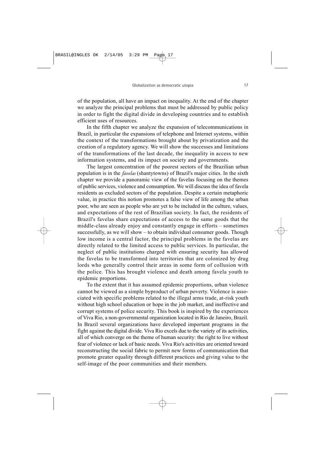of the population, all have an impact on inequality. At the end of the chapter we analyze the principal problems that must be addressed by public policy in order to fight the digital divide in developing countries and to establish efficient uses of resources.

In the fifth chapter we analyze the expansion of telecommunications in Brazil, in particular the expansions of telephone and Internet systems, within the context of the transformations brought about by privatization and the creation of a regulatory agency. We will show the successes and limitations of the transformations of the last decade, the inequality in access to new information systems, and its impact on society and governments.

The largest concentration of the poorest sectors of the Brazilian urban population is in the *favelas* (shantytowns) of Brazil's major cities. In the sixth chapter we provide a panoramic view of the favelas focusing on the themes of public services, violence and consumption. We will discuss the idea of favela residents as excluded sectors of the population. Despite a certain metaphoric value, in practice this notion promotes a false view of life among the urban poor, who are seen as people who are yet to be included in the culture, values, and expectations of the rest of Brazilian society. In fact, the residents of Brazil's favelas share expectations of access to the same goods that the middle-class already enjoy and constantly engage in efforts – sometimes successfully, as we will show – to obtain individual consumer goods. Though low income is a central factor, the principal problems in the favelas are directly related to the limited access to public services. In particular, the neglect of public institutions charged with ensuring security has allowed the favelas to be transformed into territories that are colonized by drug lords who generally control their areas in some form of collusion with the police. This has brought violence and death among favela youth to epidemic proportions.

To the extent that it has assumed epidemic proportions, urban violence cannot be viewed as a simple byproduct of urban poverty. Violence is associated with specific problems related to the illegal arms trade, at-risk youth without high school education or hope in the job market, and ineffective and corrupt systems of police security. This book is inspired by the experiences of Viva Rio, a non-governmental organization located in Rio de Janeiro, Brazil. In Brazil several organizations have developed important programs in the fight against the digital divide. Viva Rio excels due to the variety of its activities, all of which converge on the theme of human security: the right to live without fear of violence or lack of basic needs. Viva Rio's activities are oriented toward reconstructing the social fabric to permit new forms of communication that promote greater equality through different practices and giving value to the self-image of the poor communities and their members.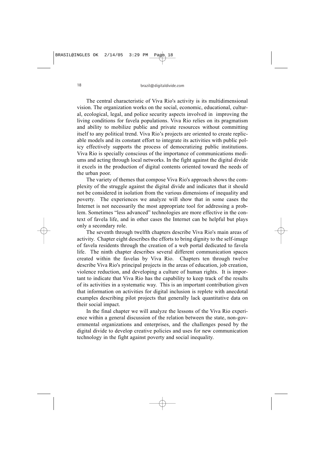The central characteristic of Viva Rio's activity is its multidimensional vision. The organization works on the social, economic, educational, cultural, ecological, legal, and police security aspects involved in improving the living conditions for favela populations. Viva Rio relies on its pragmatism and ability to mobilize public and private resources without committing itself to any political trend. Viva Rio's projects are oriented to create replicable models and its constant effort to integrate its activities with public policy effectively supports the process of democratizing public institutions. Viva Rio is specially conscious of the importance of communications mediums and acting through local networks. In the fight against the digital divide it excels in the production of digital contents oriented toward the needs of the urban poor.

The variety of themes that compose Viva Rio's approach shows the complexity of the struggle against the digital divide and indicates that it should not be considered in isolation from the various dimensions of inequality and poverty. The experiences we analyze will show that in some cases the Internet is not necessarily the most appropriate tool for addressing a problem. Sometimes "less advanced" technologies are more effective in the context of favela life, and in other cases the Internet can be helpful but plays only a secondary role.

The seventh through twelfth chapters describe Viva Rio's main areas of activity. Chapter eight describes the efforts to bring dignity to the self-image of favela residents through the creation of a web portal dedicated to favela life. The ninth chapter describes several different communication spaces created within the favelas by Viva Rio. Chapters ten through twelve describe Viva Rio's principal projects in the areas of education, job creation, violence reduction, and developing a culture of human rights. It is important to indicate that Viva Rio has the capability to keep track of the results of its activities in a systematic way. This is an important contribution given that information on activities for digital inclusion is replete with anecdotal examples describing pilot projects that generally lack quantitative data on their social impact.

In the final chapter we will analyze the lessons of the Viva Rio experience within a general discussion of the relation between the state, non-governmental organizations and enterprises, and the challenges posed by the digital divide to develop creative policies and uses for new communication technology in the fight against poverty and social inequality.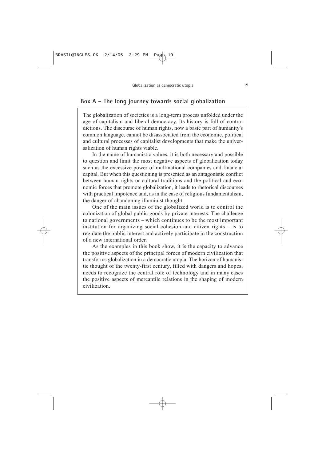### **Box A – The long journey towards social globalization**

The globalization of societies is a long-term process unfolded under the age of capitalism and liberal democracy. Its history is full of contradictions. The discourse of human rights, now a basic part of humanity's common language, cannot be disassociated from the economic, political and cultural processes of capitalist developments that make the universalization of human rights viable.

In the name of humanistic values, it is both necessary and possible to question and limit the most negative aspects of globalization today such as the excessive power of multinational companies and financial capital. But when this questioning is presented as an antagonistic conflict between human rights or cultural traditions and the political and economic forces that promote globalization, it leads to rhetorical discourses with practical impotence and, as in the case of religious fundamentalism, the danger of abandoning illuminist thought.

One of the main issues of the globalized world is to control the colonization of global public goods by private interests. The challenge to national governments – which continues to be the most important institution for organizing social cohesion and citizen rights – is to regulate the public interest and actively participate in the construction of a new international order.

As the examples in this book show, it is the capacity to advance the positive aspects of the principal forces of modern civilization that transforms globalization in a democratic utopia. The horizon of humanistic thought of the twenty-first century, filled with dangers and hopes, needs to recognize the central role of technology and in many cases the positive aspects of mercantile relations in the shaping of modern civilization.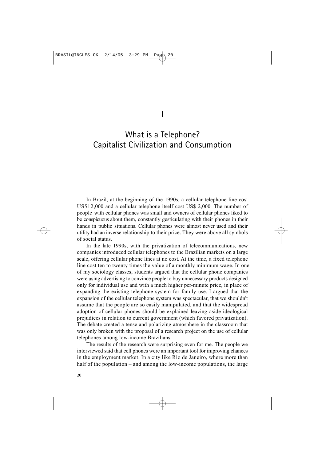# What is a Telephone? Capitalist Civilization and Consumption

In Brazil, at the beginning of the 1990s, a cellular telephone line cost US\$12,000 and a cellular telephone itself cost US\$ 2,000. The number of people with cellular phones was small and owners of cellular phones liked to be conspicuous about them, constantly gesticulating with their phones in their hands in public situations. Cellular phones were almost never used and their utility had an inverse relationship to their price. They were above all symbols of social status.

In the late 1990s, with the privatization of telecommunications, new companies introduced cellular telephones to the Brazilian markets on a large scale, offering cellular phone lines at no cost. At the time, a fixed telephone line cost ten to twenty times the value of a monthly minimum wage. In one of my sociology classes, students argued that the cellular phone companies were using advertising to convince people to buy unnecessary products designed only for individual use and with a much higher per-minute price, in place of expanding the existing telephone system for family use. I argued that the expansion of the cellular telephone system was spectacular, that we shouldn't assume that the people are so easily manipulated, and that the widespread adoption of cellular phones should be explained leaving aside ideological prejudices in relation to current government (which favored privatization). The debate created a tense and polarizing atmosphere in the classroom that was only broken with the proposal of a research project on the use of cellular telephones among low-income Brazilians.

The results of the research were surprising even for me. The people we interviewed said that cell phones were an important tool for improving chances in the employment market. In a city like Rio de Janeiro, where more than half of the population – and among the low-income populations, the large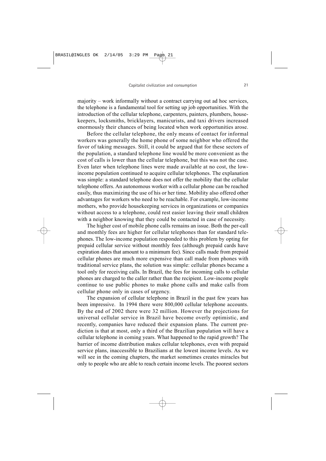majority – work informally without a contract carrying out ad hoc services, the telephone is a fundamental tool for setting up job opportunities. With the introduction of the cellular telephone, carpenters, painters, plumbers, housekeepers, locksmiths, bricklayers, manicurists, and taxi drivers increased enormously their chances of being located when work opportunities arose.

Before the cellular telephone, the only means of contact for informal workers was generally the home phone of some neighbor who offered the favor of taking messages. Still, it could be argued that for these sectors of the population, a standard telephone line would be more convenient as the cost of calls is lower than the cellular telephone, but this was not the case. Even later when telephone lines were made available at no cost, the lowincome population continued to acquire cellular telephones. The explanation was simple: a standard telephone does not offer the mobility that the cellular telephone offers. An autonomous worker with a cellular phone can be reached easily, thus maximizing the use of his or her time. Mobility also offered other advantages for workers who need to be reachable. For example, low-income mothers, who provide housekeeping services in organizations or companies without access to a telephone, could rest easier leaving their small children with a neighbor knowing that they could be contacted in case of necessity.

The higher cost of mobile phone calls remains an issue. Both the per-call and monthly fees are higher for cellular telephones than for standard telephones. The low-income population responded to this problem by opting for prepaid cellular service without monthly fees (although prepaid cards have expiration dates that amount to a minimum fee). Since calls made from prepaid cellular phones are much more expensive than call made from phones with traditional service plans, the solution was simple: cellular phones became a tool only for receiving calls. In Brazil, the fees for incoming calls to cellular phones are charged to the caller rather than the recipient. Low-income people continue to use public phones to make phone calls and make calls from cellular phone only in cases of urgency.

The expansion of cellular telephone in Brazil in the past few years has been impressive. In 1994 there were 800,000 cellular telephone accounts. By the end of 2002 there were 32 million. However the projections for universal cellular service in Brazil have become overly optimistic, and recently, companies have reduced their expansion plans. The current prediction is that at most, only a third of the Brazilian population will have a cellular telephone in coming years. What happened to the rapid growth? The barrier of income distribution makes cellular telephones, even with prepaid service plans, inaccessible to Brazilians at the lowest income levels. As we will see in the coming chapters, the market sometimes creates miracles but only to people who are able to reach certain income levels. The poorest sectors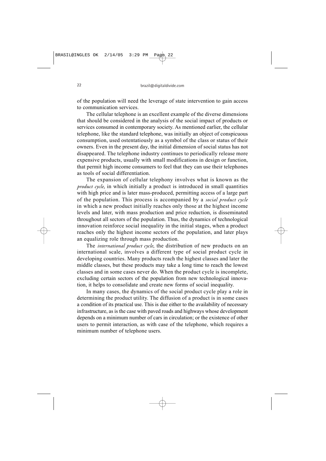of the population will need the leverage of state intervention to gain access to communication services.

The cellular telephone is an excellent example of the diverse dimensions that should be considered in the analysis of the social impact of products or services consumed in contemporary society. As mentioned earlier, the cellular telephone, like the standard telephone, was initially an object of conspicuous consumption, used ostentatiously as a symbol of the class or status of their owners. Even in the present day, the initial dimension of social status has not disappeared. The telephone industry continues to periodically release more expensive products, usually with small modifications in design or function, that permit high income consumers to feel that they can use their telephones as tools of social differentiation.

The expansion of cellular telephony involves what is known as the *product cycle*, in which initially a product is introduced in small quantities with high price and is later mass-produced, permitting access of a large part of the population. This process is accompanied by a *social product cycle* in which a new product initially reaches only those at the highest income levels and later, with mass production and price reduction, is disseminated throughout all sectors of the population. Thus, the dynamics of technological innovation reinforce social inequality in the initial stages, when a product reaches only the highest income sectors of the population, and later plays an equalizing role through mass production.

The *international product cycle*, the distribution of new products on an international scale, involves a different type of social product cycle in developing countries. Many products reach the highest classes and later the middle classes, but these products may take a long time to reach the lowest classes and in some cases never do. When the product cycle is incomplete, excluding certain sectors of the population from new technological innovation, it helps to consolidate and create new forms of social inequality.

In many cases, the dynamics of the social product cycle play a role in determining the product utility. The diffusion of a product is in some cases a condition of its practical use. This is due either to the availability of necessary infrastructure, as is the case with paved roads and highways whose development depends on a minimum number of cars in circulation; or the existence of other users to permit interaction, as with case of the telephone, which requires a minimum number of telephone users.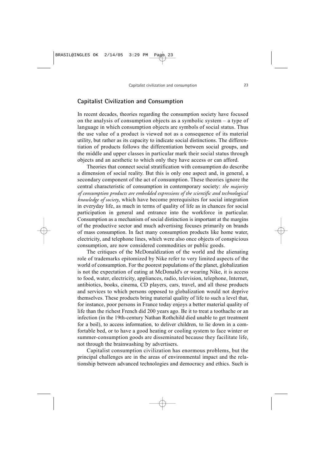### **Capitalist Civilization and Consumption**

In recent decades, theories regarding the consumption society have focused on the analysis of consumption objects as a symbolic system – a type of language in which consumption objects are symbols of social status. Thus the use value of a product is viewed not as a consequence of its material utility, but rather as its capacity to indicate social distinctions. The differentiation of products follows the differentiation between social groups, and the middle and upper classes in particular mark their social status through objects and an aesthetic to which only they have access or can afford.

Theories that connect social stratification with consumption do describe a dimension of social reality. But this is only one aspect and, in general, a secondary component of the act of consumption. These theories ignore the central characteristic of consumption in contemporary society: *the majority of consumption products are embedded expressions of the scientific and technological knowledge of society*, which have become prerequisites for social integration in everyday life, as much in terms of quality of life as in chances for social participation in general and entrance into the workforce in particular. Consumption as a mechanism of social distinction is important at the margins of the productive sector and much advertising focuses primarily on brands of mass consumption. In fact many consumption products like home water, electricity, and telephone lines, which were also once objects of conspicious consumption, are now considered commodities or public goods.

The critiques of the McDonaldization of the world and the alienating role of trademarks epitomized by Nike refer to very limited aspects of the world of consumption. For the poorest populations of the planet, globalization is not the expectation of eating at McDonald's or wearing Nike, it is access to food, water, electricity, appliances, radio, television, telephone, Internet, antibiotics, books, cinema, CD players, cars, travel, and all those products and services to which persons opposed to globalization would not deprive themselves. These products bring material quality of life to such a level that, for instance, poor persons in France today enjoys a better material quality of life than the richest French did 200 years ago. Be it to treat a toothache or an infection (in the 19th-century Nathan Rothchild died unable to get treatment for a boil), to access information, to deliver children, to lie down in a comfortable bed, or to have a good heating or cooling system to face winter or summer-consumption goods are disseminated because they facilitate life, not through the brainwashing by advertisers.

Capitalist consumption civilization has enormous problems, but the principal challenges are in the areas of environmental impact and the relationship between advanced technologies and democracy and ethics. Such is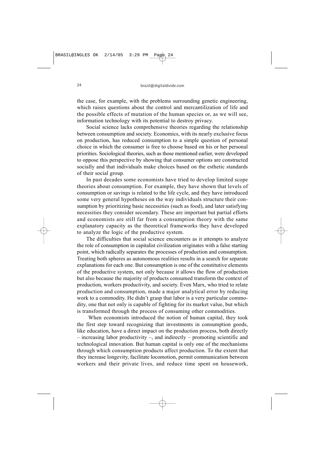the case, for example, with the problems surrounding genetic engineering, which raises questions about the control and mercantilization of life and the possible effects of mutation of the human species or, as we will see, information technology with its potential to destroy privacy.

Social science lacks comprehensive theories regarding the relationship between consumption and society. Economics, with its nearly exclusive focus on production, has reduced consumption to a simple question of personal choice in which the consumer is free to choose based on his or her personal priorities. Sociological theories, such as those mentioned earlier, were developed to oppose this perspective by showing that consumer options are constructed socially and that individuals make choices based on the esthetic standards of their social group.

In past decades some economists have tried to develop limited scope theories about consumption. For example, they have shown that levels of consumption or savings is related to the life cycle, and they have introduced some very general hypotheses on the way individuals structure their consumption by prioritizing basic necessities (such as food), and later satisfying necessities they consider secondary. These are important but partial efforts and economists are still far from a consumption theory with the same explanatory capacity as the theoretical frameworks they have developed to analyze the logic of the productive system.

The difficulties that social science encounters as it attempts to analyze the role of consumption in capitalist civilization originates with a false starting point, which radically separates the processes of production and consumption. Treating both spheres as autonomous realities results in a search for separate explanations for each one. But consumption is one of the constitutive elements of the productive system, not only because it allows the flow of production but also because the majority of products consumed transform the context of production, workers productivity, and society. Even Marx, who tried to relate production and consumption, made a major analytical error by reducing work to a commodity. He didn't grasp that labor is a very particular commodity, one that not only is capable of fighting for its market value, but which is transformed through the process of consuming other commodities.

When economists introduced the notion of human capital, they took the first step toward recognizing that investments in consumption goods, like education, have a direct impact on the production process, both directly – increasing labor productivity –, and indirectly – promoting scientific and technological innovation. But human capital is only one of the mechanisms through which consumption products affect production. To the extent that they increase longevity, facilitate locomotion, permit communication between workers and their private lives, and reduce time spent on housework,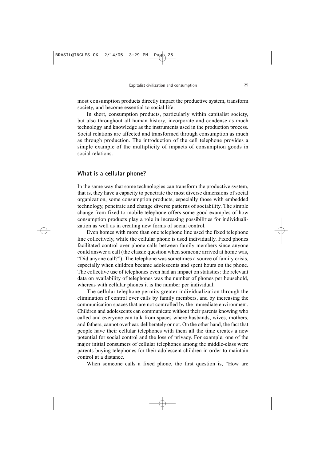most consumption products directly impact the productive system, transform society, and become essential to social life.

In short, consumption products, particularly within capitalist society, but also throughout all human history, incorporate and condense as much technology and knowledge as the instruments used in the production process. Social relations are affected and transformed through consumption as much as through production. The introduction of the cell telephone provides a simple example of the multiplicity of impacts of consumption goods in social relations.

#### **What is a cellular phone?**

In the same way that some technologies can transform the productive system, that is, they have a capacity to penetrate the most diverse dimensions of social organization, some consumption products, especially those with embedded technology, penetrate and change diverse patterns of sociability. The simple change from fixed to mobile telephone offers some good examples of how consumption products play a role in increasing possibilities for individualization as well as in creating new forms of social control.

Even homes with more than one telephone line used the fixed telephone line collectively, while the cellular phone is used individually. Fixed phones facilitated control over phone calls between family members since anyone could answer a call (the classic question when someone arrived at home was, "Did anyone call?"). The telephone was sometimes a source of family crisis, especially when children became adolescents and spent hours on the phone. The collective use of telephones even had an impact on statistics: the relevant data on availability of telephones was the number of phones per household, whereas with cellular phones it is the number per individual.

The cellular telephone permits greater individualization through the elimination of control over calls by family members, and by increasing the communication spaces that are not controlled by the immediate environment. Children and adolescents can communicate without their parents knowing who called and everyone can talk from spaces where husbands, wives, mothers, and fathers, cannot overhear, deliberately or not. On the other hand, the fact that people have their cellular telephones with them all the time creates a new potential for social control and the loss of privacy. For example, one of the major initial consumers of cellular telephones among the middle-class were parents buying telephones for their adolescent children in order to maintain control at a distance.

When someone calls a fixed phone, the first question is, "How are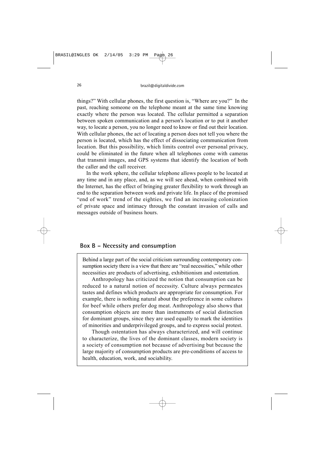things?" With cellular phones, the first question is, "Where are you?" In the past, reaching someone on the telephone meant at the same time knowing exactly where the person was located. The cellular permitted a separation between spoken communication and a person's location or to put it another way, to locate a person, you no longer need to know or find out their location. With cellular phones, the act of locating a person does not tell you where the person is located, which has the effect of dissociating communication from location. But this possibility, which limits control over personal privacy, could be eliminated in the future when all telephones come with cameras that transmit images, and GPS systems that identify the location of both the caller and the call receiver.

In the work sphere, the cellular telephone allows people to be located at any time and in any place, and, as we will see ahead, when combined with the Internet, has the effect of bringing greater flexibility to work through an end to the separation between work and private life. In place of the promised "end of work" trend of the eighties, we find an increasing colonization of private space and intimacy through the constant invasion of calls and messages outside of business hours.

### **Box B – Necessity and consumption**

Behind a large part of the social criticism surrounding contemporary consumption society there is a view that there are "real necessities," while other necessities are products of advertising, exhibitionism and ostentation.

Anthropology has criticized the notion that consumption can be reduced to a natural notion of necessity. Culture always permeates tastes and defines which products are appropriate for consumption. For example, there is nothing natural about the preference in some cultures for beef while others prefer dog meat. Anthropology also shows that consumption objects are more than instruments of social distinction for dominant groups, since they are used equally to mark the identities of minorities and underprivileged groups, and to express social protest.

Though ostentation has always characterized, and will continue to characterize, the lives of the dominant classes, modern society is a society of consumption not because of advertising but because the large majority of consumption products are pre-conditions of access to health, education, work, and sociability.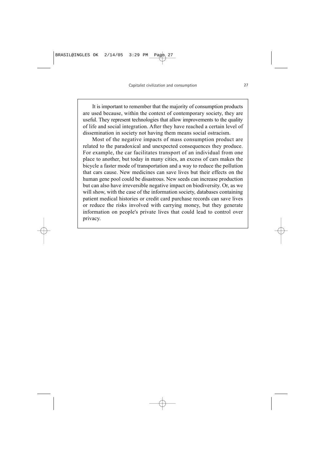It is important to remember that the majority of consumption products are used because, within the context of contemporary society, they are useful. They represent technologies that allow improvements to the quality of life and social integration. After they have reached a certain level of dissemination in society not having them means social ostracism.

Most of the negative impacts of mass consumption product are related to the paradoxical and unexpected consequences they produce. For example, the car facilitates transport of an individual from one place to another, but today in many cities, an excess of cars makes the bicycle a faster mode of transportation and a way to reduce the pollution that cars cause. New medicines can save lives but their effects on the human gene pool could be disastrous. New seeds can increase production but can also have irreversible negative impact on biodiversity. Or, as we will show, with the case of the information society, databases containing patient medical histories or credit card purchase records can save lives or reduce the risks involved with carrying money, but they generate information on people's private lives that could lead to control over privacy.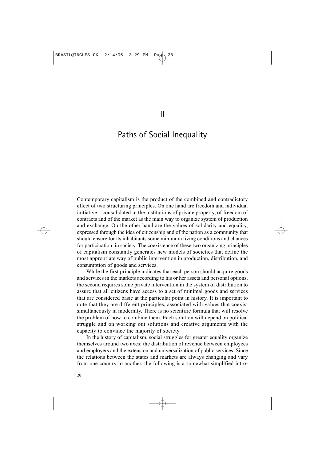## Paths of Social Inequality

Contemporary capitalism is the product of the combined and contradictory effect of two structuring principles. On one hand are freedom and individual initiative – consolidated in the institutions of private property, of freedom of contracts and of the market as the main way to organize system of production and exchange. On the other hand are the values of solidarity and equality, expressed through the idea of citizenship and of the nation as a community that should ensure for its inhabitants some minimum living conditions and chances for participation in society. The coexistence of these two organizing principles of capitalism constantly generates new models of societies that define the most appropriate way of public intervention in production, distribution, and consumption of goods and services.

While the first principle indicates that each person should acquire goods and services in the markets according to his or her assets and personal options, the second requires some private intervention in the system of distribution to assure that all citizens have access to a set of minimal goods and services that are considered basic at the particular point in history. It is important to note that they are different principles, associated with values that coexist simultaneously in modernity. There is no scientific formula that will resolve the problem of how to combine them. Each solution will depend on political struggle and on working out solutions and creative arguments with the capacity to convince the majority of society.

In the history of capitalism, social struggles for greater equality organize themselves around two axes: the distribution of revenue between employees and employers and the extension and universalization of public services. Since the relations between the states and markets are always changing and vary from one country to another, the following is a somewhat simplified intro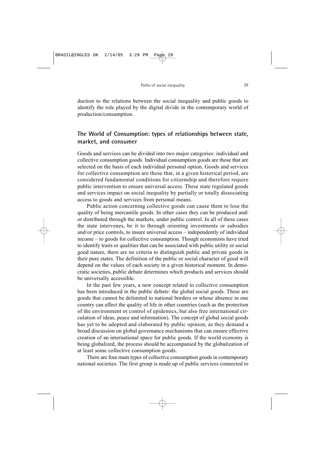duction to the relations between the social inequality and public goods to identify the role played by the digital divide in the contemporary world of production/consumption.

### **The World of Consumption: types of relationships between state, market, and consumer**

Goods and services can be divided into two major categories: individual and collective consumption goods. Individual consumption goods are those that are selected on the basis of each individual personal option. Goods and services for collective consumption are those that, in a given historical period, are considered fundamental conditions for citizenship and therefore require public intervention to ensure universal access. These state regulated goods and services impact on social inequality by partially or totally dissociating access to goods and services from personal means.

Public action concerning collective goods can cause them to lose the quality of being mercantile goods. In other cases they can be produced and/ or distributed through the markets, under public control. In all of these cases the state intervenes, be it to through orienting investments or subsidies and/or price controls, to insure universal access – independently of individual income – to goods for collective consumption. Though economists have tried to identify traits or qualities that can be associated with public utility or social good nature, there are no criteria to distinguish public and private goods in their pure states. The definition of the public or social character of good will depend on the values of each society in a given historical moment. In democratic societies, public debate determines which products and services should be universally accessible.

In the past few years, a new concept related to collective consumption has been introduced in the public debate: the global social goods. These are goods that cannot be delimited to national borders or whose absence in one country can affect the quality of life in other countries (such as the protection of the environment or control of epidemics, but also free international circulation of ideas, peace and information). The concept of global social goods has yet to be adopted and elaborated by public opinion, as they demand a broad discussion on global governance mechanisms that can ensure effective creation of an international space for public goods. If the world economy is being globalized, the process should be accompanied by the globalization of at least some collective consumption goods.

There are four main types of collective consumption goods in contemporary national societies. The first group is made up of public services connected to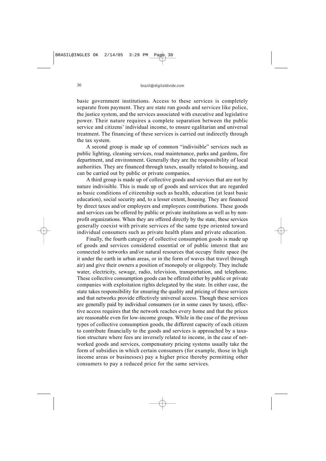basic government institutions. Access to these services is completely separate from payment. They are state run goods and services like police, the justice system, and the services associated with executive and legislative power. Their nature requires a complete separation between the public service and citizens' individual income, to ensure egalitarian and universal treatment. The financing of these services is carried out indirectly through the tax system.

A second group is made up of common "indivisible" services such as public lighting, cleaning services, road maintenance, parks and gardens, fire department, and environment. Generally they are the responsibility of local authorities. They are financed through taxes, usually related to housing, and can be carried out by public or private companies.

A third group is made up of collective goods and services that are not by nature indivisible. This is made up of goods and services that are regarded as basic conditions of citizenship such as health, education (at least basic education), social security and, to a lesser extent, housing. They are financed by direct taxes and/or employers and employees contributions. These goods and services can be offered by public or private institutions as well as by nonprofit organizations. When they are offered directly by the state, these services generally coexist with private services of the same type oriented toward individual consumers such as private health plans and private education.

Finally, the fourth category of collective consumption goods is made up of goods and services considered essential or of public interest that are connected to networks and/or natural resources that occupy finite space (be it under the earth in urban areas, or in the form of waves that travel through air) and give their owners a position of monopoly or oligopoly. They include water, electricity, sewage, radio, television, transportation, and telephone. These collective consumption goods can be offered either by public or private companies with exploitation rights delegated by the state. In either case, the state takes responsibility for ensuring the quality and pricing of these services and that networks provide effectively universal access. Though these services are generally paid by individual consumers (or in some cases by taxes), effective access requires that the network reaches every home and that the prices are reasonable even for low-income groups. While in the case of the previous types of collective consumption goods, the different capacity of each citizen to contribute financially to the goods and services is approached by a taxation structure where fees are inversely related to income, in the case of networked goods and services, compensatory pricing systems usually take the form of subsidies in which certain consumers (for example, those in high income areas or businesses) pay a higher price thereby permitting other consumers to pay a reduced price for the same services.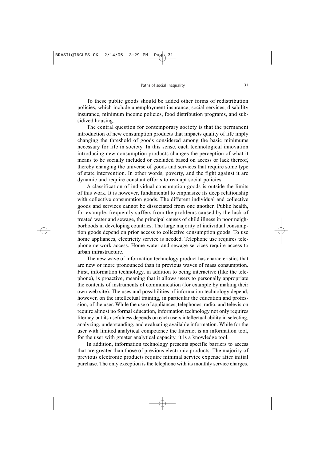To these public goods should be added other forms of redistribution policies, which include unemployment insurance, social services, disability insurance, minimum income policies, food distribution programs, and subsidized housing.

The central question for contemporary society is that the permanent introduction of new consumption products that impacts quality of life imply changing the threshold of goods considered among the basic minimums necessary for life in society. In this sense, each technological innovation introducing new consumption products changes the perception of what it means to be socially included or excluded based on access or lack thereof, thereby changing the universe of goods and services that require some type of state intervention. In other words, poverty, and the fight against it are dynamic and require constant efforts to readapt social policies.

A classification of individual consumption goods is outside the limits of this work. It is however, fundamental to emphasize its deep relationship with collective consumption goods. The different individual and collective goods and services cannot be dissociated from one another. Public health, for example, frequently suffers from the problems caused by the lack of treated water and sewage, the principal causes of child illness in poor neighborhoods in developing countries. The large majority of individual consumption goods depend on prior access to collective consumption goods. To use home appliances, electricity service is needed. Telephone use requires telephone network access. Home water and sewage services require access to urban infrastructure.

The new wave of information technology product has characteristics that are new or more pronounced than in previous waves of mass consumption. First, information technology, in addition to being interactive (like the telephone), is proactive, meaning that it allows users to personally appropriate the contents of instruments of communication (for example by making their own web site). The uses and possibilities of information technology depend, however, on the intellectual training, in particular the education and profession, of the user. While the use of appliances, telephones, radio, and television require almost no formal education, information technology not only requires literacy but its usefulness depends on each users intellectual ability in selecting, analyzing, understanding, and evaluating available information. While for the user with limited analytical competence the Internet is an information tool, for the user with greater analytical capacity, it is a knowledge tool.

In addition, information technology presents specific barriers to access that are greater than those of previous electronic products. The majority of previous electronic products require minimal service expense after initial purchase. The only exception is the telephone with its monthly service charges.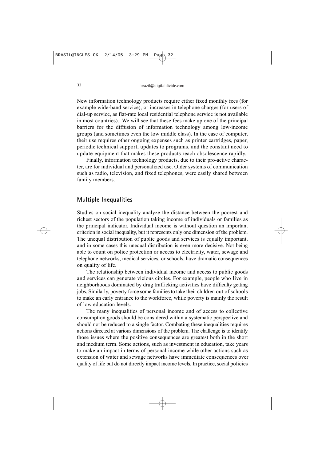New information technology products require either fixed monthly fees (for example wide-band service), or increases in telephone charges (for users of dial-up service, as flat-rate local residential telephone service is not available in most countries). We will see that these fees make up one of the principal barriers for the diffusion of information technology among low-income groups (and sometimes even the low middle class). In the case of computer, their use requires other ongoing expenses such as printer cartridges, paper, periodic technical support, updates to programs, and the constant need to update equipment that makes these products reach obsolescence rapidly.

Finally, information technology products, due to their pro-active character, are for individual and personalized use. Older systems of communication such as radio, television, and fixed telephones, were easily shared between family members.

### **Multiple Inequalities**

Studies on social inequality analyze the distance between the poorest and richest sectors of the population taking income of individuals or families as the principal indicator. Individual income is without question an important criterion in social inequality, but it represents only one dimension of the problem. The unequal distribution of public goods and services is equally important, and in some cases this unequal distribution is even more decisive. Not being able to count on police protection or access to electricity, water, sewage and telephone networks, medical services, or schools, have dramatic consequences on quality of life.

The relationship between individual income and access to public goods and services can generate vicious circles. For example, people who live in neighborhoods dominated by drug trafficking activities have difficulty getting jobs. Similarly, poverty force some families to take their children out of schools to make an early entrance to the workforce, while poverty is mainly the result of low education levels.

The many inequalities of personal income and of access to collective consumption goods should be considered within a systematic perspective and should not be reduced to a single factor. Combating these inequalities requires actions directed at various dimensions of the problem. The challenge is to identify those issues where the positive consequences are greatest both in the short and medium term. Some actions, such as investment in education, take years to make an impact in terms of personal income while other actions such as extension of water and sewage networks have immediate consequences over quality of life but do not directly impact income levels. In practice, social policies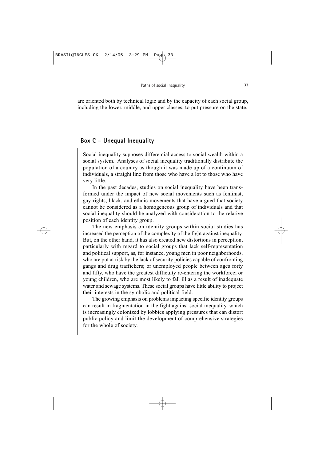are oriented both by technical logic and by the capacity of each social group, including the lower, middle, and upper classes, to put pressure on the state.

### **Box C – Unequal Inequality**

Social inequality supposes differential access to social wealth within a social system. Analyses of social inequality traditionally distribute the population of a country as though it was made up of a continuum of individuals, a straight line from those who have a lot to those who have very little.

In the past decades, studies on social inequality have been transformed under the impact of new social movements such as feminist, gay rights, black, and ethnic movements that have argued that society cannot be considered as a homogeneous group of individuals and that social inequality should be analyzed with consideration to the relative position of each identity group.

The new emphasis on identity groups within social studies has increased the perception of the complexity of the fight against inequality. But, on the other hand, it has also created new distortions in perception, particularly with regard to social groups that lack self-representation and political support, as, for instance, young men in poor neighborhoods, who are put at risk by the lack of security policies capable of confronting gangs and drug traffickers; or unemployed people between ages forty and fifty, who have the greatest difficulty re-entering the workforce; or young children, who are most likely to fall ill as a result of inadequate water and sewage systems. These social groups have little ability to project their interests in the symbolic and political field.

The growing emphasis on problems impacting specific identity groups can result in fragmentation in the fight against social inequality, which is increasingly colonized by lobbies applying pressures that can distort public policy and limit the development of comprehensive strategies for the whole of society.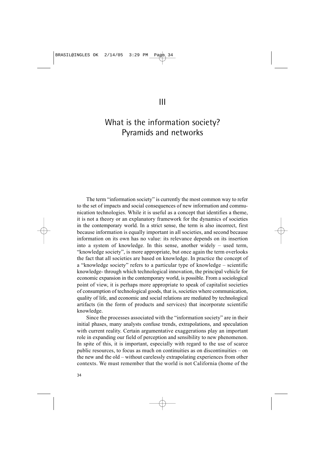# What is the information society? Pyramids and networks

The term "information society" is currently the most common way to refer to the set of impacts and social consequences of new information and communication technologies. While it is useful as a concept that identifies a theme, it is not a theory or an explanatory framework for the dynamics of societies in the contemporary world. In a strict sense, the term is also incorrect, first because information is equally important in all societies, and second because information on its own has no value: its relevance depends on its insertion into a system of knowledge. In this sense, another widely – used term, "knowledge society", is more appropriate, but once again the term overlooks the fact that all societies are based on knowledge. In practice the concept of a "knowledge society" refers to a particular type of knowledge – scientific knowledge- through which technological innovation, the principal vehicle for economic expansion in the contemporary world, is possible. From a sociological point of view, it is perhaps more appropriate to speak of capitalist societies of consumption of technological goods, that is, societies where communication, quality of life, and economic and social relations are mediated by technological artifacts (in the form of products and services) that incorporate scientific knowledge.

Since the processes associated with the "information society" are in their initial phases, many analysts confuse trends, extrapolations, and speculation with current reality. Certain argumentative exaggerations play an important role in expanding our field of perception and sensibility to new phenomenon. In spite of this, it is important, especially with regard to the use of scarce public resources, to focus as much on continuities as on discontinuities – on the new and the old – without carelessly extrapolating experiences from other contexts. We must remember that the world is not California (home of the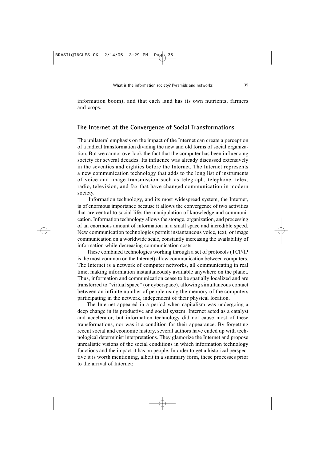information boom), and that each land has its own nutrients, farmers and crops.

#### **The Internet at the Convergence of Social Transformations**

The unilateral emphasis on the impact of the Internet can create a perception of a radical transformation dividing the new and old forms of social organization. But we cannot overlook the fact that the computer has been influencing society for several decades. Its influence was already discussed extensively in the seventies and eighties before the Internet. The Internet represents a new communication technology that adds to the long list of instruments of voice and image transmission such as telegraph, telephone, telex, radio, television, and fax that have changed communication in modern society.

Information technology, and its most widespread system, the Internet, is of enormous importance because it allows the convergence of two activities that are central to social life: the manipulation of knowledge and communication. Information technology allows the storage, organization, and processing of an enormous amount of information in a small space and incredible speed. New communication technologies permit instantaneous voice, text, or image communication on a worldwide scale, constantly increasing the availability of information while decreasing communication costs.

These combined technologies working through a set of protocols (TCP/IP is the most common on the Internet) allow communication between computers. The Internet is a network of computer networks, all communicating in real time, making information instantaneously available anywhere on the planet. Thus, information and communication cease to be spatially localized and are transferred to "virtual space" (or cyberspace), allowing simultaneous contact between an infinite number of people using the memory of the computers participating in the network, independent of their physical location.

The Internet appeared in a period when capitalism was undergoing a deep change in its productive and social system. Internet acted as a catalyst and accelerator, but information technology did not cause most of these transformations, nor was it a condition for their appearance. By forgetting recent social and economic history, several authors have ended up with technological determinist interpretations. They glamorize the Internet and propose unrealistic visions of the social conditions in which information technology functions and the impact it has on people. In order to get a historical perspective it is worth mentioning, albeit in a summary form, these processes prior to the arrival of Internet: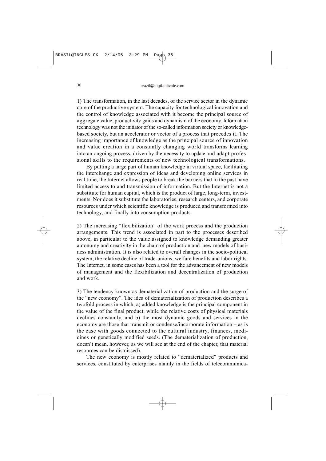1) The transformation, in the last decades, of the service sector in the dynamic core of the productive system. The capacity for technological innovation and the control of knowledge associated with it become the principal source of aggregate value, productivity gains and dynamism of the economy. Information technology was not the initiator of the so-called information society or knowledgebased society, but an accelerator or vector of a process that precedes it. The increasing importance of knowledge as the principal source of innovation and value creation in a constantly changing world transforms learning into an ongoing process, driven by the necessity to update and adapt professional skills to the requirements of new technological transformations.

By putting a large part of human knowledge in virtual space, facilitating the interchange and expression of ideas and developing online services in real time, the Internet allows people to break the barriers that in the past have limited access to and transmission of information. But the Internet is not a substitute for human capital, which is the product of large, long-term, investments. Nor does it substitute the laboratories, research centers, and corporate resources under which scientific knowledge is produced and transformed into technology, and finally into consumption products.

2) The increasing "flexibilization" of the work process and the production arrangements. This trend is associated in part to the processes described above, in particular to the value assigned to knowledge demanding greater autonomy and creativity in the chain of production and new models of business administration. It is also related to overall changes in the socio-political system, the relative decline of trade-unions, welfare benefits and labor rights. The Internet, in some cases has been a tool for the advancement of new models of management and the flexibilization and decentralization of production and work.

3) The tendency known as dematerialization of production and the surge of the "new economy". The idea of dematerialization of production describes a twofold process in which, a) added knowledge is the principal component in the value of the final product, while the relative costs of physical materials declines constantly, and b) the most dynamic goods and services in the economy are those that transmit or condense/incorporate information – as is the case with goods connected to the cultural industry, finances, medicines or genetically modified seeds. (The dematerialization of production, doesn't mean, however, as we will see at the end of the chapter, that material resources can be dismissed).

The new economy is mostly related to "dematerialized" products and services, constituted by enterprises mainly in the fields of telecommunica-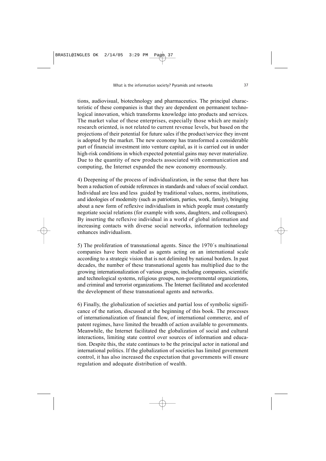tions, audiovisual, biotechnology and pharmaceutics. The principal characteristic of these companies is that they are dependent on permanent technological innovation, which transforms knowledge into products and services. The market value of these enterprises, especially those which are mainly research oriented, is not related to current revenue levels, but based on the projections of their potential for future sales if the product/service they invent is adopted by the market. The new economy has transformed a considerable part of financial investment into venture capital, as it is carried out in under high-risk conditions in which expected potential gains may never materialize. Due to the quantity of new products associated with communication and computing, the Internet expanded the new economy enormously.

4) Deepening of the process of individualization, in the sense that there has been a reduction of outside references in standards and values of social conduct. Individual are less and less guided by traditional values, norms, institutions, and ideologies of modernity (such as patriotism, parties, work, family), bringing about a new form of reflexive individualism in which people must constantly negotiate social relations (for example with sons, daughters, and colleagues). By inserting the reflexive individual in a world of global information and increasing contacts with diverse social networks, information technology enhances individualism.

5) The proliferation of transnational agents. Since the 1970´s multinational companies have been studied as agents acting on an international scale according to a strategic vision that is not delimited by national borders. In past decades, the number of these transnational agents has multiplied due to the growing internationalization of various groups, including companies, scientific and technological systems, religious groups, non-governmental organizations, and criminal and terrorist organizations. The Internet facilitated and accelerated the development of these transnational agents and networks.

6) Finally, the globalization of societies and partial loss of symbolic significance of the nation, discussed at the beginning of this book. The processes of internationalization of financial flow, of international commerce, and of patent regimes, have limited the breadth of action available to governments. Meanwhile, the Internet facilitated the globalization of social and cultural interactions, limiting state control over sources of information and education. Despite this, the state continues to be the principal actor in national and international politics. If the globalization of societies has limited government control, it has also increased the expectation that governments will ensure regulation and adequate distribution of wealth.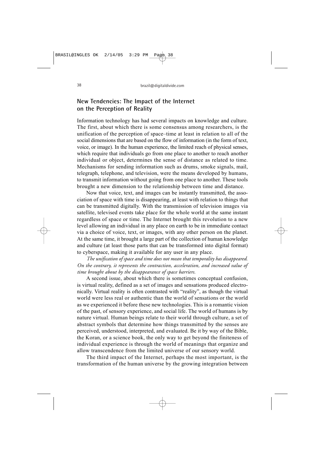### **New Tendencies: The Impact of the Internet on the Perception of Reality**

Information technology has had several impacts on knowledge and culture. The first, about which there is some consensus among researchers, is the unification of the perception of space–time at least in relation to all of the social dimensions that are based on the flow of information (in the form of text) voice, or image). In the human experience, the limited reach of physical senses, which require that individuals go from one place to another to reach another individual or object, determines the sense of distance as related to time. Mechanisms for sending information such as drums, smoke signals, mail, telegraph, telephone, and television, were the means developed by humans, to transmit information without going from one place to another. These tools brought a new dimension to the relationship between time and distance.

Now that voice, text, and images can be instantly transmitted, the association of space with time is disappearing, at least with relation to things that can be transmitted digitally. With the transmission of television images via satellite, televised events take place for the whole world at the same instant regardless of space or time. The Internet brought this revolution to a new level allowing an individual in any place on earth to be in immediate contact via a choice of voice, text, or images, with any other person on the planet. At the same time, it brought a large part of the collection of human knowledge and culture (at least those parts that can be transformed into digital format) to cyberspace, making it available for any user in any place.

*The unification of space and time does not mean that temporality has disappeared. On the contrary, it represents the contraction, acceleration, and increased value of time brought about by the disappearance of space barriers.*

A second issue, about which there is sometimes conceptual confusion, is virtual reality, defined as a set of images and sensations produced electronically. Virtual reality is often contrasted with "reality", as though the virtual world were less real or authentic than the world of sensations or the world as we experienced it before these new technologies. This is a romantic vision of the past, of sensory experience, and social life. The world of humans is by nature virtual. Human beings relate to their world through culture, a set of abstract symbols that determine how things transmitted by the senses are perceived, understood, interpreted, and evaluated. Be it by way of the Bible, the Koran, or a science book, the only way to get beyond the finiteness of individual experience is through the world of meanings that organize and allow transcendence from the limited universe of our sensory world.

The third impact of the Internet, perhaps the most important, is the transformation of the human universe by the growing integration between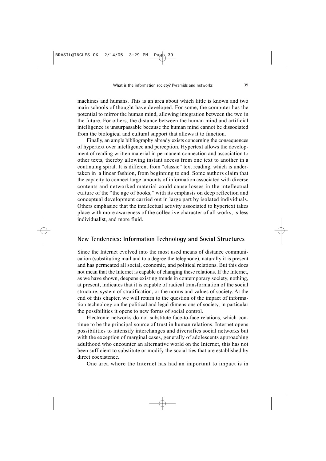machines and humans. This is an area about which little is known and two main schools of thought have developed. For some, the computer has the potential to mirror the human mind, allowing integration between the two in the future. For others, the distance between the human mind and artificial intelligence is unsurpassable because the human mind cannot be dissociated from the biological and cultural support that allows it to function.

Finally, an ample bibliography already exists concerning the consequences of hypertext over intelligence and perception. Hypertext allows the development of reading written material in permanent connection and association to other texts, thereby allowing instant access from one text to another in a continuing spiral. It is different from "classic" text reading, which is undertaken in a linear fashion, from beginning to end. Some authors claim that the capacity to connect large amounts of information associated with diverse contents and networked material could cause losses in the intellectual culture of the "the age of books," with its emphasis on deep reflection and conceptual development carried out in large part by isolated individuals. Others emphasize that the intellectual activity associated to hypertext takes place with more awareness of the collective character of all works, is less individualist, and more fluid.

#### **New Tendencies: Information Technology and Social Structures**

Since the Internet evolved into the most used means of distance communication (substituting mail and to a degree the telephone), naturally it is present and has permeated all social, economic, and political relations. But this does not mean that the Internet is capable of changing these relations. If the Internet, as we have shown, deepens existing trends in contemporary society, nothing, at present, indicates that it is capable of radical transformation of the social structure, system of stratification, or the norms and values of society. At the end of this chapter, we will return to the question of the impact of information technology on the political and legal dimensions of society, in particular the possibilities it opens to new forms of social control.

Electronic networks do not substitute face-to-face relations, which continue to be the principal source of trust in human relations. Internet opens possibilities to intensify interchanges and diversifies social networks but with the exception of marginal cases, generally of adolescents approaching adulthood who encounter an alternative world on the Internet, this has not been sufficient to substitute or modify the social ties that are established by direct coexistence.

One area where the Internet has had an important to impact is in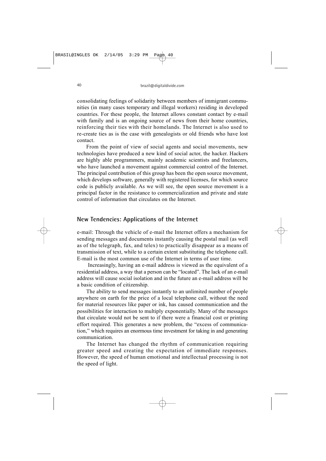consolidating feelings of solidarity between members of immigrant communities (in many cases temporary and illegal workers) residing in developed countries. For these people, the Internet allows constant contact by e-mail with family and is an ongoing source of news from their home countries, reinforcing their ties with their homelands. The Internet is also used to re-create ties as is the case with genealogists or old friends who have lost contact.

From the point of view of social agents and social movements, new technologies have produced a new kind of social actor, the hacker. Hackers are highly able programmers, mainly academic scientists and freelancers, who have launched a movement against commercial control of the Internet. The principal contribution of this group has been the open source movement, which develops software, generally with registered licenses, for which source code is publicly available. As we will see, the open source movement is a principal factor in the resistance to commercialization and private and state control of information that circulates on the Internet.

#### **New Tendencies: Applications of the Internet**

e-mail: Through the vehicle of e-mail the Internet offers a mechanism for sending messages and documents instantly causing the postal mail (as well as of the telegraph, fax, and telex) to practically disappear as a means of transmission of text, while to a certain extent substituting the telephone call. E-mail is the most common use of the Internet in terms of user time.

Increasingly, having an e-mail address is viewed as the equivalent of a residential address, a way that a person can be "located". The lack of an e-mail address will cause social isolation and in the future an e-mail address will be a basic condition of citizenship.

The ability to send messages instantly to an unlimited number of people anywhere on earth for the price of a local telephone call, without the need for material resources like paper or ink, has caused communication and the possibilities for interaction to multiply exponentially. Many of the messages that circulate would not be sent to if there were a financial cost or printing effort required. This generates a new problem, the "excess of communication," which requires an enormous time investment for taking in and generating communication.

The Internet has changed the rhythm of communication requiring greater speed and creating the expectation of immediate responses. However, the speed of human emotional and intellectual processing is not the speed of light.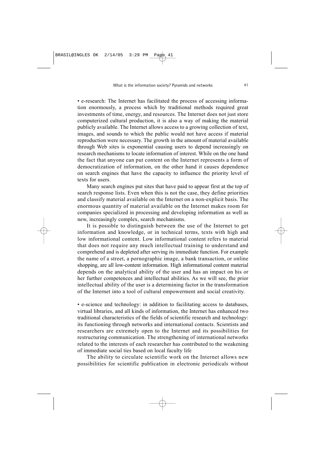• e-research: The Internet has facilitated the process of accessing information enormously, a process which by traditional methods required great investments of time, energy, and resources. The Internet does not just store computerized cultural production, it is also a way of making the material publicly available. The Internet allows access to a growing collection of text, images, and sounds to which the public would not have access if material reproduction were necessary. The growth in the amount of material available through Web sites is exponential causing users to depend increasingly on research mechanisms to locate information of interest. While on the one hand the fact that anyone can put content on the Internet represents a form of democratization of information, on the other hand it causes dependence on search engines that have the capacity to influence the priority level of texts for users.

Many search engines put sites that have paid to appear first at the top of search response lists. Even when this is not the case, they define priorities and classify material available on the Internet on a non-explicit basis. The enormous quantity of material available on the Internet makes room for companies specialized in processing and developing information as well as new, increasingly complex, search mechanisms.

It is possible to distinguish between the use of the Internet to get information and knowledge, or in technical terms, texts with high and low informational content. Low informational content refers to material that does not require any much intellectual training to understand and comprehend and is depleted after serving its immediate function. For example the name of a street, a pornographic image, a bank transaction, or online shopping, are all low-content information. High informational content material depends on the analytical ability of the user and has an impact on his or her further competences and intellectual abilities. As we will see, the prior intellectual ability of the user is a determining factor in the transformation of the Internet into a tool of cultural empowerment and social creativity.

• e-science and technology: in addition to facilitating access to databases, virtual libraries, and all kinds of information, the Internet has enhanced two traditional characteristics of the fields of scientific research and technology: its functioning through networks and international contacts. Scientists and researchers are extremely open to the Internet and its possibilities for restructuring communication. The strengthening of international networks related to the interests of each researcher has contributed to the weakening of immediate social ties based on local faculty life

The ability to circulate scientific work on the Internet allows new possibilities for scientific publication in electronic periodicals without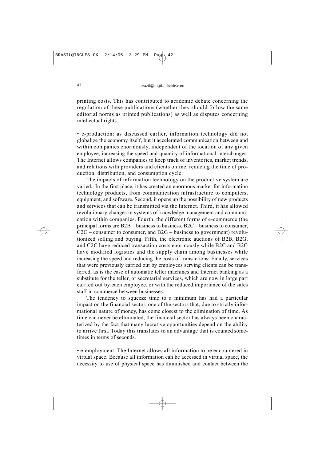printing costs. This has contributed to academic debate concerning the regulation of these publications (whether they should follow the same editorial norms as printed publications) as well as disputes concerning intellectual rights.

• e-production: as discussed earlier, information technology did not globalize the economy itself, but it accelerated communication between and within companies enormously, independent of the location of any given employee, increasing the speed and quantity of informational interchanges. The Internet allows companies to keep track of inventories, market trends, and relations with providers and clients online, reducing the time of production, distribution, and consumption cycle.

The impacts of information technology on the productive system are varied. In the first place, it has created an enormous market for information technology products, from communication infrastructure to computers, equipment, and software. Second, it opens up the possibility of new products and services that can be transmitted via the Internet. Third, it has allowed revolutionary changes in systems of knowledge management and communication within companies. Fourth, the different forms of e-commerce (the principal forms are B2B – business to business, B2C – business to consumer, C2C – consumer to consumer, and B2G – business to government) revolutionized selling and buying. Fifth, the electronic auctions of B2B, B2G, and C2C have reduced transaction costs enormously while B2C and B2G have modified logistics and the supply chain among businesses while increasing the speed and reducing the costs of transactions. Finally, services that were previously carried out by employees serving clients can be transferred, as is the case of automatic teller machines and Internet banking as a substitute for the teller, or secretarial services, which are now in large part carried out by each employee, or with the reduced importance of the sales staff in commerce between businesses.

The tendency to squeeze time to a minimum has had a particular impact on the financial sector, one of the sectors that, due to strictly informational nature of money, has come closest to the elimination of time. As time can never be eliminated, the financial sector has always been characterized by the fact that many lucrative opportunities depend on the ability to arrive first. Today this translates to an advantage that is counted sometimes in terms of seconds.

• e-employment: The Internet allows all information to be encountered in virtual space. Because all information can be accessed in virtual space, the necessity to use of physical space has diminished and contact between the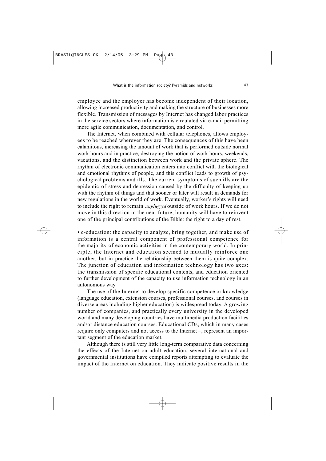employee and the employer has become independent of their location, allowing increased productivity and making the structure of businesses more flexible. Transmission of messages by Internet has changed labor practices in the service sectors where information is circulated via e-mail permitting more agile communication, documentation, and control.

The Internet, when combined with cellular telephones, allows employees to be reached wherever they are. The consequences of this have been calamitous, increasing the amount of work that is performed outside normal work hours and in practice, destroying the notion of work hours, weekends, vacations, and the distinction between work and the private sphere. The rhythm of electronic communication enters into conflict with the biological and emotional rhythms of people, and this conflict leads to growth of psychological problems and ills. The current symptoms of such ills are the epidemic of stress and depression caused by the difficulty of keeping up with the rhythm of things and that sooner or later will result in demands for new regulations in the world of work. Eventually, worker's rights will need to include the right to remain *unplugged* outside of work hours. If we do not move in this direction in the near future, humanity will have to reinvent one of the principal contributions of the Bible: the right to a day of rest.

• e-education: the capacity to analyze, bring together, and make use of information is a central component of professional competence for the majority of economic activities in the contemporary world. In principle, the Internet and education seemed to mutually reinforce one another, but in practice the relationship between them is quite complex. The junction of education and information technology has two axes: the transmission of specific educational contents, and education oriented to further development of the capacity to use information technology in an autonomous way.

The use of the Internet to develop specific competence or knowledge (language education, extension courses, professional courses, and courses in diverse areas including higher education) is widespread today. A growing number of companies, and practically every university in the developed world and many developing countries have multimedia production facilities and/or distance education courses. Educational CDs, which in many cases require only computers and not access to the Internet –, represent an important segment of the education market.

Although there is still very little long-term comparative data concerning the effects of the Internet on adult education, several international and governmental institutions have compiled reports attempting to evaluate the impact of the Internet on education. They indicate positive results in the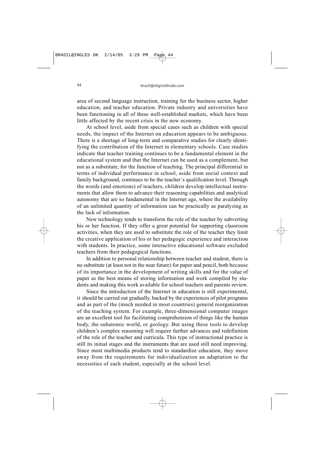area of second language instruction, training for the business sector, higher education, and teacher education. Private industry and universities have been functioning in all of these well-established markets, which have been little affected by the recent crisis in the new economy.

At school level, aside from special cases such as children with special needs, the impact of the Internet on education appears to be ambiguous. There is a shortage of long-term and comparative studies for clearly identifying the contribution of the Internet in elementary schools. Case studies indicate that teacher training continues to be a fundamental element in the educational system and that the Internet can be used as a complement, but not as a substitute, for the function of teaching. The principal differential in terms of individual performance in school, aside from social context and family background, continues to be the teacher´s qualification level. Through the words (and emotions) of teachers, children develop intellectual instruments that allow them to advance their reasoning capabilities and analytical autonomy that are so fundamental in the Internet age, where the availability of an unlimited quantity of information can be practically as paralyzing as the lack of information.

New technology tends to transform the role of the teacher by subverting his or her function. If they offer a great potential for supporting classroom activities, when they are used to substitute the role of the teacher they limit the creative application of his or her pedagogic experience and interaction with students. In practice, some interactive educational software excluded teachers from their pedagogical functions.

In addition to personal relationship between teacher and student, there is no substitute (at least not in the near future) for paper and pencil, both because of its importance in the development of writing skills and for the value of paper as the best means of storing information and work compiled by students and making this work available for school teachers and parents review.

Since the introduction of the Internet in education is still experimental, it should be carried out gradually, backed by the experiences of pilot programs and as part of the (much needed in most countries) general reorganization of the teaching system. For example, three-dimensional computer images are an excellent tool for facilitating comprehension of things like the human body, the subatomic world, or geology. But using these tools to develop children's complex reasoning will require further advances and redefinition of the role of the teacher and curricula. This type of instructional practice is still its initial stages and the instruments that are used still need improving. Since most multimedia products tend to standardize education, they move away from the requirements for individualization an adaptation to the necessities of each student, especially at the school level.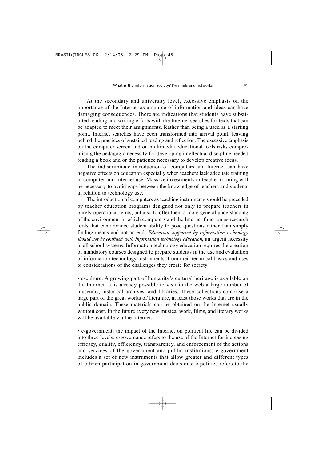At the secondary and university level, excessive emphasis on the importance of the Internet as a source of information and ideas can have damaging consequences. There are indications that students have substituted reading and writing efforts with the Internet searches for texts that can be adapted to meet their assignments. Rather than being a used as a starting point, Internet searches have been transformed into arrival point, leaving behind the practices of sustained reading and reflection. The excessive emphasis on the computer screen and on multimedia educational tools risks compromising the pedagogic necessity for developing intellectual discipline needed reading a book and or the patience necessary to develop creative ideas.

The indiscriminate introduction of computers and Internet can have negative effects on education especially when teachers lack adequate training in computer and Internet use. Massive investments in teacher training will be necessary to avoid gaps between the knowledge of teachers and students in relation to technology use.

The introduction of computers as teaching instruments should be preceded by teacher education programs designed not only to prepare teachers in purely operational terms, but also to offer them a more general understanding of the environment in which computers and the Internet function as research tools that can advance student ability to pose questions rather than simply finding means and not an end. *Education supported by information technology should not be confused with information technology education*, an urgent necessity in all school systems. Information technology education requires the creation of mandatory courses designed to prepare students in the use and evaluation of information technology instruments, from their technical basics and uses to considerations of the challenges they create for society

• e-culture: A growing part of humanity's cultural heritage is available on the Internet. It is already possible to visit in the web a large number of museums, historical archives, and libraries. These collections comprise a large part of the great works of literature, at least those works that are in the public domain. These materials can be obtained on the Internet usually without cost. In the future every new musical work, films, and literary works will be available via the Internet.

• e-government: the impact of the Internet on political life can be divided into three levels: e-governance refers to the use of the Internet for increasing efficacy, quality, efficiency, transparency, and enforcement of the actions and services of the government and public institutions; e-government includes a set of new instruments that allow greater and different types of citizen participation in government decisions; e-politics refers to the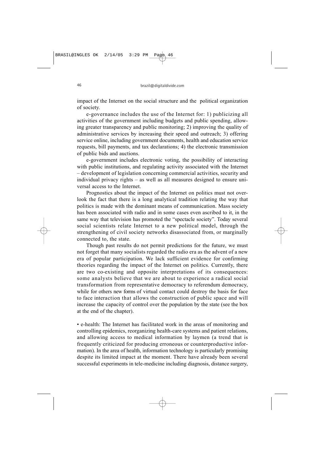impact of the Internet on the social structure and the political organization of society.

e-governance includes the use of the Internet for: 1) publicizing all activities of the government including budgets and public spending, allowing greater transparency and public monitoring; 2) improving the quality of administrative services by increasing their speed and outreach; 3) offering service online, including government documents, health and education service requests, bill payments, and tax declarations; 4) the electronic transmission of public bids and auctions.

e-government includes electronic voting, the possibility of interacting with public institutions, and regulating activity associated with the Internet – development of legislation concerning commercial activities, security and individual privacy rights – as well as all measures designed to ensure universal access to the Internet.

Prognostics about the impact of the Internet on politics must not overlook the fact that there is a long analytical tradition relating the way that politics is made with the dominant means of communication. Mass society has been associated with radio and in some cases even ascribed to it, in the same way that television has promoted the "spectacle society". Today several social scientists relate Internet to a new political model, through the strengthening of civil society networks disassociated from, or marginally connected to, the state.

Though past results do not permit predictions for the future, we must not forget that many socialists regarded the radio era as the advent of a new era of popular participation. We lack sufficient evidence for confirming theories regarding the impact of the Internet on politics. Currently, there are two co-existing and opposite interpretations of its consequences: some analysts believe that we are about to experience a radical social transformation from representative democracy to referendum democracy, while for others new forms of virtual contact could destroy the basis for face to face interaction that allows the construction of public space and will increase the capacity of control over the population by the state (see the box at the end of the chapter).

• e-health: The Internet has facilitated work in the areas of monitoring and controlling epidemics, reorganizing health-care systems and patient relations, and allowing access to medical information by laymen (a trend that is frequently criticized for producing erroneous or counterproductive information). In the area of health, information technology is particularly promising despite its limited impact at the moment. There have already been several successful experiments in tele-medicine including diagnosis, distance surgery,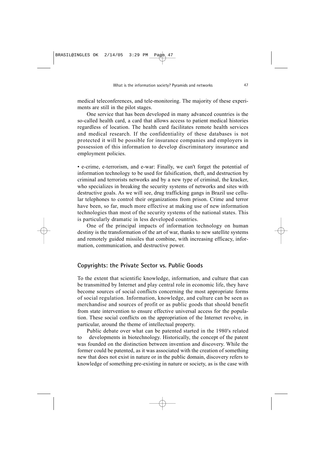medical teleconferences, and tele-monitoring. The majority of these experiments are still in the pilot stages.

One service that has been developed in many advanced countries is the so-called health card, a card that allows access to patient medical histories regardless of location. The health card facilitates remote health services and medical research. If the confidentiality of these databases is not protected it will be possible for insurance companies and employers in possession of this information to develop discriminatory insurance and employment policies.

• e-crime, e-terrorism, and e-war: Finally, we can't forget the potential of information technology to be used for falsification, theft, and destruction by criminal and terrorists networks and by a new type of criminal, the kracker, who specializes in breaking the security systems of networks and sites with destructive goals. As we will see, drug trafficking gangs in Brazil use cellular telephones to control their organizations from prison. Crime and terror have been, so far, much more effective at making use of new information technologies than most of the security systems of the national states. This is particularly dramatic in less developed countries.

One of the principal impacts of information technology on human destiny is the transformation of the art of war, thanks to new satellite systems and remotely guided missiles that combine, with increasing efficacy, information, communication, and destructive power.

#### **Copyrights: the Private Sector vs. Public Goods**

To the extent that scientific knowledge, information, and culture that can be transmitted by Internet and play central role in economic life, they have become sources of social conflicts concerning the most appropriate forms of social regulation. Information, knowledge, and culture can be seen as merchandise and sources of profit or as public goods that should benefit from state intervention to ensure effective universal access for the population. These social conflicts on the appropriation of the Internet revolve, in particular, around the theme of intellectual property.

Public debate over what can be patented started in the 1980's related to developments in biotechnology. Historically, the concept of the patent was founded on the distinction between invention and discovery. While the former could be patented, as it was associated with the creation of something new that does not exist in nature or in the public domain, discovery refers to knowledge of something pre-existing in nature or society, as is the case with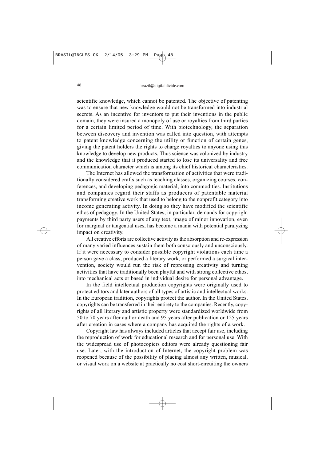scientific knowledge, which cannot be patented. The objective of patenting was to ensure that new knowledge would not be transformed into industrial secrets. As an incentive for inventors to put their inventions in the public domain, they were insured a monopoly of use or royalties from third parties for a certain limited period of time. With biotechnology, the separation between discovery and invention was called into question, with attempts to patent knowledge concerning the utility or function of certain genes, giving the patent holders the rights to charge royalties to anyone using this knowledge to develop new products. Thus science was colonized by industry and the knowledge that it produced started to lose its universality and free communication character which is among its chief historical characteristics.

The Internet has allowed the transformation of activities that were traditionally considered crafts such as teaching classes, organizing courses, conferences, and developing pedagogic material, into commodities. Institutions and companies regard their staffs as producers of patentable material transforming creative work that used to belong to the nonprofit category into income generating activity. In doing so they have modified the scientific ethos of pedagogy. In the United States, in particular, demands for copyright payments by third party users of any text, image of minor innovation, even for marginal or tangential uses, has become a mania with potential paralyzing impact on creativity.

All creative efforts are collective activity as the absorption and re-expression of many varied influences sustain them both consciously and unconsciously. If it were necessary to consider possible copyright violations each time a person gave a class, produced a literary work, or performed a surgical intervention, society would run the risk of repressing creativity and turning activities that have traditionally been playful and with strong collective ethos, into mechanical acts or based in individual desire for personal advantage.

In the field intellectual production copyrights were originally used to protect editors and later authors of all types of artistic and intellectual works. In the European tradition, copyrights protect the author. In the United States, copyrights can be transferred in their entirety to the companies. Recently, copyrights of all literary and artistic property were standardized worldwide from 50 to 70 years after author death and 95 years after publication or 125 years after creation in cases where a company has acquired the rights of a work.

Copyright law has always included articles that accept fair use, including the reproduction of work for educational research and for personal use. With the widespread use of photocopiers editors were already questioning fair use. Later, with the introduction of Internet, the copyright problem was reopened because of the possibility of placing almost any written, musical, or visual work on a website at practically no cost short-circuiting the owners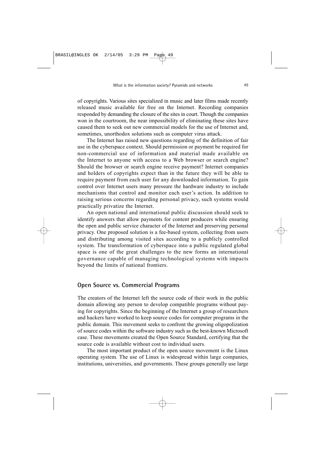of copyrights. Various sites specialized in music and later films made recently released music available for free on the Internet. Recording companies responded by demanding the closure of the sites in court. Though the companies won in the courtroom, the near impossibility of eliminating these sites have caused them to seek out new commercial models for the use of Internet and, sometimes, unorthodox solutions such as computer virus attack.

The Internet has raised new questions regarding of the definition of fair use in the cyberspace context. Should permission or payment be required for non-commercial use of information and material made available on the Internet to anyone with access to a Web browser or search engine? Should the browser or search engine receive payment? Internet companies and holders of copyrights expect than in the future they will be able to require payment from each user for any downloaded information. To gain control over Internet users many pressure the hardware industry to include mechanisms that control and monitor each user's action. In addition to raising serious concerns regarding personal privacy, such systems would practically privatize the Internet.

An open national and international public discussion should seek to identify answers that allow payments for content producers while ensuring the open and public service character of the Internet and preserving personal privacy. One proposed solution is a fee-based system, collecting from users and distributing among visited sites according to a publicly controlled system. The transformation of cyberspace into a public regulated global space is one of the great challenges to the new forms an international governance capable of managing technological systems with impacts beyond the limits of national frontiers.

#### **Open Source vs. Commercial Programs**

The creators of the Internet left the source code of their work in the public domain allowing any person to develop compatible programs without paying for copyrights. Since the beginning of the Internet a group of researchers and hackers have worked to keep source codes for computer programs in the public domain. This movement seeks to confront the growing oligopolization of source codes within the software industry such as the best-known Microsoft case. These movements created the Open Source Standard, certifying that the source code is available without cost to individual users.

The most important product of the open source movement is the Linux operating system. The use of Linux is widespread within large companies, institutions, universities, and governments. These groups generally use large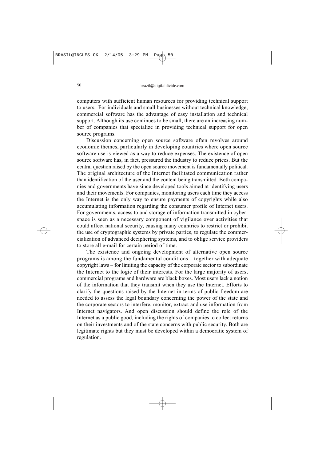computers with sufficient human resources for providing technical support to users. For individuals and small businesses without technical knowledge, commercial software has the advantage of easy installation and technical support. Although its use continues to be small, there are an increasing number of companies that specialize in providing technical support for open source programs.

Discussion concerning open source software often revolves around economic themes, particularly in developing countries where open source software use is viewed as a way to reduce expenses. The existence of open source software has, in fact, pressured the industry to reduce prices. But the central question raised by the open source movement is fundamentally political. The original architecture of the Internet facilitated communication rather than identification of the user and the content being transmitted. Both companies and governments have since developed tools aimed at identifying users and their movements. For companies, monitoring users each time they access the Internet is the only way to ensure payments of copyrights while also accumulating information regarding the consumer profile of Internet users. For governments, access to and storage of information transmitted in cyberspace is seen as a necessary component of vigilance over activities that could affect national security, causing many countries to restrict or prohibit the use of cryptographic systems by private parties, to regulate the commercialization of advanced deciphering systems, and to oblige service providers to store all e-mail for certain period of time.

The existence and ongoing development of alternative open source programs is among the fundamental conditions – together with adequate copyright laws – for limiting the capacity of the corporate sector to subordinate the Internet to the logic of their interests. For the large majority of users, commercial programs and hardware are black boxes. Most users lack a notion of the information that they transmit when they use the Internet. Efforts to clarify the questions raised by the Internet in terms of public freedom are needed to assess the legal boundary concerning the power of the state and the corporate sectors to interfere, monitor, extract and use information from Internet navigators. And open discussion should define the role of the Internet as a public good, including the rights of companies to collect returns on their investments and of the state concerns with public security. Both are legitimate rights but they must be developed within a democratic system of regulation.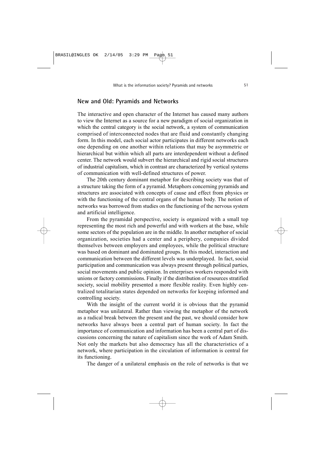#### **New and Old: Pyramids and Networks**

The interactive and open character of the Internet has caused many authors to view the Internet as a source for a new paradigm of social organization in which the central category is the social network, a system of communication comprised of interconnected nodes that are fluid and constantly changing form. In this model, each social actor participates in different networks each one depending on one another within relations that may be asymmetric or hierarchical but within which all parts are interdependent without a defined center. The network would subvert the hierarchical and rigid social structures of industrial capitalism, which in contrast are characterized by vertical systems of communication with well-defined structures of power.

The 20th century dominant metaphor for describing society was that of a structure taking the form of a pyramid. Metaphors concerning pyramids and structures are associated with concepts of cause and effect from physics or with the functioning of the central organs of the human body. The notion of networks was borrowed from studies on the functioning of the nervous system and artificial intelligence.

From the pyramidal perspective, society is organized with a small top representing the most rich and powerful and with workers at the base, while some sectors of the population are in the middle. In another metaphor of social organization, societies had a center and a periphery, companies divided themselves between employers and employees, while the political structure was based on dominant and dominated groups. In this model, interaction and communication between the different levels was underplayed. In fact, social participation and communication was always present through political parties, social movements and public opinion. In enterprises workers responded with unions or factory commissions. Finally if the distribution of resources stratified society, social mobility presented a more flexible reality. Even highly centralized totalitarian states depended on networks for keeping informed and controlling society.

With the insight of the current world it is obvious that the pyramid metaphor was unilateral. Rather than viewing the metaphor of the network as a radical break between the present and the past, we should consider how networks have always been a central part of human society. In fact the importance of communication and information has been a central part of discussions concerning the nature of capitalism since the work of Adam Smith. Not only the markets but also democracy has all the characteristics of a network, where participation in the circulation of information is central for its functioning.

The danger of a unilateral emphasis on the role of networks is that we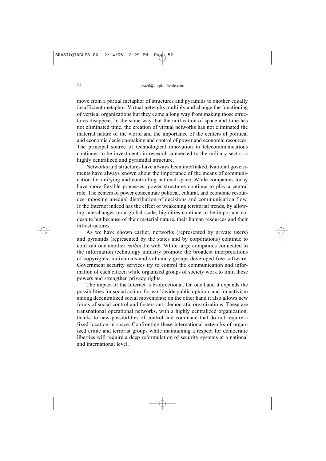move from a partial metaphor of structures and pyramids to another equally insufficient metaphor. Virtual networks multiply and change the functioning of vertical organizations but they come a long way from making those structures disappear. In the same way that the unification of space and time has not eliminated time, the creation of virtual networks has not eliminated the material nature of the world and the importance of the centers of political and economic decision-making and control of power and economic resources. The principal source of technological innovation in telecommunications continues to be investments in research connected to the military sector, a highly centralized and pyramidal structure.

Networks and structures have always been interlinked. National governments have always known about the importance of the means of communication for unifying and controlling national space. While companies today have more flexible processes, power structures continue to play a central role. The centers of power concentrate political, cultural, and economic resources imposing unequal distribution of decisions and communication flow. If the Internet indeed has the effect of weakening territorial trends, by allowing interchanges on a global scale, big cities continue to be important not despite but because of their material nature, their human resources and their infrastructures.

As we have shown earlier, networks (represented by private users) and pyramids (represented by the states and by corporations) continue to confront one another *within* the web. While large companies connected to the information technology industry promote the broadest interpretations of copyrights, individuals and voluntary groups developed free software. Government security services try to control the communication and information of each citizen while organized groups of society work to limit these powers and strengthen privacy rights.

The impact of the Internet is bi-directional. On one hand it expands the possibilities for social action, for worldwide public opinion, and for activism among decentralized social movements; on the other hand it also allows new forms of social control and fosters anti-democratic organizations. These are transnational operational networks, with a highly centralized organization, thanks to new possibilities of control and command that do not require a fixed location in space. Confronting these international networks of organized crime and terrorist groups while maintaining a respect for democratic liberties will require a deep reformulation of security systems at a national and international level.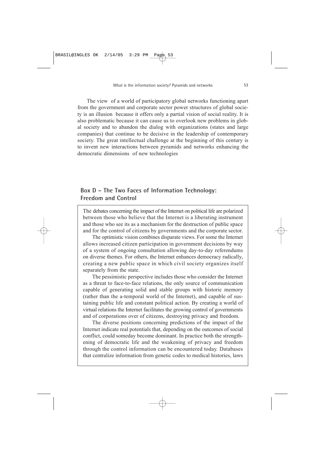The view of a world of participatory global networks functioning apart from the government and corporate sector power structures of global society is an illusion because it offers only a partial vision of social reality. It is also problematic because it can cause us to overlook new problems in global society and to abandon the dialog with organizations (states and large companies) that continue to be decisive in the leadership of contemporary society. The great intellectual challenge at the beginning of this century is to invent new interactions between pyramids and networks enhancing the democratic dimensions of new technologies

## **Box D – The Two Faces of Information Technology: Freedom and Control**

The debates concerning the impact of the Internet on political life are polarized between those who believe that the Internet is a liberating instrument and those who see its as a mechanism for the destruction of public space and for the control of citizens by governments and the corporate sector.

The optimistic vision combines disparate views. For some the Internet allows increased citizen participation in government decisions by way of a system of ongoing consultation allowing day-to-day referendums on diverse themes. For others, the Internet enhances democracy radically, creating a new public space in which civil society organizes itself separately from the state.

The pessimistic perspective includes those who consider the Internet as a threat to face-to-face relations, the only source of communication capable of generating solid and stable groups with historic memory (rather than the a-temporal world of the Internet), and capable of sustaining public life and constant political action. By creating a world of virtual relations the Internet facilitates the growing control of governments and of corporations over of citizens, destroying privacy and freedom.

The diverse positions concerning predictions of the impact of the Internet indicate real potentials that, depending on the outcomes of social conflict, could someday become dominant. In practice both the strengthening of democratic life and the weakening of privacy and freedom through the control information can be encountered today. Databases that centralize information from genetic codes to medical histories, laws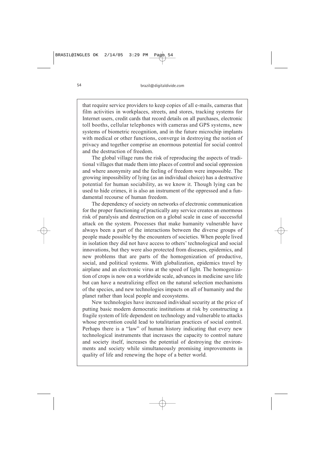that require service providers to keep copies of all e-mails, cameras that film activities in workplaces, streets, and stores, tracking systems for Internet users, credit cards that record details on all purchases, electronic toll booths, cellular telephones with cameras and GPS systems, new systems of biometric recognition, and in the future microchip implants with medical or other functions, converge in destroying the notion of privacy and together comprise an enormous potential for social control and the destruction of freedom.

The global village runs the risk of reproducing the aspects of traditional villages that made them into places of control and social oppression and where anonymity and the feeling of freedom were impossible. The growing impossibility of lying (as an individual choice) has a destructive potential for human sociability, as we know it. Though lying can be used to hide crimes, it is also an instrument of the oppressed and a fundamental recourse of human freedom.

The dependency of society on networks of electronic communication for the proper functioning of practically any service creates an enormous risk of paralysis and destruction on a global scale in case of successful attack on the system. Processes that make humanity vulnerable have always been a part of the interactions between the diverse groups of people made possible by the encounters of societies. When people lived in isolation they did not have access to others' technological and social innovations, but they were also protected from diseases, epidemics, and new problems that are parts of the homogenization of productive, social, and political systems. With globalization, epidemics travel by airplane and an electronic virus at the speed of light. The homogenization of crops is now on a worldwide scale, advances in medicine save life but can have a neutralizing effect on the natural selection mechanisms of the species, and new technologies impacts on all of humanity and the planet rather than local people and ecosystems.

New technologies have increased individual security at the price of putting basic modern democratic institutions at risk by constructing a fragile system of life dependent on technology and vulnerable to attacks whose prevention could lead to totalitarian practices of social control. Perhaps there is a "law" of human history indicating that every new technological instruments that increases the capacity to control nature and society itself, increases the potential of destroying the environments and society while simultaneously promising improvements in quality of life and renewing the hope of a better world.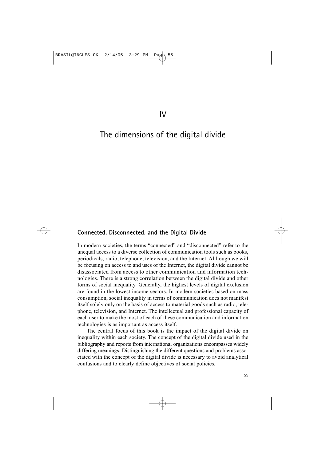# The dimensions of the digital divide

#### **Connected, Disconnected, and the Digital Divide**

In modern societies, the terms "connected" and "disconnected" refer to the unequal access to a diverse collection of communication tools such as books, periodicals, radio, telephone, television, and the Internet. Although we will be focusing on access to and uses of the Internet, the digital divide cannot be disassociated from access to other communication and information technologies. There is a strong correlation between the digital divide and other forms of social inequality. Generally, the highest levels of digital exclusion are found in the lowest income sectors. In modern societies based on mass consumption, social inequality in terms of communication does not manifest itself solely only on the basis of access to material goods such as radio, telephone, television, and Internet. The intellectual and professional capacity of each user to make the most of each of these communication and information technologies is as important as access itself.

The central focus of this book is the impact of the digital divide on inequality within each society. The concept of the digital divide used in the bibliography and reports from international organizations encompasses widely differing meanings. Distinguishing the different questions and problems associated with the concept of the digital divide is necessary to avoid analytical confusions and to clearly define objectives of social policies.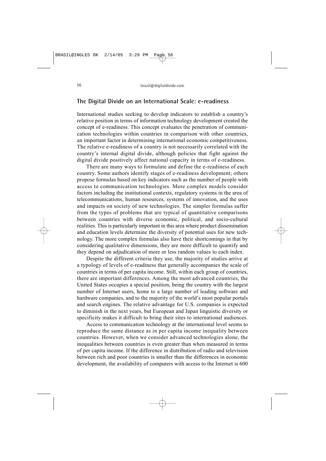#### **The Digital Divide on an International Scale: e-readiness**

International studies seeking to develop indicators to establish a country's relative position in terms of information technology development created the concept of e-readiness. This concept evaluates the penetration of communication technologies within countries in comparison with other countries, an important factor in determining international economic competitiveness. The relative e-readiness of a country is not necessarily correlated with the country's internal digital divide, although policies that fight against the digital divide positively affect national capacity in terms of e-readiness.

There are many ways to formulate and define the e-readiness of each country. Some authors identify stages of e-readiness development; others propose formulas based on key indicators such as the number of people with access to communication technologies. More complex models consider factors including the institutional contexts, regulatory systems in the area of telecommunications, human resources, systems of innovation, and the uses and impacts on society of new technologies. The simpler formulas suffer from the types of problems that are typical of quantitative comparisons between countries with diverse economic, political, and socio-cultural realities. This is particularly important in this area where product dissemination and education levels determine the diversity of potential uses for new technology. The more complex formulas also have their shortcomings in that by considering qualitative dimensions, they are more difficult to quantify and they depend on adjudication of more or less random values to each index.

Despite the different criteria they use, the majority of studies arrive at a typology of levels of e-readiness that generally accompanies the scale of countries in terms of per capita income. Still, within each group of countries, there are important differences. Among the most advanced countries, the United States occupies a special position, being the country with the largest number of Internet users, home to a large number of leading software and hardware companies, and to the majority of the world's most popular portals and search engines. The relative advantage for U.S. companies is expected to diminish in the next years, but European and Japan linguistic diversity or specificity makes it difficult to bring their sites to international audiences.

Access to communication technology at the international level seems to reproduce the same distance as in per capita income inequality between countries. However, when we consider advanced technologies alone, the inequalities between countries is even greater than when measured in terms of per capita income. If the difference in distribution of radio and television between rich and poor countries is smaller than the differences in economic development, the availability of computers with access to the Internet is 600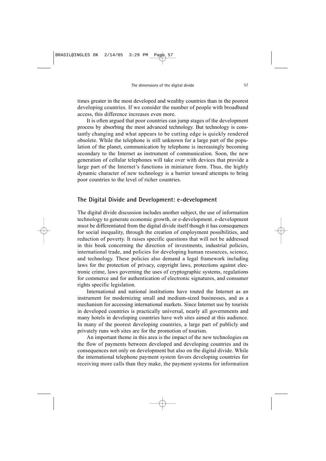times greater in the most developed and wealthy countries than in the poorest developing countries. If we consider the number of people with broadband access, this difference increases even more.

It is often argued that poor countries can jump stages of the development process by absorbing the most advanced technology. But technology is constantly changing and what appears to be cutting edge is quickly rendered obsolete. While the telephone is still unknown for a large part of the population of the planet, communication by telephone is increasingly becoming secondary to the Internet as instrument of communication. Soon, the new generation of cellular telephones will take over with devices that provide a large part of the Internet's functions in miniature form. Thus, the highly dynamic character of new technology is a barrier toward attempts to bring poor countries to the level of richer countries.

#### **The Digital Divide and Development: e-development**

The digital divide discussion includes another subject, the use of information technology to generate economic growth, or e-development. e-development must be differentiated from the digital divide itself though it has consequences for social inequality, through the creation of employment possibilities, and reduction of poverty. It raises specific questions that will not be addressed in this book concerning the direction of investments, industrial policies, international trade, and policies for developing human resources, science, and technology. These policies also demand a legal framework including laws for the protection of privacy, copyright laws, protections against electronic crime, laws governing the uses of cryptographic systems, regulations for commerce and for authentication of electronic signatures, and consumer rights specific legislation.

International and national institutions have touted the Internet as an instrument for modernizing small and medium-sized businesses, and as a mechanism for accessing international markets. Since Internet use by tourists in developed countries is practically universal, nearly all governments and many hotels in developing countries have web sites aimed at this audience. In many of the poorest developing countries, a large part of publicly and privately runs web sites are for the promotion of tourism.

An important theme in this area is the impact of the new technologies on the flow of payments between developed and developing countries and its consequences not only on development but also on the digital divide. While the international telephone payment system favors developing countries for receiving more calls than they make, the payment systems for information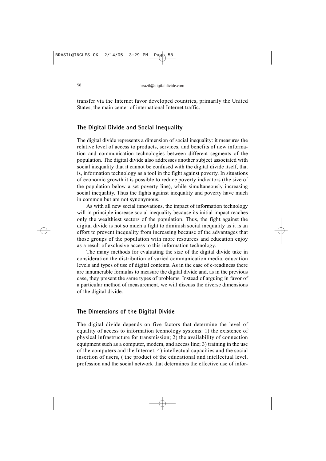transfer via the Internet favor developed countries, primarily the United States, the main center of international Internet traffic.

#### **The Digital Divide and Social Inequality**

The digital divide represents a dimension of social inequality: it measures the relative level of access to products, services, and benefits of new information and communication technologies between different segments of the population. The digital divide also addresses another subject associated with social inequality that it cannot be confused with the digital divide itself, that is, information technology as a tool in the fight against poverty. In situations of economic growth it is possible to reduce poverty indicators (the size of the population below a set poverty line), while simultaneously increasing social inequality. Thus the fights against inequality and poverty have much in common but are not synonymous.

As with all new social innovations, the impact of information technology will in principle increase social inequality because its initial impact reaches only the wealthiest sectors of the population. Thus, the fight against the digital divide is not so much a fight to diminish social inequality as it is an effort to prevent inequality from increasing because of the advantages that those groups of the population with more resources and education enjoy as a result of exclusive access to this information technology.

The many methods for evaluating the size of the digital divide take in consideration the distribution of varied communication media, education levels and types of use of digital contents. As in the case of e-readiness there are innumerable formulas to measure the digital divide and, as in the previous case, they present the same types of problems. Instead of arguing in favor of a particular method of measurement, we will discuss the diverse dimensions of the digital divide.

#### **The Dimensions of the Digital Divide**

The digital divide depends on five factors that determine the level of equality of access to information technology systems: 1) the existence of physical infrastructure for transmission; 2) the availability of connection equipment such as a computer, modem, and access line; 3) training in the use of the computers and the Internet; 4) intellectual capacities and the social insertion of users, ( the product of the educational and intellectual level, profession and the social network that determines the effective use of infor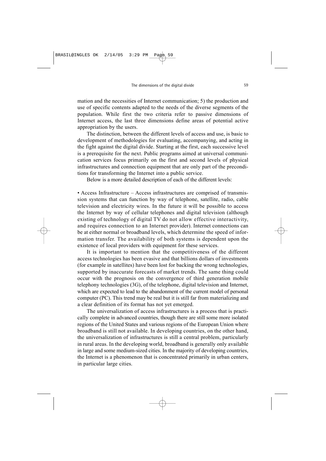mation and the necessities of Internet communication; 5) the production and use of specific contents adapted to the needs of the diverse segments of the population. While first the two criteria refer to passive dimensions of Internet access, the last three dimensions define areas of potential active appropriation by the users.

The distinction, between the different levels of access and use, is basic to development of methodologies for evaluating, accompanying, and acting in the fight against the digital divide. Starting at the first, each successive level is a prerequisite for the next. Public programs aimed at universal communication services focus primarily on the first and second levels of physical infrastructures and connection equipment that are only part of the preconditions for transforming the Internet into a public service.

Below is a more detailed description of each of the different levels:

• Access Infrastructure – Access infrastructures are comprised of transmission systems that can function by way of telephone, satellite, radio, cable television and electricity wires. In the future it will be possible to access the Internet by way of cellular telephones and digital television (although existing of technology of digital TV do not allow effective interactivity, and requires connection to an Internet provider). Internet connections can be at either normal or broadband levels, which determine the speed of information transfer. The availability of both systems is dependent upon the existence of local providers with equipment for these services.

It is important to mention that the competitiveness of the different access technologies has been evasive and that billions dollars of investments (for example in satellites) have been lost for backing the wrong technologies, supported by inaccurate forecasts of market trends. The same thing could occur with the prognosis on the convergence of third generation mobile telephony technologies (3G), of the telephone, digital television and Internet, which are expected to lead to the abandonment of the current model of personal computer (PC). This trend may be real but it is still far from materializing and a clear definition of its format has not yet emerged.

The universalization of access infrastructures is a process that is practically complete in advanced countries, though there are still some more isolated regions of the United States and various regions of the European Union where broadband is still not available. In developing countries, on the other hand, the universalization of infrastructures is still a central problem, particularly in rural areas. In the developing world, broadband is generally only available in large and some medium-sized cities. In the majority of developing countries, the Internet is a phenomenon that is concentrated primarily in urban centers, in particular large cities.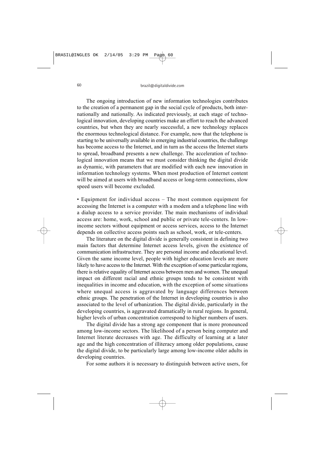The ongoing introduction of new information technologies contributes to the creation of a permanent gap in the social cycle of products, both internationally and nationally. As indicated previously, at each stage of technological innovation, developing countries make an effort to reach the advanced countries, but when they are nearly successful, a new technology replaces the enormous technological distance. For example, now that the telephone is starting to be universally available in emerging industrial countries, the challenge has become access to the Internet, and in turn as the access the Internet starts to spread, broadband presents a new challenge. The acceleration of technological innovation means that we must consider thinking the digital divide as dynamic, with parameters that are modified with each new innovation in information technology systems. When most production of Internet content will be aimed at users with broadband access or long-term connections, slow speed users will become excluded.

• Equipment for individual access – The most common equipment for accessing the Internet is a computer with a modem and a telephone line with a dialup access to a service provider. The main mechanisms of individual access are: home, work, school and public or private tele-centers. In lowincome sectors without equipment or access services, access to the Internet depends on collective access points such as school, work, or tele-centers.

The literature on the digital divide is generally consistent in defining two main factors that determine Internet access levels, given the existence of communication infrastructure. They are personal income and educational level. Given the same income level, people with higher education levels are more likely to have access to the Internet. With the exception of some particular regions, there is relative equality of Internet access between men and women. The unequal impact on different racial and ethnic groups tends to be consistent with inequalities in income and education, with the exception of some situations where unequal access is aggravated by language differences between ethnic groups. The penetration of the Internet in developing countries is also associated to the level of urbanization. The digital divide, particularly in the developing countries, is aggravated dramatically in rural regions. In general, higher levels of urban concentration correspond to higher numbers of users.

The digital divide has a strong age component that is more pronounced among low-income sectors. The likelihood of a person being computer and Internet literate decreases with age. The difficulty of learning at a later age and the high concentration of illiteracy among older populations, cause the digital divide, to be particularly large among low-income older adults in developing countries.

For some authors it is necessary to distinguish between active users, for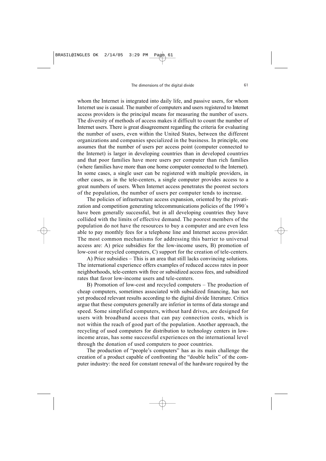whom the Internet is integrated into daily life, and passive users, for whom Internet use is casual. The number of computers and users registered to Internet access providers is the principal means for measuring the number of users. The diversity of methods of access makes it difficult to count the number of Internet users. There is great disagreement regarding the criteria for evaluating the number of users, even within the United States, between the different organizations and companies specialized in the business. In principle, one assumes that the number of users per access point (computer connected to the Internet) is larger in developing countries than in developed countries and that poor families have more users per computer than rich families (where families have more than one home computer connected to the Internet). In some cases, a single user can be registered with multiple providers, in other cases, as in the tele-centers, a single computer provides access to a great numbers of users. When Internet access penetrates the poorest sectors of the population, the number of users per computer tends to increase.

The policies of infrastructure access expansion, oriented by the privatization and competition generating telecommunications policies of the 1990´s have been generally successful, but in all developing countries they have collided with the limits of effective demand. The poorest members of the population do not have the resources to buy a computer and are even less able to pay monthly fees for a telephone line and Internet access provider. The most common mechanisms for addressing this barrier to universal access are: A) price subsidies for the low-income users, B) promotion of low-cost or recycled computers, C) support for the creation of tele-centers.

A) Price subsidies – This is an area that still lacks convincing solutions. The international experience offers examples of reduced access rates in poor neighborhoods, tele-centers with free or subsidized access fees, and subsidized rates that favor low-income users and tele-centers.

B) Promotion of low-cost and recycled computers – The production of cheap computers, sometimes associated with subsidized financing, has not yet produced relevant results according to the digital divide literature. Critics argue that these computers generally are inferior in terms of data storage and speed. Some simplified computers, without hard drives, are designed for users with broadband access that can pay connection costs, which is not within the reach of good part of the population. Another approach, the recycling of used computers for distribution to technology centers in lowincome areas, has some successful experiences on the international level through the donation of used computers to poor countries.

The production of "people's computers" has as its main challenge the creation of a product capable of confronting the "double helix" of the computer industry: the need for constant renewal of the hardware required by the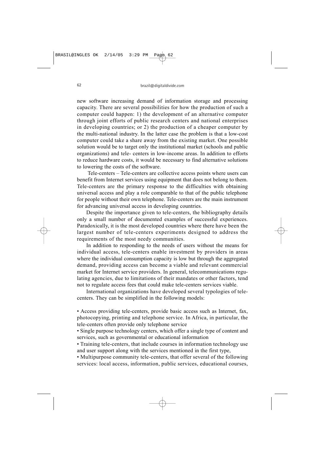new software increasing demand of information storage and processing capacity. There are several possibilities for how the production of such a computer could happen: 1) the development of an alternative computer through joint efforts of public research centers and national enterprises in developing countries; or 2) the production of a cheaper computer by the multi-national industry. In the latter case the problem is that a low-cost computer could take a share away from the existing market. One possible solution would be to target only the institutional market (schools and public organizations) and tele- centers in low-income areas. In addition to efforts to reduce hardware costs, it would be necessary to find alternative solutions to lowering the costs of the software.

Tele-centers – Tele-centers are collective access points where users can benefit from Internet services using equipment that does not belong to them. Tele-centers are the primary response to the difficulties with obtaining universal access and play a role comparable to that of the public telephone for people without their own telephone. Tele-centers are the main instrument for advancing universal access in developing countries.

Despite the importance given to tele-centers, the bibliography details only a small number of documented examples of successful experiences. Paradoxically, it is the most developed countries where there have been the largest number of tele-centers experiments designed to address the requirements of the most needy communities.

In addition to responding to the needs of users without the means for individual access, tele-centers enable investment by providers in areas where the individual consumption capacity is low but through the aggregated demand, providing access can become a viable and relevant commercial market for Internet service providers. In general, telecommunications regulating agencies, due to limitations of their mandates or other factors, tend not to regulate access fees that could make tele-centers services viable.

International organizations have developed several typologies of telecenters. They can be simplified in the following models:

• Access providing tele-centers, provide basic access such as Internet, fax, photocopying, printing and telephone service. In Africa, in particular, the tele-centers often provide only telephone service

• Single purpose technology centers, which offer a single type of content and services, such as governmental or educational information

• Training tele-centers, that include courses in information technology use and user support along with the services mentioned in the first type,

• Multipurpose community tele-centers, that offer several of the following services: local access, information, public services, educational courses,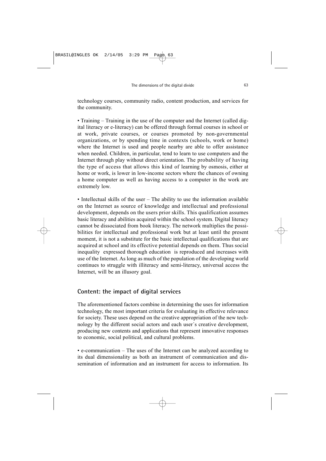technology courses, community radio, content production, and services for the community.

• Training – Training in the use of the computer and the Internet (called digital literacy or e-literacy) can be offered through formal courses in school or at work, private courses, or courses promoted by non-governmental organizations, or by spending time in contexts (schools, work or home) where the Internet is used and people nearby are able to offer assistance when needed. Children, in particular, tend to learn to use computers and the Internet through play without direct orientation. The probability of having the type of access that allows this kind of learning by osmosis, either at home or work, is lower in low-income sectors where the chances of owning a home computer as well as having access to a computer in the work are extremely low.

• Intellectual skills of the user – The ability to use the information available on the Internet as source of knowledge and intellectual and professional development, depends on the users prior skills. This qualification assumes basic literacy and abilities acquired within the school system. Digital literacy cannot be dissociated from book literacy. The network multiplies the possibilities for intellectual and professional work but at least until the present moment, it is not a substitute for the basic intellectual qualifications that are acquired at school and its effective potential depends on them. Thus social inequality expressed thorough education is reproduced and increases with use of the Internet. As long as much of the population of the developing world continues to struggle with illiteracy and semi-literacy, universal access the Internet, will be an illusory goal.

# **Content: the impact of digital services**

The aforementioned factors combine in determining the uses for information technology, the most important criteria for evaluating its effective relevance for society. These uses depend on the creative appropriation of the new technology by the different social actors and each user´s creative development, producing new contents and applications that represent innovative responses to economic, social political, and cultural problems.

• e-communication – The uses of the Internet can be analyzed according to its dual dimensionality as both an instrument of communication and dissemination of information and an instrument for access to information. Its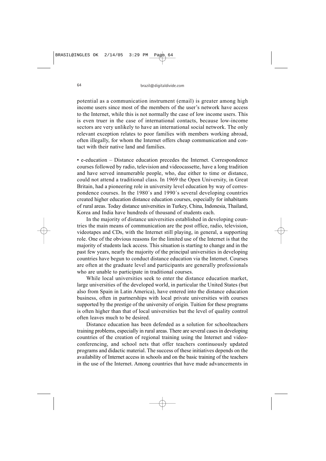potential as a communication instrument (email) is greater among high income users since most of the members of the user's network have access to the Internet, while this is not normally the case of low income users. This is even truer in the case of international contacts, because low-income sectors are very unlikely to have an international social network. The only relevant exception relates to poor families with members working abroad, often illegally, for whom the Internet offers cheap communication and contact with their native land and families.

• e-education – Distance education precedes the Internet. Correspondence courses followed by radio, television and videocassette, have a long tradition and have served innumerable people, who, due either to time or distance, could not attend a traditional class. In 1969 the Open University, in Great Britain, had a pioneering role in university level education by way of correspondence courses. In the 1980´s and 1990´s several developing countries created higher education distance education courses, especially for inhabitants of rural areas. Today distance universities in Turkey, China, Indonesia, Thailand, Korea and India have hundreds of thousand of students each.

In the majority of distance universities established in developing countries the main means of communication are the post office, radio, television, videotapes and CDs, with the Internet still playing, in general, a supporting role. One of the obvious reasons for the limited use of the Internet is that the majority of students lack access. This situation is starting to change and in the past few years, nearly the majority of the principal universities in developing countries have begun to conduct distance education via the Internet. Courses are often at the graduate level and participants are generally professionals who are unable to participate in traditional courses.

While local universities seek to enter the distance education market, large universities of the developed world, in particular the United States (but also from Spain in Latin America), have entered into the distance education business, often in partnerships with local private universities with courses supported by the prestige of the university of origin. Tuition for these programs is often higher than that of local universities but the level of quality control often leaves much to be desired.

Distance education has been defended as a solution for schoolteachers training problems, especially in rural areas. There are several cases in developing countries of the creation of regional training using the Internet and videoconferencing, and school nets that offer teachers continuously updated programs and didactic material. The success of these initiatives depends on the availability of Internet access in schools and on the basic training of the teachers in the use of the Internet. Among countries that have made advancements in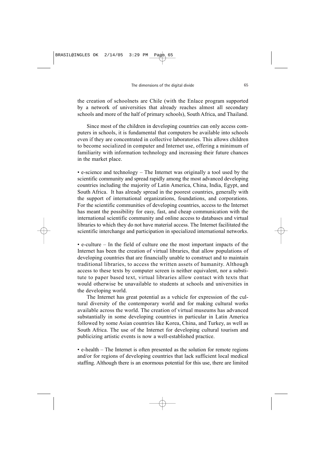the creation of schoolnets are Chile (with the Enlace program supported by a network of universities that already reaches almost all secondary schools and more of the half of primary schools), South Africa, and Thailand.

Since most of the children in developing countries can only access computers in schools, it is fundamental that computers be available into schools even if they are concentrated in collective laboratories. This allows children to become socialized in computer and Internet use, offering a minimum of familiarity with information technology and increasing their future chances in the market place.

• e-science and technology – The Internet was originally a tool used by the scientific community and spread rapidly among the most advanced developing countries including the majority of Latin America, China, India, Egypt, and South Africa. It has already spread in the poorest countries, generally with the support of international organizations, foundations, and corporations. For the scientific communities of developing countries, access to the Internet has meant the possibility for easy, fast, and cheap communication with the international scientific community and online access to databases and virtual libraries to which they do not have material access. The Internet facilitated the scientific interchange and participation in specialized international networks.

• e-culture – In the field of culture one the most important impacts of the Internet has been the creation of virtual libraries, that allow populations of developing countries that are financially unable to construct and to maintain traditional libraries, to access the written assets of humanity. Although access to these texts by computer screen is neither equivalent, nor a substitute to paper based text, virtual libraries allow contact with texts that would otherwise be unavailable to students at schools and universities in the developing world.

The Internet has great potential as a vehicle for expression of the cultural diversity of the contemporary world and for making cultural works available across the world. The creation of virtual museums has advanced substantially in some developing countries in particular in Latin America followed by some Asian countries like Korea, China, and Turkey, as well as South Africa. The use of the Internet for developing cultural tourism and publicizing artistic events is now a well-established practice.

• e-health – The Internet is often presented as the solution for remote regions and/or for regions of developing countries that lack sufficient local medical staffing. Although there is an enormous potential for this use, there are limited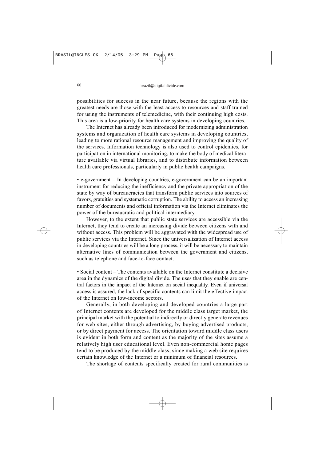possibilities for success in the near future, because the regions with the greatest needs are those with the least access to resources and staff trained for using the instruments of telemedicine, with their continuing high costs. This area is a low-priority for health care systems in developing countries.

The Internet has already been introduced for modernizing administration systems and organization of health care systems in developing countries, leading to more rational resource management and improving the quality of the services. Information technology is also used to control epidemics, for participation in international monitoring, to make the body of medical literature available via virtual libraries, and to distribute information between health care professionals, particularly in public health campaigns.

• e-government – In developing countries, e-government can be an important instrument for reducing the inefficiency and the private appropriation of the state by way of bureaucracies that transform public services into sources of favors, gratuities and systematic corruption. The ability to access an increasing number of documents and official information via the Internet eliminates the power of the bureaucratic and political intermediary.

However, to the extent that public state services are accessible via the Internet, they tend to create an increasing divide between citizens with and without access. This problem will be aggravated with the widespread use of public services via the Internet. Since the universalization of Internet access in developing countries will be a long process, it will be necessary to maintain alternative lines of communication between the government and citizens, such as telephone and face-to-face contact.

• Social content – The contents available on the Internet constitute a decisive area in the dynamics of the digital divide. The uses that they enable are central factors in the impact of the Internet on social inequality. Even if universal access is assured, the lack of specific contents can limit the effective impact of the Internet on low-income sectors.

Generally, in both developing and developed countries a large part of Internet contents are developed for the middle class target market, the principal market with the potential to indirectly or directly generate revenues for web sites, either through advertising, by buying advertised products, or by direct payment for access. The orientation toward middle class users is evident in both form and content as the majority of the sites assume a relatively high user educational level. Even non-commercial home pages tend to be produced by the middle class, since making a web site requires certain knowledge of the Internet or a minimum of financial resources.

The shortage of contents specifically created for rural communities is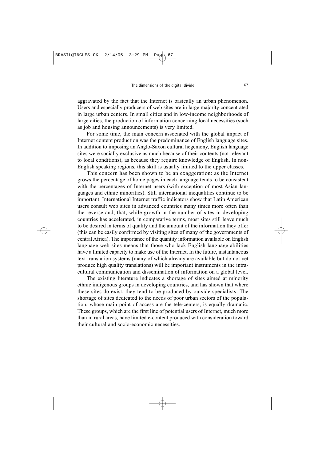aggravated by the fact that the Internet is basically an urban phenomenon. Users and especially producers of web sites are in large majority concentrated in large urban centers. In small cities and in low-income neighborhoods of large cities, the production of information concerning local necessities (such as job and housing announcements) is very limited.

For some time, the main concern associated with the global impact of Internet content production was the predominance of English language sites. In addition to imposing an Anglo-Saxon cultural hegemony, English language sites were socially exclusive as much because of their contents (not relevant to local conditions), as because they require knowledge of English. In non-English speaking regions, this skill is usually limited to the upper classes.

This concern has been shown to be an exaggeration: as the Internet grows the percentage of home pages in each language tends to be consistent with the percentages of Internet users (with exception of most Asian languages and ethnic minorities). Still international inequalities continue to be important. International Internet traffic indicators show that Latin American users consult web sites in advanced countries many times more often than the reverse and, that, while growth in the number of sites in developing countries has accelerated, in comparative terms, most sites still leave much to be desired in terms of quality and the amount of the information they offer (this can be easily confirmed by visiting sites of many of the governments of central Africa). The importance of the quantity information available on English language web sites means that those who lack English language abilities have a limited capacity to make use of the Internet. In the future, instantaneous text translation systems (many of which already are available but do not yet produce high quality translations) will be important instruments in the intracultural communication and dissemination of information on a global level.

The existing literature indicates a shortage of sites aimed at minority ethnic indigenous groups in developing countries, and has shown that where these sites do exist, they tend to be produced by outside specialists. The shortage of sites dedicated to the needs of poor urban sectors of the population, whose main point of access are the tele-centers, is equally dramatic. These groups, which are the first line of potential users of Internet, much more than in rural areas, have limited e-content produced with consideration toward their cultural and socio-economic necessities.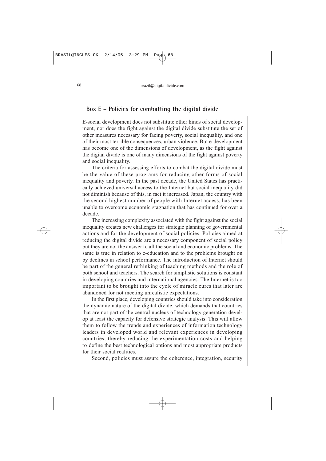#### **Box E – Policies for combatting the digital divide**

E-social development does not substitute other kinds of social development, nor does the fight against the digital divide substitute the set of other measures necessary for facing poverty, social inequality, and one of their most terrible consequences, urban violence. But e-development has become one of the dimensions of development, as the fight against the digital divide is one of many dimensions of the fight against poverty and social inequality.

The criteria for assessing efforts to combat the digital divide must be the value of these programs for reducing other forms of social inequality and poverty. In the past decade, the United States has practically achieved universal access to the Internet but social inequality did not diminish because of this, in fact it increased. Japan, the country with the second highest number of people with Internet access, has been unable to overcome economic stagnation that has continued for over a decade.

The increasing complexity associated with the fight against the social inequality creates new challenges for strategic planning of governmental actions and for the development of social policies. Policies aimed at reducing the digital divide are a necessary component of social policy but they are not the answer to all the social and economic problems. The same is true in relation to e-education and to the problems brought on by declines in school performance. The introduction of Internet should be part of the general rethinking of teaching methods and the role of both school and teachers. The search for simplistic solutions is constant in developing countries and international agencies. The Internet is too important to be brought into the cycle of miracle cures that later are abandoned for not meeting unrealistic expectations.

In the first place, developing countries should take into consideration the dynamic nature of the digital divide, which demands that countries that are not part of the central nucleus of technology generation develop at least the capacity for defensive strategic analysis. This will allow them to follow the trends and experiences of information technology leaders in developed world and relevant experiences in developing countries, thereby reducing the experimentation costs and helping to define the best technological options and most appropriate products for their social realities.

Second, policies must assure the coherence, integration, security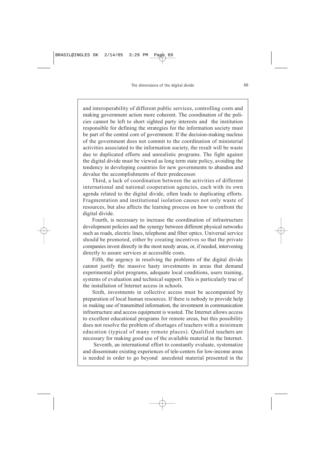and interoperability of different public services, controlling costs and making government action more coherent. The coordination of the policies cannot be left to short sighted party interests and the institution responsible for defining the strategies for the information society must be part of the central core of government. If the decision-making nucleus of the government does not commit to the coordination of ministerial activities associated to the information society, the result will be waste due to duplicated efforts and unrealistic programs. The fight against the digital divide must be viewed as long term state policy, avoiding the tendency in developing countries for new governments to abandon and devalue the accomplishments of their predecessor.

Third, a lack of coordination between the activities of different international and national cooperation agencies, each with its own agenda related to the digital divide, often leads to duplicating efforts. Fragmentation and institutional isolation causes not only waste of resources, but also affects the learning process on how to confront the digital divide.

Fourth, is necessary to increase the coordination of infrastructure development policies and the synergy between different physical networks such as roads, electric lines, telephone and fiber optics. Universal service should be promoted, either by creating incentives so that the private companies invest directly in the most needy areas, or, if needed, intervening directly to assure services at accessible costs.

Fifth, the urgency in resolving the problems of the digital divide cannot justify the massive hasty investments in areas that demand experimental pilot programs, adequate local conditions, users training, systems of evaluation and technical support. This is particularly true of the installation of Internet access in schools.

Sixth, investments in collective access must be accompanied by preparation of local human resources. If there is nobody to provide help in making use of transmitted information, the investment in communication infrastructure and access equipment is wasted. The Internet allows access to excellent educational programs for remote areas, but this possibility does not resolve the problem of shortages of teachers with a minimum education (typical of many remote places). Qualified teachers are necessary for making good use of the available material in the Internet.

Seventh, an international effort to constantly evaluate, systematize and disseminate existing experiences of tele-centers for low-income areas is needed in order to go beyond anecdotal material presented in the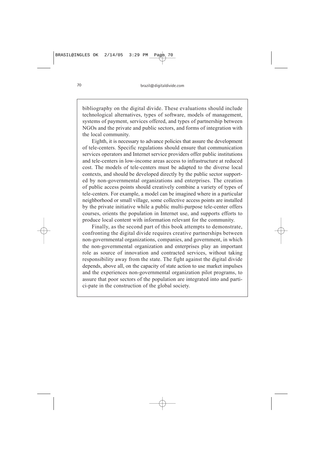bibliography on the digital divide. These evaluations should include technological alternatives, types of software, models of management, systems of payment, services offered, and types of partnership between NGOs and the private and public sectors, and forms of integration with the local community.

Eighth, it is necessary to advance policies that assure the development of tele-centers. Specific regulations should ensure that communication services operators and Internet service providers offer public institutions and tele-centers in low-income areas access to infrastructure at reduced cost. The models of tele-centers must be adapted to the diverse local contexts, and should be developed directly by the public sector supported by non-governmental organizations and enterprises. The creation of public access points should creatively combine a variety of types of tele-centers. For example, a model can be imagined where in a particular neighborhood or small village, some collective access points are installed by the private initiative while a public multi-purpose tele-center offers courses, orients the population in Internet use, and supports efforts to produce local content with information relevant for the community.

Finally, as the second part of this book attempts to demonstrate, confronting the digital divide requires creative partnerships between non-governmental organizations, companies, and government, in which the non-governmental organization and enterprises play an important role as source of innovation and contracted services, without taking responsibility away from the state. The fight against the digital divide depends, above all, on the capacity of state action to use market impulses and the experiences non-governmental organization pilot programs, to assure that poor sectors of the population are integrated into and partici-pate in the construction of the global society.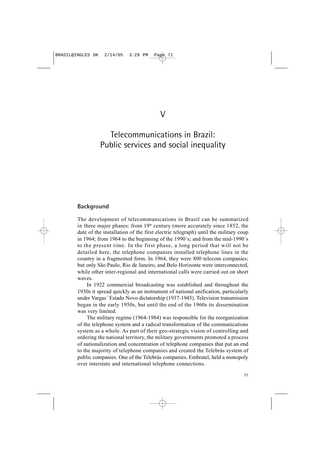# Telecommunications in Brazil: Public services and social inequality

#### **Background**

The development of telecommunications in Brazil can be summarized in three major phases: from  $19<sup>th</sup>$  century (more accurately since 1852, the date of the installation of the first electric telegraph) until the military coup in 1964; from 1964 to the beginning of the 1990´s; and from the mid-1990´s to the present time. In the first phase, a long period that will not be detailed here, the telephone companies installed telephone lines in the country in a fragmented form. In 1964, they were 800 telecom companies; but only São Paulo, Rio de Janeiro, and Belo Horizonte were interconnected, while other inter-regional and international calls were carried out on short waves.

In 1922 commercial broadcasting was established and throughout the 1930s it spread quickly as an instrument of national unification, particularly under Vargas´ Estado Novo dictatorship (1937-1945). Television transmission began in the early 1950s, but until the end of the 1960s its dissemination was very limited.

The military regime (1964-1984) was responsible for the reorganization of the telephone system and a radical transformation of the communications system as a whole. As part of their geo-strategic vision of controlling and ordering the national territory, the military governments promoted a process of nationalization and concentration of telephone companies that put an end to the majority of telephone companies and created the Telebrás system of public companies. One of the Telebrás companies, Embratel, held a monopoly over interstate and international telephone connections.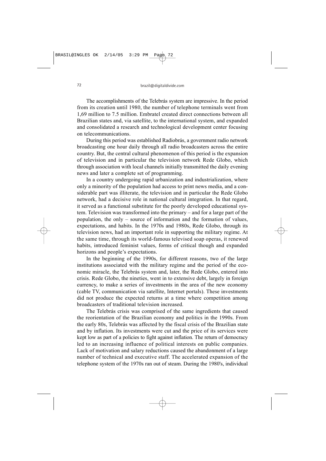The accomplishments of the Telebrás system are impressive. In the period from its creation until 1980, the number of telephone terminals went from 1,69 million to 7.5 million. Embratel created direct connections between all Brazilian states and, via satellite, to the international system, and expanded and consolidated a research and technological development center focusing on telecommunications.

During this period was established Radiobrás, a government radio network broadcasting one hour daily through all radio broadcasters across the entire country. But, the central cultural phenomenon of this period is the expansion of television and in particular the television network Rede Globo, which through association with local channels initially transmitted the daily evening news and later a complete set of programming.

In a country undergoing rapid urbanization and industrialization, where only a minority of the population had access to print news media, and a considerable part was illiterate, the television and in particular the Rede Globo network, had a decisive role in national cultural integration. In that regard, it served as a functional substitute for the poorly developed educational system. Television was transformed into the primary – and for a large part of the population, the only – source of information and the formation of values, expectations, and habits. In the 1970s and 1980s, Rede Globo, through its television news, had an important role in supporting the military regime. At the same time, through its world-famous televised soap operas, it renewed habits, introduced feminist values, forms of critical though and expanded horizons and people's expectations.

In the beginning of the 1990s, for different reasons, two of the large institutions associated with the military regime and the period of the economic miracle, the Telebrás system and, later, the Rede Globo, entered into crisis. Rede Globo, the nineties, went in to extensive debt, largely in foreign currency, to make a series of investments in the area of the new economy (cable TV, communication via satellite, Internet portals). These investments did not produce the expected returns at a time where competition among broadcasters of traditional television increased.

The Telebrás crisis was comprised of the same ingredients that caused the reorientation of the Brazilian economy and politics in the 1990s. From the early 80s, Telebrás was affected by the fiscal crisis of the Brazilian state and by inflation. Its investments were cut and the price of its services were kept low as part of a policies to fight against inflation. The return of democracy led to an increasing influence of political interests on public companies. Lack of motivation and salary reductions caused the abandonment of a large number of technical and executive staff. The accelerated expansion of the telephone system of the 1970s ran out of steam. During the 1980's, individual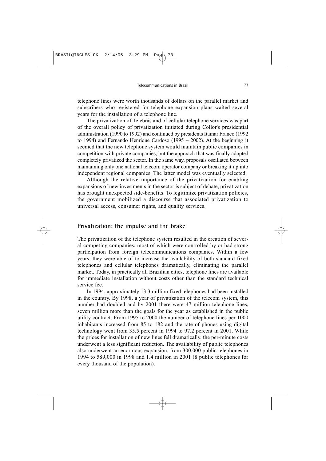telephone lines were worth thousands of dollars on the parallel market and subscribers who registered for telephone expansion plans waited several years for the installation of a telephone line.

The privatization of Telebrás and of cellular telephone services was part of the overall policy of privatization initiated during Collor's presidential administration (1990 to 1992) and continued by presidents Itamar Franco (1992 to 1994) and Fernando Henrique Cardoso (1995 – 2002). At the beginning it seemed that the new telephone system would maintain public companies in competition with private companies, but the approach that was finally adopted completely privatized the sector. In the same way, proposals oscillated between maintaining only one national telecom operator company or breaking it up into independent regional companies. The latter model was eventually selected.

Although the relative importance of the privatization for enabling expansions of new investments in the sector is subject of debate, privatization has brought unexpected side-benefits. To legitimize privatization policies, the government mobilized a discourse that associated privatization to universal access, consumer rights, and quality services.

## **Privatization: the impulse and the brake**

The privatization of the telephone system resulted in the creation of several competing companies, most of which were controlled by or had strong participation from foreign telecommunications companies. Within a few years, they were able of to increase the availability of both standard fixed telephones and cellular telephones dramatically, eliminating the parallel market. Today, in practically all Brazilian cities, telephone lines are available for immediate installation without costs other than the standard technical service fee.

In 1994, approximately 13.3 million fixed telephones had been installed in the country. By 1998, a year of privatization of the telecom system, this number had doubled and by 2001 there were 47 million telephone lines, seven million more than the goals for the year as established in the public utility contract. From 1995 to 2000 the number of telephone lines per 1000 inhabitants increased from 85 to 182 and the rate of phones using digital technology went from 35.5 percent in 1994 to 97.2 percent in 2001. While the prices for installation of new lines fell dramatically, the per-minute costs underwent a less significant reduction. The availability of public telephones also underwent an enormous expansion, from 300,000 public telephones in 1994 to 589,000 in 1998 and 1.4 million in 2001 (8 public telephones for every thousand of the population).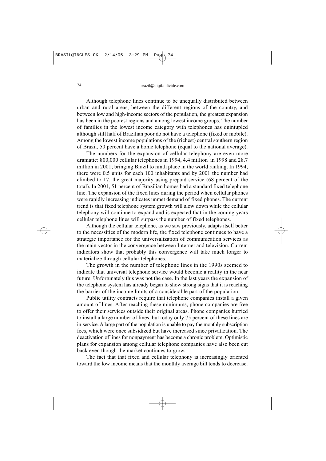Although telephone lines continue to be unequally distributed between urban and rural areas, between the different regions of the country, and between low and high-income sectors of the population, the greatest expansion has been in the poorest regions and among lowest income groups. The number of families in the lowest income category with telephones has quintupled although still half of Brazilian poor do not have a telephone (fixed or mobile). Among the lowest income populations of the (richest) central southern region of Brazil, 50 percent have a home telephone (equal to the national average).

The numbers for the expansion of cellular telephony are even more dramatic: 800,000 cellular telephones in 1994, 4.4 million in 1998 and 28.7 million in 2001; bringing Brazil to ninth place in the world ranking. In 1994, there were 0.5 units for each 100 inhabitants and by 2001 the number had climbed to 17, the great majority using prepaid service (68 percent of the total). In 2001, 51 percent of Brazilian homes had a standard fixed telephone line. The expansion of the fixed lines during the period when cellular phones were rapidly increasing indicates unmet demand of fixed phones. The current trend is that fixed telephone system growth will slow down while the cellular telephony will continue to expand and is expected that in the coming years cellular telephone lines will surpass the number of fixed telephones.

Although the cellular telephone, as we saw previously, adapts itself better to the necessities of the modern life, the fixed telephone continues to have a strategic importance for the universalization of communication services as the main vector in the convergence between Internet and television. Current indicators show that probably this convergence will take much longer to materialize through cellular telephones.

The growth in the number of telephone lines in the 1990s seemed to indicate that universal telephone service would become a reality in the near future. Unfortunately this was not the case. In the last years the expansion of the telephone system has already began to show strong signs that it is reaching the barrier of the income limits of a considerable part of the population.

Public utility contracts require that telephone companies install a given amount of lines. After reaching these minimums, phone companies are free to offer their services outside their original areas. Phone companies hurried to install a large number of lines, but today only 75 percent of these lines are in service. A large part of the population is unable to pay the monthly subscription fees, which were once subsidized but have increased since privatization. The deactivation of lines for nonpayment has become a chronic problem. Optimistic plans for expansion among cellular telephone companies have also been cut back even though the market continues to grow.

The fact that that fixed and cellular telephony is increasingly oriented toward the low income means that the monthly average bill tends to decrease.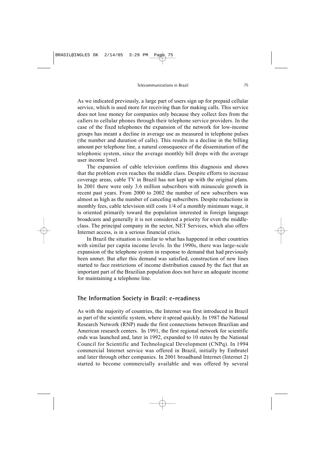As we indicated previously, a large part of users sign up for prepaid cellular service, which is used more for receiving than for making calls. This service does not lose money for companies only because they collect fees from the callers to cellular phones through their telephone service providers. In the case of the fixed telephones the expansion of the network for low-income groups has meant a decline in average use as measured in telephone pulses (the number and duration of calls). This results in a decline in the billing amount per telephone line, a natural consequence of the dissemination of the telephonic system, since the average monthly bill drops with the average user income level.

The expansion of cable television confirms this diagnosis and shows that the problem even reaches the middle class. Despite efforts to increase coverage areas, cable TV in Brazil has not kept up with the original plans. In 2001 there were only 3.6 million subscribers with minuscule growth in recent past years. From 2000 to 2002 the number of new subscribers was almost as high as the number of canceling subscribers. Despite reductions in monthly fees, cable television still costs 1/4 of a monthly minimum wage, it is oriented primarily toward the population interested in foreign language broadcasts and generally it is not considered a priority for even the middleclass. The principal company in the sector, NET Services, which also offers Internet access, is in a serious financial crisis.

In Brazil the situation is similar to what has happened in other countries with similar per capita income levels. In the 1990s, there was large-scale expansion of the telephone system in response to demand that had previously been unmet. But after this demand was satisfied, construction of new lines started to face restrictions of income distribution caused by the fact that an important part of the Brazilian population does not have an adequate income for maintaining a telephone line.

#### **The Information Society in Brazil: e-readiness**

As with the majority of countries, the Internet was first introduced in Brazil as part of the scientific system, where it spread quickly. In 1987 the National Research Network (RNP) made the first connections between Brazilian and American research centers. In 1991, the first regional network for scientific ends was launched and, later in 1992, expanded to 10 states by the National Council for Scientific and Technological Development (CNPq). In 1994 commercial Internet service was offered in Brazil, initially by Embratel and later through other companies. In 2001 broadband Internet (Internet 2) started to become commercially available and was offered by several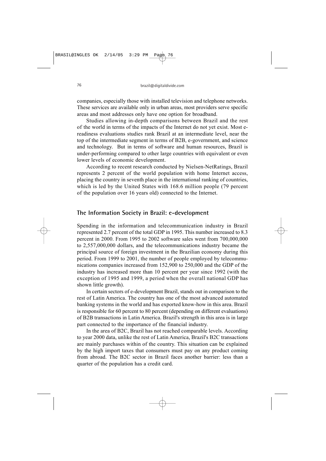companies, especially those with installed television and telephone networks. These services are available only in urban areas, most providers serve specific areas and most addresses only have one option for broadband.

Studies allowing in-depth comparisons between Brazil and the rest of the world in terms of the impacts of the Internet do not yet exist. Most ereadiness evaluations studies rank Brazil at an intermediate level, near the top of the intermediate segment in terms of B2B, e-government, and science and technology. But in terms of software and human resources, Brazil is under-performing compared to other large countries with equivalent or even lower levels of economic development.

According to recent research conducted by Nielsen-NetRatings, Brazil represents 2 percent of the world population with home Internet access, placing the country in seventh place in the international ranking of countries, which is led by the United States with 168.6 million people (79 percent of the population over 16 years old) connected to the Internet.

#### **The Information Society in Brazil: e-development**

Spending in the information and telecommunication industry in Brazil represented 2.7 percent of the total GDP in 1995. This number increased to 8.3 percent in 2000. From 1995 to 2002 software sales went from 700,000,000 to 2,557,000,000 dollars, and the telecommunications industry became the principal source of foreign investment in the Brazilian economy during this period. From 1999 to 2001, the number of people employed by telecommunications companies increased from 152,900 to 250,000 and the GDP of the industry has increased more than 10 percent per year since 1992 (with the exception of 1995 and 1999, a period when the overall national GDP has shown little growth).

In certain sectors of e-development Brazil, stands out in comparison to the rest of Latin America. The country has one of the most advanced automated banking systems in the world and has exported know-how in this area. Brazil is responsible for 60 percent to 80 percent (depending on different evaluations) of B2B transactions in Latin America. Brazil's strength in this area is in large part connected to the importance of the financial industry.

In the area of B2C, Brazil has not reached comparable levels. According to year 2000 data, unlike the rest of Latin America, Brazil's B2C transactions are mainly purchases within of the country. This situation can be explained by the high import taxes that consumers must pay on any product coming from abroad. The B2C sector in Brazil faces another barrier: less than a quarter of the population has a credit card.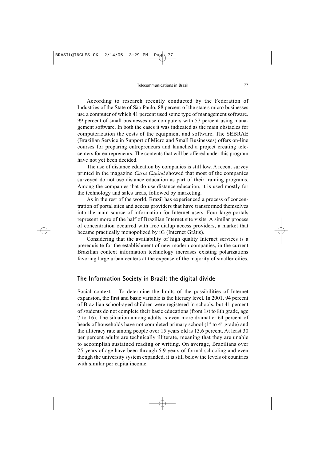According to research recently conducted by the Federation of Industries of the State of São Paulo, 88 percent of the state's micro businesses use a computer of which 41 percent used some type of management software. 99 percent of small businesses use computers with 57 percent using management software. In both the cases it was indicated as the main obstacles for computerization the costs of the equipment and software. The SEBRAE (Brazilian Service in Support of Micro and Small Businesses) offers on-line courses for preparing entrepreneurs and launched a project creating telecenters for entrepreneurs. The contents that will be offered under this program have not yet been decided.

The use of distance education by companies is still low. A recent survey printed in the magazine *Carta Capital* showed that most of the companies surveyed do not use distance education as part of their training programs. Among the companies that do use distance education, it is used mostly for the technology and sales areas, followed by marketing.

As in the rest of the world, Brazil has experienced a process of concentration of portal sites and access providers that have transformed themselves into the main source of information for Internet users. Four large portals represent more of the half of Brazilian Internet site visits. A similar process of concentration occurred with free dialup access providers, a market that became practically monopolized by iG (Internet Grátis).

Considering that the availability of high quality Internet services is a prerequisite for the establishment of new modern companies, in the current Brazilian context information technology increases existing polarizations favoring large urban centers at the expense of the majority of smaller cities.

#### **The Information Society in Brazil: the digital divide**

Social context – To determine the limits of the possibilities of Internet expansion, the first and basic variable is the literacy level. In 2001, 94 percent of Brazilian school-aged children were registered in schools, but 41 percent of students do not complete their basic educations (from 1st to 8th grade, age 7 to 16). The situation among adults is even more dramatic: 64 percent of heads of households have not completed primary school ( $1<sup>st</sup>$  to  $4<sup>th</sup>$  grade) and the illiteracy rate among people over 15 years old is 13.6 percent. At least 30 per percent adults are technically illiterate, meaning that they are unable to accomplish sustained reading or writing. On average, Brazilians over 25 years of age have been through 5.9 years of formal schooling and even though the university system expanded, it is still below the levels of countries with similar per capita income.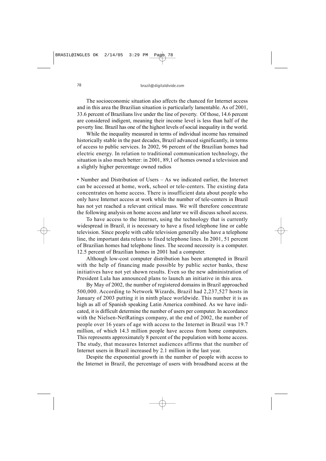The socioeconomic situation also affects the chanced for Internet access and in this area the Brazilian situation is particularly lamentable. As of 2001, 33.6 percent of Brazilians live under the line of poverty. Of those, 14.6 percent are considered indigent, meaning their income level is less than half of the poverty line. Brazil has one of the highest levels of social inequality in the world.

While the inequality measured in terms of individual income has remained historically stable in the past decades, Brazil advanced significantly, in terms of access to public services. In 2002, 96 percent of the Brazilian homes had electric energy. In relation to traditional communication technology, the situation is also much better: in 2001, 89,1 of homes owned a television and a slightly higher percentage owned radios

• Number and Distribution of Users – As we indicated earlier, the Internet can be accessed at home, work, school or tele-centers. The existing data concentrates on home access. There is insufficient data about people who only have Internet access at work while the number of tele-centers in Brazil has not yet reached a relevant critical mass. We will therefore concentrate the following analysis on home access and later we will discuss school access.

To have access to the Internet, using the technology that is currently widespread in Brazil, it is necessary to have a fixed telephone line or cable television. Since people with cable television generally also have a telephone line, the important data relates to fixed telephone lines. In 2001, 51 percent of Brazilian homes had telephone lines. The second necessity is a computer. 12.5 percent of Brazilian homes in 2001 had a computer.

Although low-cost computer distribution has been attempted in Brazil with the help of financing made possible by public sector banks, these initiatives have not yet shown results. Even so the new administration of President Lula has announced plans to launch an initiative in this area.

By May of 2002, the number of registered domains in Brazil approached 500,000. According to Network Wizards, Brazil had 2,237,527 hosts in January of 2003 putting it in ninth place worldwide. This number it is as high as all of Spanish speaking Latin America combined. As we have indicated, it is difficult determine the number of users per computer. In accordance with the Nielsen-NetRatings company, at the end of 2002, the number of people over 16 years of age with access to the Internet in Brazil was 19.7 million, of which 14.3 million people have access from home computers. This represents approximately 8 percent of the population with home access. The study, that measures Internet audiences affirms that the number of Internet users in Brazil increased by 2.1 million in the last year.

Despite the exponential growth in the number of people with access to the Internet in Brazil, the percentage of users with broadband access at the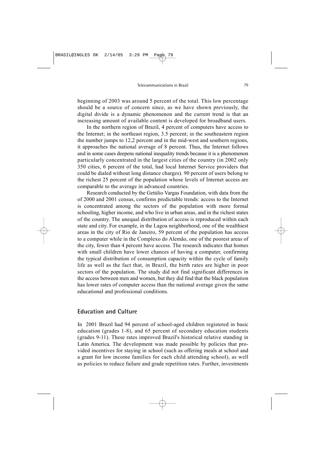beginning of 2003 was around 5 percent of the total. This low percentage should be a source of concern since, as we have shown previously, the digital divide is a dynamic phenomenon and the current trend is that an increasing amount of available content is developed for broadband users.

In the northern region of Brazil, 4 percent of computers have access to the Internet; in the northeast region, 3.5 percent; in the southeastern region the number jumps to 12,2 percent and in the mid-west and southern regions, it approaches the national average of 8 percent. Thus, the Internet follows and in some cases deepens national inequality trends because it is a phenomenon particularly concentrated in the largest cities of the country (in 2002 only 350 cities, 6 percent of the total, had local Internet Service providers that could be dialed without long distance charges). 90 percent of users belong to the richest 25 percent of the population whose levels of Internet access are comparable to the average in advanced countries.

Research conducted by the Getúlio Vargas Foundation, with data from the of 2000 and 2001 census, confirms predictable trends: access to the Internet is concentrated among the sectors of the population with more formal schooling, higher income, and who live in urban areas, and in the richest states of the country. The unequal distribution of access is reproduced within each state and city. For example, in the Lagoa neighborhood, one of the wealthiest areas in the city of Rio de Janeiro, 59 percent of the population has access to a computer while in the Complexo do Alemão, one of the poorest areas of the city, fewer than 4 percent have access. The research indicates that homes with small children have lower chances of having a computer, confirming the typical distribution of consumption capacity within the cycle of family life as well as the fact that, in Brazil, the birth rates are higher in poor sectors of the population. The study did not find significant differences in the access between men and women, but they did find that the black population has lower rates of computer access than the national average given the same educational and professional conditions.

## **Education and Culture**

In 2001 Brazil had 94 percent of school-aged children registered in basic education (grades 1-8), and 65 percent of secondary education students (grades 9-11). These rates improved Brazil's historical relative standing in Latin America. The development was made possible by policies that provided incentives for staying in school (such as offering meals at school and a grant for low income families for each child attending school), as well as policies to reduce failure and grade repetition rates. Further, investments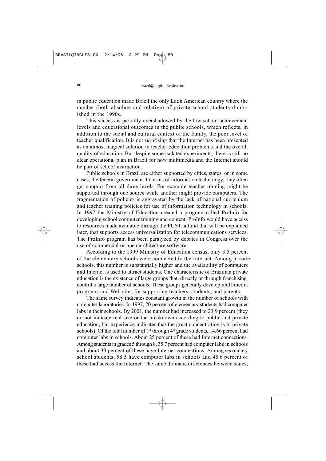in public education made Brazil the only Latin American country where the number (both absolute and relative) of private school students diminished in the 1990s.

This success is partially overshadowed by the low school achievement levels and educational outcomes in the public schools, which reflects, in addition to the social and cultural context of the family, the poor level of teacher qualification. It is not surprising that the Internet has been presented as an almost magical solution to teacher education problems and the overall quality of education. But despite some isolated experiments, there is still no clear operational plan in Brazil for how multimedia and the Internet should be part of school instruction.

Public schools in Brazil are either supported by cities, states, or in some cases, the federal government. In terms of information technology, they often get support from all three levels. For example teacher training might be supported through one source while another might provide computers. The fragmentation of policies is aggravated by the lack of national curriculum and teacher training policies for use of information technology in schools. In 1997 the Ministry of Education created a program called ProInfo for developing school computer training and content. ProInfo would have access to resources made available through the FUST, a fund that will be explained later, that supports access universalization for telecommunications services. The ProInfo program has been paralyzed by debates in Congress over the use of commercial or open architecture software.

According to the 1999 Ministry of Education census, only 3.5 percent of the elementary schools were connected to the Internet. Among private schools, this number is substantially higher and the availability of computers and Internet is used to attract students. One characteristic of Brazilian private education is the existence of large groups that, directly or through franchising, control a large number of schools. These groups generally develop multimedia programs and Web sites for supporting teachers, students, and parents.

The same survey indicates constant growth in the number of schools with computer laboratories. In 1997, 20 percent of elementary students had computer labs in their schools. By 2001, the number had increased to 23.9 percent (they do not indicate real size or the breakdown according to public and private education, but experience indicates that the great concentration is in private schools). Of the total number of  $1<sup>st</sup>$  through  $4<sup>th</sup>$  grade students, 14.66 percent had computer labs in schools. About 25 percent of these had Internet connections. Among students in grades 5 through 8, 35.7 percent had computer labs in schools and about 33 percent of these have Internet connections. Among secondary school students, 58.5 have computer labs in schools and 45.6 percent of these had access the Internet. The same dramatic differences between states,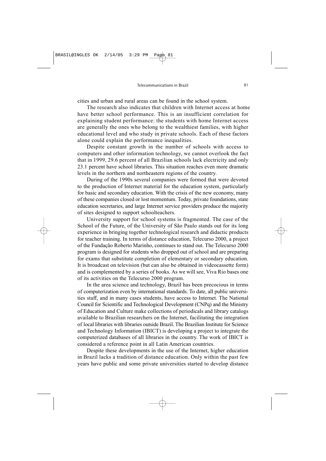cities and urban and rural areas can be found in the school system.

The research also indicates that children with Internet access at home have better school performance. This is an insufficient correlation for explaining student performance: the students with home Internet access are generally the ones who belong to the wealthiest families, with higher educational level and who study in private schools. Each of these factors alone could explain the performance inequalities.

Despite constant growth in the number of schools with access to computers and other information technology, we cannot overlook the fact that in 1999, 29.6 percent of all Brazilian schools lack electricity and only 23.1 percent have school libraries. This situation reaches even more dramatic levels in the northern and northeastern regions of the country.

During of the 1990s several companies were formed that were devoted to the production of Internet material for the education system, particularly for basic and secondary education. With the crisis of the new economy, many of these companies closed or lost momentum. Today, private foundations, state education secretaries, and large Internet service providers produce the majority of sites designed to support schoolteachers.

University support for school systems is fragmented. The case of the School of the Future, of the University of São Paulo stands out for its long experience in bringing together technological research and didactic products for teacher training. In terms of distance education, Telecurso 2000, a project of the Fundação Roberto Marinho, continues to stand out. The Telecurso 2000 program is designed for students who dropped out of school and are preparing for exams that substitute completion of elementary or secondary education. It is broadcast on television (but can also be obtained in videocassette form) and is complemented by a series of books. As we will see, Viva Rio bases one of its activities on the Telecurso 2000 program.

In the area science and technology, Brazil has been precocious in terms of computerization even by international standards. To date, all public universities staff, and in many cases students, have access to Internet. The National Council for Scientific and Technological Development (CNPq) and the Ministry of Education and Culture make collections of periodicals and library catalogs available to Brazilian researchers on the Internet, facilitating the integration of local libraries with libraries outside Brazil. The Brazilian Institute for Science and Technology Information (IBICT) is developing a project to integrate the computerized databases of all libraries in the country. The work of IBICT is considered a reference point in all Latin American countries.

Despite these developments in the use of the Internet, higher education in Brazil lacks a tradition of distance education. Only within the past few years have public and some private universities started to develop distance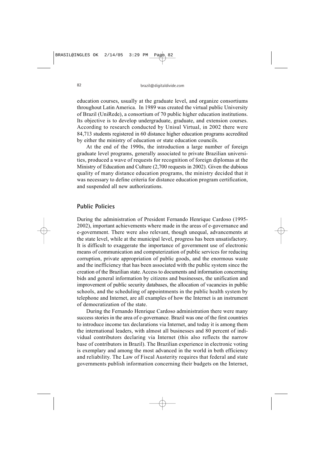education courses, usually at the graduate level, and organize consortiums throughout Latin America. In 1989 was created the virtual public University of Brazil (UniRede), a consortium of 70 public higher education institutions. Its objective is to develop undergraduate, graduate, and extension courses. According to research conducted by Unisul Virtual, in 2002 there were 84,713 students registered in 60 distance higher education programs accredited by either the ministry of education or state education councils.

At the end of the 1990s, the introduction a large number of foreign graduate level programs, generally associated to private Brazilian universities, produced a wave of requests for recognition of foreign diplomas at the Ministry of Education and Culture (2,700 requests in 2002). Given the dubious quality of many distance education programs, the ministry decided that it was necessary to define criteria for distance education program certification, and suspended all new authorizations.

#### **Public Policies**

During the administration of President Fernando Henrique Cardoso (1995- 2002), important achievements where made in the areas of e-governance and e-government. There were also relevant, though unequal, advancements at the state level, while at the municipal level, progress has been unsatisfactory. It is difficult to exaggerate the importance of government use of electronic means of communication and computerization of public services for reducing corruption, private appropriation of public goods, and the enormous waste and the inefficiency that has been associated with the public system since the creation of the Brazilian state. Access to documents and information concerning bids and general information by citizens and businesses, the unification and improvement of public security databases, the allocation of vacancies in public schools, and the scheduling of appointments in the public health system by telephone and Internet, are all examples of how the Internet is an instrument of democratization of the state.

During the Fernando Henrique Cardoso administration there were many success stories in the area of e-governance. Brazil was one of the first countries to introduce income tax declarations via Internet, and today it is among them the international leaders, with almost all businesses and 80 percent of individual contributors declaring via Internet (this also reflects the narrow base of contributors in Brazil). The Brazilian experience in electronic voting is exemplary and among the most advanced in the world in both efficiency and reliability. The Law of Fiscal Austerity requires that federal and state governments publish information concerning their budgets on the Internet,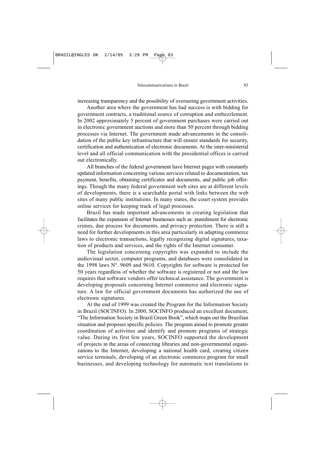increasing transparency and the possibility of overseeing government activities.

Another area where the government has had success is with bidding for government contracts, a traditional source of corruption and embezzlement. In 2002 approximately 5 percent of government purchases were carried out in electronic government auctions and more than 50 percent through bidding processes via Internet. The government made advancements in the consolidation of the public key infrastructure that will ensure standards for security, certification and authentication of electronic documents. At the inter-ministerial level and all official communication with the presidential offices is carried out electronically.

All branches of the federal government have Internet pages with constantly updated information concerning various services related to documentation, tax payment, benefits, obtaining certificates and documents, and public job offerings. Though the many federal government web sites are at different levels of developments, there is a searchable portal with links between the web sites of many public institutions. In many states, the court system provides online services for keeping track of legal processes.

Brazil has made important advancements in creating legislation that facilitates the expansion of Internet businesses such as: punishment for electronic crimes, due process for documents, and privacy protection. There is still a need for further developments in this area particularly in adapting commerce laws to electronic transactions, legally recognizing digital signatures, taxation of products and services, and the rights of the Internet consumer.

The legislation concerning copyrights was expanded to include the audiovisual sector, computer programs, and databases were consolidated in the 1998 laws Nº. 9609 and 9610. Copyrights for software is protected for 50 years regardless of whether the software is registered or not and the law requires that software vendors offer technical assistance. The government is developing proposals concerning Internet commerce and electronic signature. A law for official government documents has authorized the use of electronic signatures.

At the end of 1999 was created the Program for the Information Society in Brazil (SOCINFO). In 2000, SOCINFO produced an excellent document, "The Information Society in Brazil Green Book", which maps out the Brazilian situation and proposes specific policies. The program aimed to promote greater coordination of activities and identify and promote programs of strategic value. During its first few years, SOCINFO supported the development of projects in the areas of connecting libraries and non-governmental organizations to the Internet, developing a national health card, creating citizen service terminals, developing of an electronic commerce program for small businesses, and developing technology for automatic text translations to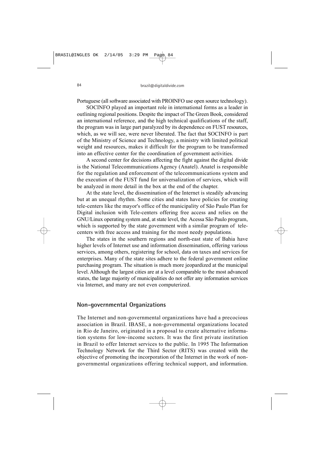Portuguese (all software associated with PROINFO use open source technology).

SOCINFO played an important role in international forms as a leader in outlining regional positions. Despite the impact of The Green Book, considered an international reference, and the high technical qualifications of the staff, the program was in large part paralyzed by its dependence on FUST resources, which, as we will see, were never liberated. The fact that SOCINFO is part of the Ministry of Science and Technology, a ministry with limited political weight and resources, makes it difficult for the program to be transformed into an effective center for the coordination of government activities.

A second center for decisions affecting the fight against the digital divide is the National Telecommunications Agency (Anatel). Anatel is responsible for the regulation and enforcement of the telecommunications system and the execution of the FUST fund for universalization of services, which will be analyzed in more detail in the box at the end of the chapter.

At the state level, the dissemination of the Internet is steadily advancing but at an unequal rhythm. Some cities and states have policies for creating tele-centers like the mayor's office of the municipality of São Paulo Plan for Digital inclusion with Tele-centers offering free access and relies on the GNU/Linux operating system and, at state level, the Acessa São Paulo program, which is supported by the state government with a similar program of telecenters with free access and training for the most needy populations.

The states in the southern regions and north-east state of Bahia have higher levels of Internet use and information dissemination, offering various services, among others, registering for school, data on taxes and services for enterprises. Many of the state sites adhere to the federal government online purchasing program. The situation is much more jeopardized at the municipal level. Although the largest cities are at a level comparable to the most advanced states, the large majority of municipalities do not offer any information services via Internet, and many are not even computerized.

#### **Non-governmental Organizations**

The Internet and non-governmental organizations have had a precocious association in Brazil. IBASE, a non-governmental organizations located in Rio de Janeiro, originated in a proposal to create alternative information systems for low-income sectors. It was the first private institution in Brazil to offer Internet services to the public. In 1995 The Information Technology Network for the Third Sector (RITS) was created with the objective of promoting the incorporation of the Internet in the work of nongovernmental organizations offering technical support, and information.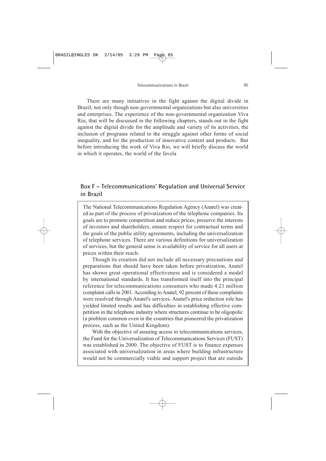There are many initiatives in the fight against the digital divide in Brazil, not only though non-governmental organizations but also universities and enterprises. The experience of the non-governmental organization Viva Rio, that will be discussed in the following chapters, stands out in the fight against the digital divide for the amplitude and variety of its activities, the inclusion of programs related to the struggle against other forms of social inequality, and for the production of innovative content and products. But before introducing the work of Viva Rio, we will briefly discuss the world in which it operates, the world of the favela

## **Box F – Telecommunications' Regulation and Universal Service in Brazil**

The National Telecommunications Regulation Agency (Anatel) was created as part of the process of privatization of the telephone companies. Its goals are to promote competition and reduce prices, preserve the interests of investors and shareholders, ensure respect for contractual terms and the goals of the public utility agreements, including the universalization of telephone services. There are various definitions for universalization of services, but the general sense is availability of service for all users at prices within their reach.

Though its creation did not include all necessary precautions and preparations that should have been taken before privatization, Anatel has shown great operational effectiveness and is considered a model by international standards. It has transformed itself into the principal reference for telecommunications consumers who made 4.21 million complaint calls in 2001. According to Anatel, 92 percent of these complaints were resolved through Anatel's services. Anatel's price reduction role has yielded limited results and has difficulties in establishing effective competition in the telephone industry where structures continue to be oligopolic (a problem common even in the countries that pioneered the privatization process, such as the United Kingdom).

With the objective of assuring access to telecommunications services, the Fund for the Universalization of Telecommunications Services (FUST) was established in 2000. The objective of FUST is to finance expenses associated with universalization in areas where building infrastructure would not be commercially viable and support project that are outside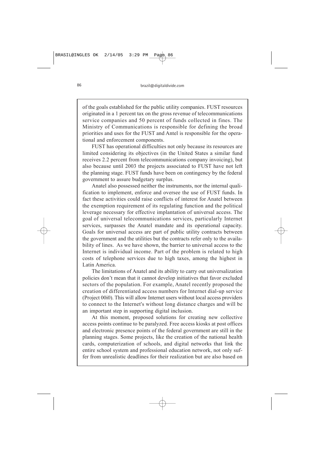of the goals established for the public utility companies. FUST resources originated in a 1 percent tax on the gross revenue of telecommunications service companies and 50 percent of funds collected in fines. The Ministry of Communications is responsible for defining the broad priorities and uses for the FUST and Antel is responsible for the operational and enforcement components.

FUST has operational difficulties not only because its resources are limited considering its objectives (in the United States a similar fund receives 2.2 percent from telecommunications company invoicing), but also because until 2003 the projects associated to FUST have not left the planning stage. FUST funds have been on contingency by the federal government to assure budgetary surplus.

Anatel also possessed neither the instruments, nor the internal qualification to implement, enforce and oversee the use of FUST funds. In fact these activities could raise conflicts of interest for Anatel between the exemption requirement of its regulating function and the political leverage necessary for effective implantation of universal access. The goal of universal telecommunications services, particularly Internet services, surpasses the Anatel mandate and its operational capacity. Goals for universal access are part of public utility contracts between the government and the utilities but the contracts refer only to the availability of lines. As we have shown, the barrier to universal access to the Internet is individual income. Part of the problem is related to high costs of telephone services due to high taxes, among the highest in Latin America.

The limitations of Anatel and its ability to carry out universalization policies don't mean that it cannot develop initiatives that favor excluded sectors of the population. For example, Anatel recently proposed the creation of differentiated access numbers for Internet dial-up service (Project 00i0). This will allow Internet users without local access providers to connect to the Internet's without long distance charges and will be an important step in supporting digital inclusion.

At this moment, proposed solutions for creating new collective access points continue to be paralyzed. Free access kiosks at post offices and electronic presence points of the federal government are still in the planning stages. Some projects, like the creation of the national health cards, computerization of schools, and digital networks that link the entire school system and professional education network, not only suffer from unrealistic deadlines for their realization but are also based on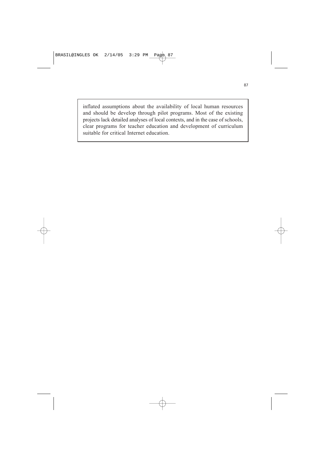inflated assumptions about the availability of local human resources and should be develop through pilot programs. Most of the existing projects lack detailed analyses of local contexts, and in the case of schools, clear programs for teacher education and development of curriculum suitable for critical Internet education.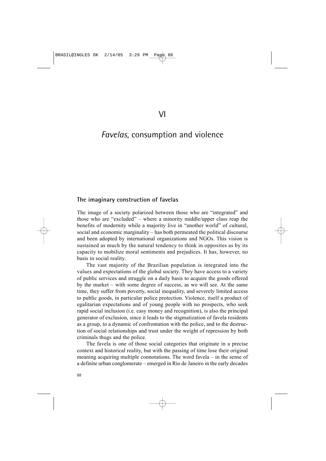## *Favelas*, consumption and violence

#### **The imaginary construction of favelas**

The image of a society polarized between those who are "integrated" and those who are "excluded" – where a minority middle/upper class reap the benefits of modernity while a majority live in "another world" of cultural, social and economic marginality – has both permeated the political discourse and been adopted by international organizations and NGOs. This vision is sustained as much by the natural tendency to think in opposites as by its capacity to mobilize moral sentiments and prejudices. It has, however, no basis in social reality.

The vast majority of the Brazilian population is integrated into the values and expectations of the global society. They have access to a variety of public services and struggle on a daily basis to acquire the goods offered by the market – with some degree of success, as we will see. At the same time, they suffer from poverty, social inequality, and severely limited access to public goods, in particular police protection. Violence, itself a product of egalitarian expectations and of young people with no prospects, who seek rapid social inclusion (i.e. easy money and recognition), is also the principal generator of exclusion, since it leads to the stigmatization of favela residents as a group, to a dynamic of confrontation with the police, and to the destruction of social relationships and trust under the weight of repression by both criminals thugs and the police.

The favela is one of those social categories that originate in a precise context and historical reality, but with the passing of time lose their original meaning acquiring multiple connotations. The word favela – in the sense of a definite urban conglomerate – emerged in Rio de Janeiro in the early decades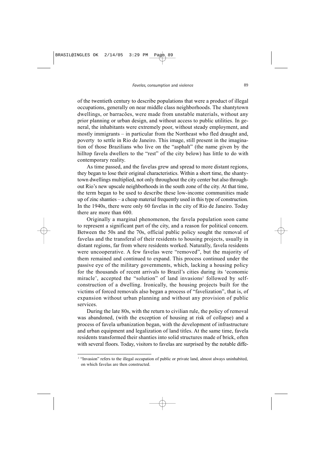of the twentieth century to describe populations that were a product of illegal occupations, generally on near middle class neighborhoods. The shantytown dwellings, or barracões, were made from unstable materials, without any prior planning or urban design, and without access to public utilities. In general, the inhabitants were extremely poor, without steady employment, and mostly immigrants – in particular from the Northeast who fled draught and, poverty to settle in Rio de Janeiro. This image, still present in the imagination of those Brazilians who live on the "asphalt" (the name given by the hilltop favela dwellers to the "rest" of the city below) has little to do with contemporary reality.

As time passed, and the favelas grew and spread to more distant regions, they began to lose their original characteristics. Within a short time, the shantytown dwellings multiplied, not only throughout the city center but also throughout Rio's new upscale neighborhoods in the south zone of the city. At that time, the term began to be used to describe these low-income communities made up of zinc shanties – a cheap material frequently used in this type of construction. In the 1940s, there were only 60 favelas in the city of Rio de Janeiro. Today there are more than 600.

Originally a marginal phenomenon, the favela population soon came to represent a significant part of the city, and a reason for political concern. Between the 50s and the 70s, official public policy sought the removal of favelas and the transferal of their residents to housing projects, usually in distant regions, far from where residents worked. Naturally, favela residents were uncooperative. A few favelas were "removed", but the majority of them remained and continued to expand. This process continued under the passive eye of the military governments, which, lacking a housing policy for the thousands of recent arrivals to Brazil's cities during its 'economic miracle', accepted the "solution" of land invasions<sup>2</sup> followed by selfconstruction of a dwelling. Ironically, the housing projects built for the victims of forced removals also began a process of "favelization", that is, of expansion without urban planning and without any provision of public services.

During the late 80s, with the return to civilian rule, the policy of removal was abandoned, (with the exception of housing at risk of collapse) and a process of favela urbanization began, with the development of infrastructure and urban equipment and legalization of land titles. At the same time, favela residents transformed their shanties into solid structures made of brick, often with several floors. Today, visitors to favelas are surprised by the notable diffe-

<sup>&</sup>lt;sup>2</sup> "Invasion" refers to the illegal occupation of public or private land, almost always uninhabited, on which favelas are then constructed.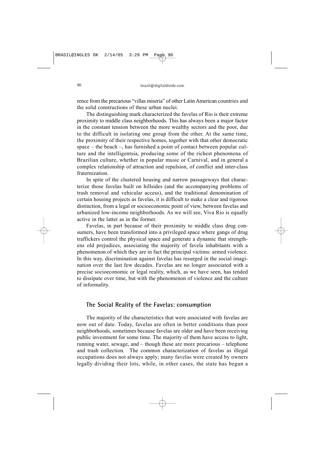rence from the precarious "villas miseria" of other Latin American countries and the solid constructions of these urban nuclei.

The distinguishing mark characterized the favelas of Rio is their extreme proximity to middle class neighborhoods. This has always been a major factor in the constant tension between the more wealthy sectors and the poor, due to the difficult in isolating one group from the other. At the same time, the proximity of their respective homes, together with that other democratic space – the beach –, has furnished a point of contact between popular culture and the intelligentsia, producing some of the richest phenomena of Brazilian culture, whether in popular music or Carnival, and in general a complex relationship of attraction and repulsion, of conflict and inter-class fraternization.

In spite of the clustered housing and narrow passageways that characterize those favelas built on hillsides (and the accompanying problems of trash removal and vehicular access), and the traditional denomination of certain housing projects as favelas, it is difficult to make a clear and rigorous distinction, from a legal or socioeconomic point of view, between favelas and urbanized low-income neighborhoods. As we will see, Viva Rio is equally active in the latter as in the former.

Favelas, in part because of their proximity to middle class drug consumers, have been transformed into a privileged space where gangs of drug traffickers control the physical space and generate a dynamic that strengthens old prejudices, associating the majority of favela inhabitants with a phenomenon of which they are in fact the principal victims: armed violence. In this way, discrimination against favelas has resurged in the social imagination over the last few decades. Favelas are no longer associated with a precise socioeconomic or legal reality, which, as we have seen, has tended to dissipate over time, but with the phenomenon of violence and the culture of informality.

#### **The Social Reality of the Favelas: consumption**

The majority of the characteristics that were associated with favelas are now out of date. Today, favelas are often in better conditions than poor neighborhoods, sometimes because favelas are older and have been receiving public investment for some time. The majority of them have access to light, running water, sewage, and – though these are more precarious – telephone and trash collection. The common characterization of favelas as illegal occupations does not always apply; many favelas were created by owners legally dividing their lots, while, in other cases, the state has begun a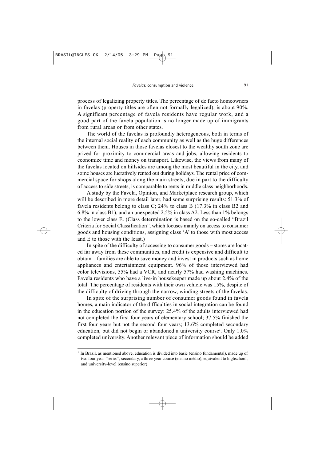process of legalizing property titles. The percentage of de facto homeowners in favelas (property titles are often not formally legalized), is about 90%. A significant percentage of favela residents have regular work, and a good part of the favela population is no longer made up of immigrants from rural areas or from other states.

The world of the favelas is profoundly heterogeneous, both in terms of the internal social reality of each community as well as the huge differences between them. Houses in those favelas closest to the wealthy south zone are prized for proximity to commercial areas and jobs, allowing residents to economize time and money on transport. Likewise, the views from many of the favelas located on hillsides are among the most beautiful in the city, and some houses are lucratively rented out during holidays. The rental price of commercial space for shops along the main streets, due in part to the difficulty of access to side streets, is comparable to rents in middle class neighborhoods.

A study by the Favela, Opinion, and Marketplace research group, which will be described in more detail later, had some surprising results: 51.3% of favela residents belong to class C;  $24\%$  to class B  $(17.3\%$  in class B2 and 6.8% in class B1), and an unexpected 2.5% in class A2. Less than 1% belongs to the lower class E. (Class determination is based on the so-called "Brazil Criteria for Social Classification", which focuses mainly on access to consumer goods and housing conditions, assigning class 'A' to those with most access and E to those with the least.)

In spite of the difficulty of accessing to consumer goods – stores are located far away from these communities, and credit is expensive and difficult to obtain – families are able to save money and invest in products such as home appliances and entertainment equipment. 96% of those interviewed had color televisions, 55% had a VCR, and nearly 57% had washing machines. Favela residents who have a live-in housekeeper made up about 2.4% of the total. The percentage of residents with their own vehicle was 15%, despite of the difficulty of driving through the narrow, winding streets of the favelas.

In spite of the surprising number of consumer goods found in favela homes, a main indicator of the difficulties in social integration can be found in the education portion of the survey: 25.4% of the adults interviewed had not completed the first four years of elementary school; 37.5% finished the first four years but not the second four years; 13.6% completed secondary education, but did not begin or abandoned a university course<sup>3</sup>. Only 1.0% completed university. Another relevant piece of information should be added

<sup>2</sup> In Brazil, as mentioned above, education is divided into basic (ensino fundamental), made up of two four-year "series"; secondary, a three-year course (ensino médio), equivalent to highschool; and university-level (ensino superior)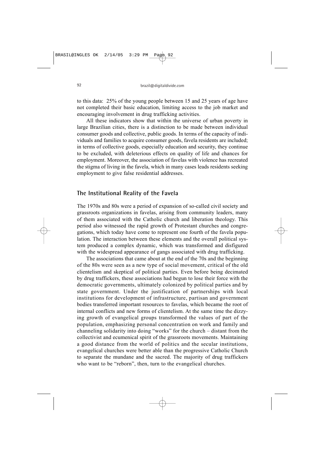to this data: 25% of the young people between 15 and 25 years of age have not completed their basic education, limiting access to the job market and encouraging involvement in drug trafficking activities.

All these indicators show that within the universe of urban poverty in large Brazilian cities, there is a distinction to be made between individual consumer goods and collective, public goods. In terms of the capacity of individuals and families to acquire consumer goods, favela residents are included; in terms of collective goods, especially education and security, they continue to be excluded, with deleterious effects on quality of life and chances for employment. Moreover, the association of favelas with violence has recreated the stigma of living in the favela, which in many cases leads residents seeking employment to give false residential addresses.

#### **The Institutional Reality of the Favela**

The 1970s and 80s were a period of expansion of so-called civil society and grassroots organizations in favelas, arising from community leaders, many of them associated with the Catholic church and liberation theology. This period also witnessed the rapid growth of Protestant churches and congregations, which today have come to represent one fourth of the favela population. The interaction between these elements and the overall political system produced a complex dynamic, which was transformed and disfigured with the widespread appearance of gangs associated with drug trafficking.

The associations that came about at the end of the 70s and the beginning of the 80s were seen as a new type of social movement, critical of the old clientelism and skeptical of political parties. Even before being decimated by drug traffickers, these associations had begun to lose their force with the democratic governments, ultimately colonized by political parties and by state government. Under the justification of partnerships with local institutions for development of infrastructure, partisan and government bodies transferred important resources to favelas, which became the root of internal conflicts and new forms of clientelism. At the same time the dizzying growth of evangelical groups transformed the values of part of the population, emphasizing personal concentration on work and family and channeling solidarity into doing "works" for the church – distant from the collectivist and ecumenical spirit of the grassroots movements. Maintaining a good distance from the world of politics and the secular institutions, evangelical churches were better able than the progressive Catholic Church to separate the mundane and the sacred. The majority of drug traffickers who want to be "reborn", then, turn to the evangelical churches.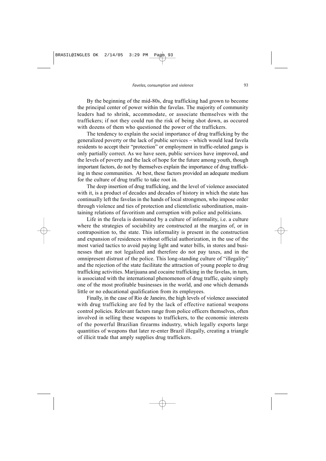By the beginning of the mid-80s, drug trafficking had grown to become the principal center of power within the favelas. The majority of community leaders had to shrink, accommodate, or associate themselves with the traffickers; if not they could run the risk of being shot down, as occured with dozens of them who questioned the power of the traffickers.

The tendency to explain the social importance of drug trafficking by the generalized poverty or the lack of public services – which would lead favela residents to accept their "protection" or employment in traffic-related gangs is only partially correct. As we have seen, public services have improved, and the levels of poverty and the lack of hope for the future among youth, though important factors, do not by themselves explain the importance of drug trafficking in these communities. At best, these factors provided an adequate medium for the culture of drug traffic to take root in.

The deep insertion of drug trafficking, and the level of violence associated with it, is a product of decades and decades of history in which the state has continually left the favelas in the hands of local strongmen, who impose order through violence and ties of protection and clientelistic subordination, maintaining relations of favoritism and corruption with police and politicians.

Life in the favela is dominated by a culture of informality, i.e. a culture where the strategies of sociability are constructed at the margins of, or in contraposition to, the state. This informality is present in the construction and expansion of residences without official authorization, in the use of the most varied tactics to avoid paying light and water bills, in stores and businesses that are not legalized and therefore do not pay taxes, and in the omnipresent distrust of the police. This long-standing culture of "illegality" and the rejection of the state facilitate the attraction of young people to drug trafficking activities. Marijuana and cocaine trafficking in the favelas, in turn, is associated with the international phenomenon of drug traffic, quite simply one of the most profitable businesses in the world, and one which demands little or no educational qualification from its employees.

Finally, in the case of Rio de Janeiro, the high levels of violence associated with drug trafficking are fed by the lack of effective national weapons control policies. Relevant factors range from police officers themselves, often involved in selling these weapons to traffickers, to the economic interests of the powerful Brazilian firearms industry, which legally exports large quantities of weapons that later re-enter Brazil illegally, creating a triangle of illicit trade that amply supplies drug traffickers.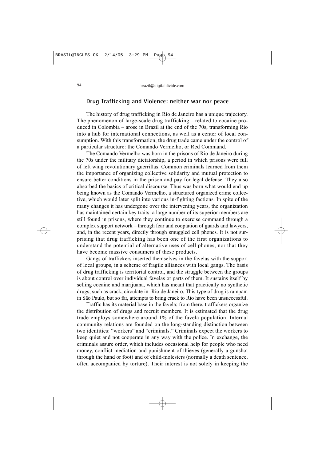## **Drug Trafficking and Violence: neither war nor peace**

The history of drug trafficking in Rio de Janeiro has a unique trajectory. The phenomenon of large-scale drug trafficking – related to cocaine produced in Colombia – arose in Brazil at the end of the 70s, transforming Rio into a hub for international connections, as well as a center of local consumption. With this transformation, the drug trade came under the control of a particular structure: the Comando Vermelho, or Red Command.

The Comando Vermelho was born in the prisons of Rio de Janeiro during the 70s under the military dictatorship, a period in which prisons were full of left wing revolutionary guerrillas. Common criminals learned from them the importance of organizing collective solidarity and mutual protection to ensure better conditions in the prison and pay for legal defense. They also absorbed the basics of critical discourse. Thus was born what would end up being known as the Comando Vermelho, a structured organized crime collective, which would later split into various in-fighting factions. In spite of the many changes it has undergone over the intervening years, the organization has maintained certain key traits: a large number of its superior members are still found in prisons, where they continue to exercise command through a complex support network – through fear and cooptation of guards and lawyers, and, in the recent years, directly through smuggled cell phones. It is not surprising that drug trafficking has been one of the first organizations to understand the potential of alternative uses of cell phones, nor that they have become massive consumers of these products.

Gangs of traffickers inserted themselves in the favelas with the support of local groups, in a scheme of fragile alliances with local gangs. The basis of drug trafficking is territorial control, and the struggle between the groups is about control over individual favelas or parts of them. It sustains itself by selling cocaine and marijuana, which has meant that practically no synthetic drugs, such as crack, circulate in Rio de Janeiro. This type of drug is rampant in São Paulo, but so far, attempts to bring crack to Rio have been unsuccessful.

Traffic has its material base in the favela; from there, traffickers organize the distribution of drugs and recruit members. It is estimated that the drug trade employs somewhere around 1% of the favela population. Internal community relations are founded on the long-standing distinction between two identities: "workers" and "criminals." Criminals expect the workers to keep quiet and not cooperate in any way with the police. In exchange, the criminals assure order, which includes occasional help for people who need money, conflict mediation and punishment of thieves (generally a gunshot through the hand or foot) and of child-molesters (normally a death sentence, often accompanied by torture). Their interest is not solely in keeping the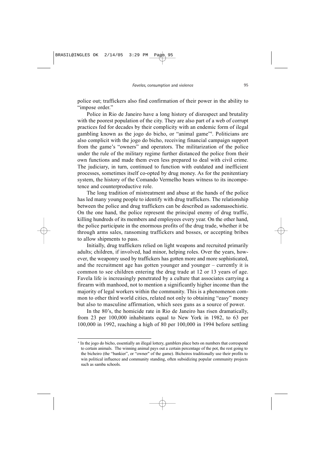police out; traffickers also find confirmation of their power in the ability to "impose order."

Police in Rio de Janeiro have a long history of disrespect and brutality with the poorest population of the city. They are also part of a web of corrupt practices fed for decades by their complicity with an endemic form of ilegal gambling known as the jogo do bicho, or "animal game"4 . Politicians are also complicit with the jogo do bicho, receiving financial campaign support from the game's "owners" and operators. The militarization of the police under the rule of the military regime further distanced the police from their own functions and made them even less prepared to deal with civil crime. The judiciary, in turn, continued to function with outdated and inefficient processes, sometimes itself co-opted by drug money. As for the penitentiary system, the history of the Comando Vermelho bears witness to its incompetence and counterproductive role.

The long tradition of mistreatment and abuse at the hands of the police has led many young people to identify with drug traffickers. The relationship between the police and drug traffickers can be described as sadomasochistic. On the one hand, the police represent the principal enemy of drug traffic, killing hundreds of its members and employees every year. On the other hand, the police participate in the enormous profits of the drug trade, whether it be through arms sales, ransoming traffickers and bosses, or accepting bribes to allow shipments to pass.

Initially, drug traffickers relied on light weapons and recruited primarily adults; children, if involved, had minor, helping roles. Over the years, however, the weaponry used by traffickers has gotten more and more sophisticated, and the recruitment age has gotten younger and younger – currently it is common to see children entering the drug trade at 12 or 13 years of age. Favela life is increasingly penetrated by a culture that associates carrying a firearm with manhood, not to mention a significantly higher income than the majority of legal workers within the community. This is a phenomenon common to other third world cities, related not only to obtaining "easy" money but also to masculine affirmation, which sees guns as a source of power.

In the 80's, the homicide rate in Rio de Janeiro has risen dramatically, from 23 per 100,000 inhabitants equal to New York in 1982, to 63 per 100,000 in 1992, reaching a high of 80 per 100,000 in 1994 before settling

<sup>4</sup> In the jogo do bicho, essentially an illegal lottery, gamblers place bets on numbers that correspond to certain animals. The winning animal pays out a certain percentage of the pot, the rest going to the bicheiro (the "bankier", or "owner" of the game). Bicheiros traditionally use their profits to win political influence and community standing, often subsidizing popular community projects such as samba schools.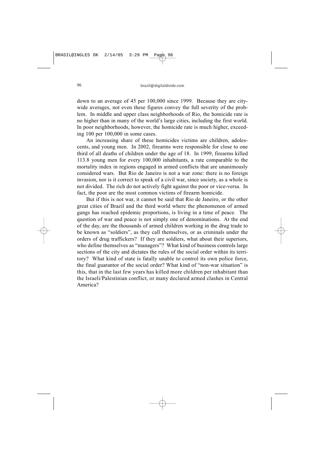down to an average of 45 per 100,000 since 1999. Because they are citywide averages, not even these figures convey the full severity of the problem. In middle and upper class neighborhoods of Rio, the homicide rate is no higher than in many of the world's large cities, including the first world. In poor neighborhoods, however, the homicide rate is much higher, exceeding 100 per 100,000 in some cases.

An increasing share of these homicides victims are children, adolescents, and young men. In 2002, firearms were responsible for close to one third of all deaths of children under the age of 18. In 1999, firearms killed 113.8 young men for every 100,000 inhabitants, a rate comparable to the mortality index in regions engaged in armed conflicts that are unanimously considered wars. But Rio de Janeiro is not a war zone: there is no foreign invasion, nor is it correct to speak of a civil war, since society, as a whole is not divided. The rich do not actively fight against the poor or vice-versa. In fact, the poor are the most common victims of firearm homicide.

But if this is not war, it cannot be said that Rio de Janeiro, or the other great cities of Brazil and the third world where the phenomenon of armed gangs has reached epidemic proportions, is living in a time of peace. The question of war and peace is not simply one of denominations. At the end of the day, are the thousands of armed children working in the drug trade to be known as "soldiers", as they call themselves, or as criminals under the orders of drug traffickers? If they are soldiers, what about their superiors, who define themselves as "managers"? What kind of business controls large sections of the city and dictates the rules of the social order within its territory? What kind of state is fatally unable to control its own police force, the final guarantor of the social order? What kind of "non-war situation" is this, that in the last few years has killed more children per inhabitant than the Israeli/Palestinian conflict, or many declared armed clashes in Central America?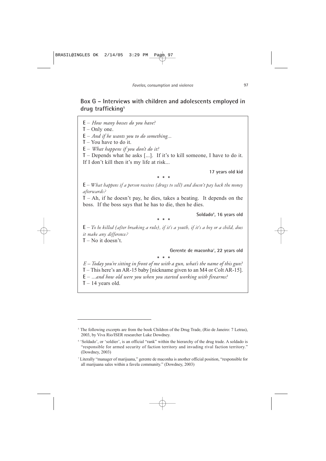## **Box G – Interviews with children and adolescents employed in drug trafficking5**

**E** – *How many bosses do you have?*

**T** – Only one.

**E** – *And if he wants you to do something...*

**T** – You have to do it.

**E** – *What happens if you don't do it?*

**T** – Depends what he asks [...]. If it's to kill someone, I have to do it. If I don't kill then it's my life at risk...

**17 years old kid**

*\*\*\**

**E** – *What happens if a person receives [drugs to sell] and doesn't pay back the money afterwards?*

**T** – Ah, if he doesn't pay, he dies, takes a beating. It depends on the boss. If the boss says that he has to die, then he dies.

**Soldado6 , 16 years old**

*\*\*\**

**E** – *To be killed [after breaking a rule], if it's a youth, if it's a boy or a child, does it make any difference?*

**T** – No it doesn't.

Gerente de maconha<sup>7</sup>, 22 years old

*E – Today you're sitting in front of me with a gun, what's the name of this gun? \*\*\** **T** – This here's an AR-15 baby [nickname given to an M4 or Colt AR-15]. **E** – *...and how old were you when you started working with firearms?*  $T - 14$  years old.

<sup>&</sup>lt;sup>5</sup> The following excerpts are from the book Children of the Drug Trade, (Rio de Janeiro: 7 Letras), 2003, by Viva Rio/ISER researcher Luke Dowdney.

<sup>6</sup> 'Soldado', or 'soldier', is an official "rank" within the hierarchy of the drug trade. A soldado is "responsible for armed security of faction territory and invading rival faction territory." (Dowdney, 2003)

<sup>7</sup> Literally "manager of marijuana," gerente de maconha is another official position, "responsible for all marijuana sales within a favela community." (Dowdney, 2003)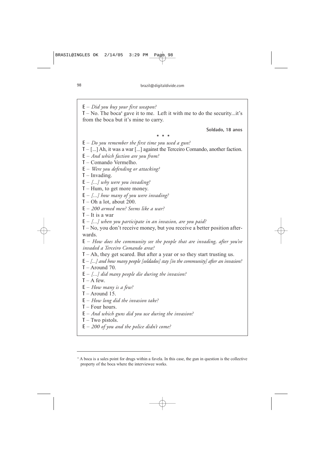**E** – *Did you buy your first weapon?*

 $T - No$ . The boca<sup>8</sup> gave it to me. Left it with me to do the security...it's from the boca but it's mine to carry.

**Soldado, 18 anos**

*\*\*\**

**E** – *Do you remember the first time you used a gun?*

**T** – [...] Ah, it was a war [...] against the Terceiro Comando, another faction.

**E** – *And which faction are you from?*

**T** – Comando Vermelho.

**E** – *Were you defending or attacking?*

**T** – Invading.

**E** – *[...] why were you invading?*

**T** – Hum, to get more money.

**E** – *[...] how many of you were invading?*

**T** – Oh a lot, about 200.

**E** – *200 armed men? Seems like a war?*

**T** – It is a war

**E** – *[...] when you participate in an invasion, are you paid?*

**T** – No, you don't receive money, but you receive a better position afterwards.

**E** – *How does the community see the people that are invading, after you've invaded a Terceiro Comando area?*

**T** – Ah, they get scared. But after a year or so they start trusting us.

**E** – *[...] and how many people [soldados] stay [in the community] after an invasion?*

**T** – Around 70.

**E** – *[...] did many people die during the invasion?*

 $T - A$  few.

**E** – *How many is a few?*

 $T -$ Around 15.

**E** – *How long did the invasion take?*

**T** – Four hours.

**E** – *And which guns did you use during the invasion?*

**T** – Two pistols.

**E** – *200 of you and the police didn't come?*

<sup>8</sup> A boca is a sales point for drugs within a favela. In this case, the gun in question is the collective property of the boca where the interviewee works.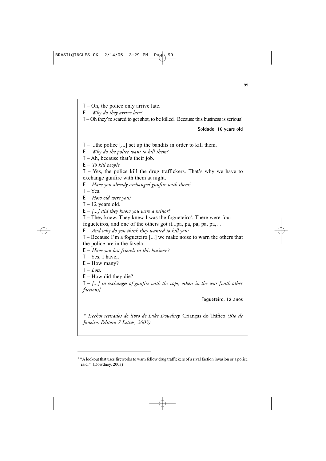**T** – Oh, the police only arrive late.

**E** – *Why do they arrive late?*

**T** – Oh they're scared to get shot, to be killed. Because this business is serious!

**Soldado, 16 years old**

**T** – ...the police [...] set up the bandits in order to kill them.

**E** – *Why do the police want to kill them?*

**T** – Ah, because that's their job.

**E** – *To kill people.*

**T** – Yes, the police kill the drug traffickers. That's why we have to exchange gunfire with them at night.

**E** – *Have you already exchanged gunfire with them?*

 $T - Yes$ .

**E** – *How old were you?*

 $T - 12$  years old.

**E** – *[...] did they know you were a minor?*

**T** – They knew. They knew I was the fogueteiro<sup>9</sup>. There were four fogueteiros, and one of the others got it...pa, pa, pa, pa, pa,…

**E** – *And why do you think they wanted to kill you?*

**T** – Because I'm a fogueteiro [...] we make noise to warn the others that the police are in the favela.

**E** – *Have you lost friends in this business?*

 $T - Yes$ , I have,..

**E** – How many?

 $T -$ *Lots.* 

**E** – How did they die?

**T** – *[...] in exchanges of gunfire with the cops, others in the war [with other factions].*

**Fogueteiro, 12 anos**

*\* Trechos retirados do livro de Luke Dowdney,* Crianças do Tráfico *(Rio de Janeiro, Editora 7 Letras, 2003).*

<sup>9</sup> "A lookout that uses fireworks to warn fellow drug traffickers of a rival faction invasion or a police raid." (Dowdney, 2003)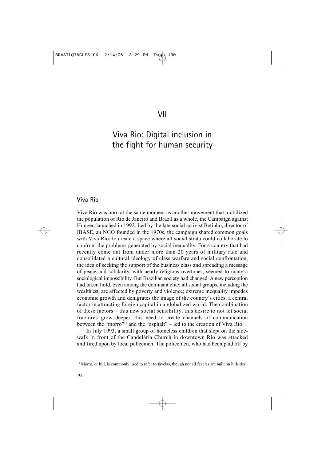# Viva Rio: Digital inclusion in the fight for human security

## **Viva Rio**

Viva Rio was born at the same moment as another movement that mobilized the population of Rio de Janeiro and Brazil as a whole, the Campaign against Hunger, launched in 1992. Led by the late social activist Betinho, director of IBASE, an NGO founded in the 1970s, the campaign shared common goals with Viva Rio: to create a space where all social strata could collaborate to confront the problems generated by social inequality. For a country that had recently come out from under more than 20 years of military rule and consolidated a cultural ideology of class warfare and social confrontation, the idea of seeking the support of the business class and spreading a message of peace and solidarity, with nearly-religious overtones, seemed to many a sociological impossibility. But Brazilian society had changed. A new perception had taken hold, even among the dominant elite: all social groups, including the wealthiest, are affected by poverty and violence; extreme inequality impedes economic growth and denigrates the image of the country's cities, a central factor in attracting foreign capital in a globalized world. The combination of these factors – this new social sensibility, this desire to not let social fractures grow deeper, this need to create channels of communication between the "morro"10 and the "asphalt" – led to the creation of Viva Rio.

In July 1993, a small group of homeless children that slept on the sidewalk in front of the Candelária Church in downtown Rio was attacked and fired upon by local policemen. The policemen, who had been paid off by

<sup>&</sup>lt;sup>10</sup> Morro, or hill, is commonly used to refer to favelas, though not all favelas are built on hillsides.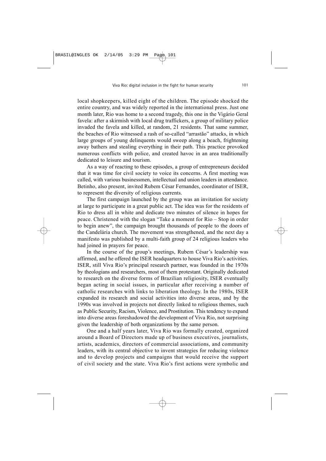local shopkeepers, killed eight of the children. The episode shocked the entire country, and was widely reported in the international press. Just one month later, Rio was home to a second tragedy, this one in the Vigário Geral favela: after a skirmish with local drug traffickers, a group of military police invaded the favela and killed, at random, 21 residents. That same summer, the beaches of Rio witnessed a rash of so-called "arrastão" attacks, in which large groups of young delinquents would sweep along a beach, frightening away bathers and stealing everything in their path. This practice provoked numerous conflicts with police, and created havoc in an area traditionally dedicated to leisure and tourism.

As a way of reacting to these episodes, a group of entrepreneurs decided that it was time for civil society to voice its concerns. A first meeting was called, with various businessmen, intellectual and union leaders in attendance. Betinho, also present, invited Rubem César Fernandes, coordinator of ISER, to represent the diversity of religious currents.

The first campaign launched by the group was an invitation for society at large to participate in a great public act. The idea was for the residents of Rio to dress all in white and dedicate two minutes of silence in hopes for peace. Christened with the slogan "Take a moment for Rio – Stop in order to begin anew", the campaign brought thousands of people to the doors of the Candelária church. The movement was strengthened, and the next day a manifesto was published by a multi-faith group of 24 religious leaders who had joined in prayers for peace.

In the course of the group's meetings, Rubem César's leadership was affirmed, and he offered the ISER headquarters to house Viva Rio's activities. ISER, still Viva Rio's principal research partner, was founded in the 1970s by theologians and researchers, most of them protestant. Originally dedicated to research on the diverse forms of Brazilian religiosity, ISER eventually began acting in social issues, in particular after receiving a number of catholic researches with links to liberation theology. In the 1980s, ISER expanded its research and social activities into diverse areas, and by the 1990s was involved in projects not directly linked to religious themes, such as Public Security, Racism, Violence, and Prostitution. This tendency to expand into diverse areas foreshadowed the development of Viva Rio, not surprising given the leadership of both organizations by the same person.

One and a half years later, Viva Rio was formally created, organized around a Board of Directors made up of business executives, journalists, artists, academics, directors of commercial associations, and community leaders, with its central objective to invent strategies for reducing violence and to develop projects and campaigns that would receive the support of civil society and the state. Viva Rio's first actions were symbolic and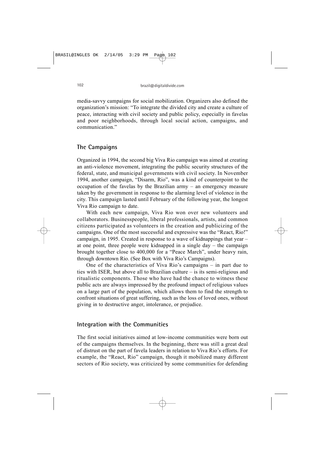media-savvy campaigns for social mobilization. Organizers also defined the organization's mission: "To integrate the divided city and create a culture of peace, interacting with civil society and public policy, especially in favelas and poor neighborhoods, through local social action, campaigns, and communication."

## **The Campaigns**

Organized in 1994, the second big Viva Rio campaign was aimed at creating an anti-violence movement, integrating the public security structures of the federal, state, and municipal governments with civil society. In November 1994, another campaign, "Disarm, Rio", was a kind of counterpoint to the occupation of the favelas by the Brazilian army – an emergency measure taken by the government in response to the alarming level of violence in the city. This campaign lasted until February of the following year, the longest Viva Rio campaign to date.

With each new campaign, Viva Rio won over new volunteers and collaborators. Businesspeople, liberal professionals, artists, and common citizens participated as volunteers in the creation and publicizing of the campaigns. One of the most successful and expressive was the "React, Rio!" campaign, in 1995. Created in response to a wave of kidnappings that year – at one point, three people were kidnapped in a single day – the campaign brought together close to 400,000 for a "Peace March", under heavy rain, through downtown Rio. (See Box with Viva Rio's Campaigns).

One of the characteristics of Viva Rio's campaigns – in part due to ties with ISER, but above all to Brazilian culture – is its semi-religious and ritualistic components. Those who have had the chance to witness these public acts are always impressed by the profound impact of religious values on a large part of the population, which allows them to find the strength to confront situations of great suffering, such as the loss of loved ones, without giving in to destructive anger, intolerance, or prejudice.

## **Integration with the Communities**

The first social initiatives aimed at low-income communities were born out of the campaigns themselves. In the beginning, there was still a great deal of distrust on the part of favela leaders in relation to Viva Rio's efforts. For example, the "React, Rio" campaign, though it mobilized many different sectors of Rio society, was criticized by some communities for defending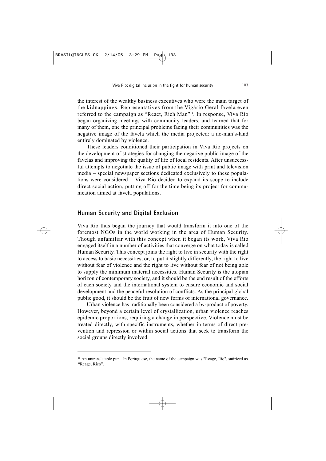the interest of the wealthy business executives who were the main target of the kidnappings. Representatives from the Vigário Geral favela even referred to the campaign as "React, Rich Man"11. In response, Viva Rio began organizing meetings with community leaders, and learned that for many of them, one the principal problems facing their communities was the negative image of the favela which the media projected: a no-man's-land entirely dominated by violence.

These leaders conditioned their participation in Viva Rio projects on the development of strategies for changing the negative public image of the favelas and improving the quality of life of local residents. After unsuccessful attempts to negotiate the issue of public image with print and television media – special newspaper sections dedicated exclusively to these populations were considered – Viva Rio decided to expand its scope to include direct social action, putting off for the time being its project for communication aimed at favela populations.

#### **Human Security and Digital Exclusion**

Viva Rio thus began the journey that would transform it into one of the foremost NGOs in the world working in the area of Human Security. Though unfamiliar with this concept when it began its work, Viva Rio engaged itself in a number of activities that converge on what today is called Human Security. This concept joins the right to live in security with the right to access to basic necessities, or, to put it slightly differently, the right to live without fear of violence and the right to live without fear of not being able to supply the minimum material necessities. Human Security is the utopian horizon of contemporary society, and it should be the end result of the efforts of each society and the international system to ensure economic and social development and the peaceful resolution of conflicts. As the principal global public good, it should be the fruit of new forms of international governance.

Urban violence has traditionally been considered a by-product of poverty. However, beyond a certain level of crystallization, urban violence reaches epidemic proportions, requiring a change in perspective. Violence must be treated directly, with specific instruments, whether in terms of direct prevention and repression or within social actions that seek to transform the social groups directly involved.

<sup>&</sup>lt;sup>11</sup> An untranslatable pun. In Portuguese, the name of the campaign was "Reage, Rio", satirized as "Reage, Rico".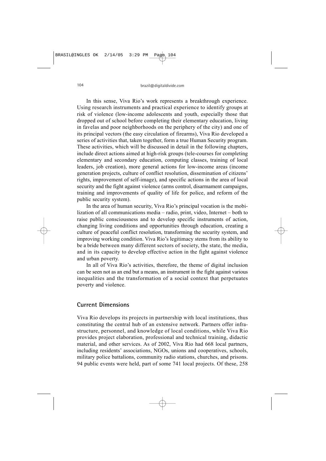In this sense, Viva Rio's work represents a breakthrough experience. Using research instruments and practical experience to identify groups at risk of violence (low-income adolescents and youth, especially those that dropped out of school before completing their elementary education, living in favelas and poor neighborhoods on the periphery of the city) and one of its principal vectors (the easy circulation of firearms), Viva Rio developed a series of activities that, taken together, form a true Human Security program. These activities, which will be discussed in detail in the following chapters, include direct actions aimed at high-risk groups (tele-courses for completing elementary and secondary education, computing classes, training of local leaders, job creation), more general actions for low-income areas (income generation projects, culture of conflict resolution, dissemination of citizens' rights, improvement of self-image), and specific actions in the area of local security and the fight against violence (arms control, disarmament campaigns, training and improvements of quality of life for police, and reform of the public security system).

In the area of human security, Viva Rio's principal vocation is the mobilization of all communications media – radio, print, video, Internet – both to raise public consciousness and to develop specific instruments of action, changing living conditions and opportunities through education, creating a culture of peaceful conflict resolution, transforming the security system, and improving working condition. Viva Rio's legitimacy stems from its ability to be a bride between many different sectors of society, the state, the media, and in its capacity to develop effective action in the fight against violence and urban poverty.

In all of Viva Rio's activities, therefore, the theme of digital inclusion can be seen not as an end but a means, an instrument in the fight against various inequalities and the transformation of a social context that perpetuates poverty and violence.

#### **Current Dimensions**

Viva Rio develops its projects in partnership with local institutions, thus constituting the central hub of an extensive network. Partners offer infrastructure, personnel, and knowledge of local conditions, while Viva Rio provides project elaboration, professional and technical training, didactic material, and other services. As of 2002, Viva Rio had 668 local partners, including residents' associations, NGOs, unions and cooperatives, schools, military police battalions, community radio stations, churches, and prisons. 94 public events were held, part of some 741 local projects. Of these, 258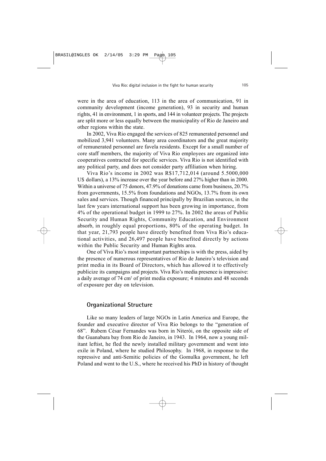were in the area of education, 113 in the area of communication, 91 in community development (income generation), 93 in security and human rights, 41 in environment, 1 in sports, and 144 in volunteer projects. The projects are split more or less equally between the municipality of Rio de Janeiro and other regions within the state.

In 2002, Viva Rio engaged the services of 825 remunerated personnel and mobilized 3,941 volunteers. Many area coordinators and the great majority of remunerated personnel are favela residents. Except for a small number of core staff members, the majority of Viva Rio employees are organized into cooperatives contracted for specific services. Viva Rio is not identified with any political party, and does not consider party affiliation when hiring.

Viva Rio's income in 2002 was R\$17,712,014 (around 5.5000,000 U\$ dollars), a 13% increase over the year before and 27% higher than in 2000. Within a universe of 75 donors, 47.9% of donations came from business, 20.7% from governments, 15.5% from foundations and NGOs, 13.7% from its own sales and services. Though financed principally by Brazilian sources, in the last few years international support has been growing in importance, from 4% of the operational budget in 1999 to 27%. In 2002 the areas of Public Security and Human Rights, Community Education, and Environment absorb, in roughly equal proportions, 80% of the operating budget. In that year, 21,793 people have directly benefited from Viva Rio's educational activities, and 26,497 people have benefited directly by actions within the Public Security and Human Rights area.

One of Viva Rio's most important partnerships is with the press, aided by the presence of numerous representatives of Rio de Janeiro's television and print media in its Board of Directors, which has allowed it to effectively publicize its campaigns and projects. Viva Rio's media presence is impressive: a daily average of 74 cm<sup>2</sup> of print media exposure; 4 minutes and 48 seconds of exposure per day on television.

#### **Organizational Structure**

Like so many leaders of large NGOs in Latin America and Europe, the founder and executive director of Viva Rio belongs to the "generation of 68". Rubem César Fernandes was born in Niterói, on the opposite side of the Guanabara bay from Rio de Janeiro, in 1943. In 1964, now a young militant leftist, he fled the newly installed military government and went into exile in Poland, where he studied Philosophy. In 1968, in response to the repressive and anti-Semitic policies of the Gomulka government, he left Poland and went to the U.S., where he received his PhD in history of thought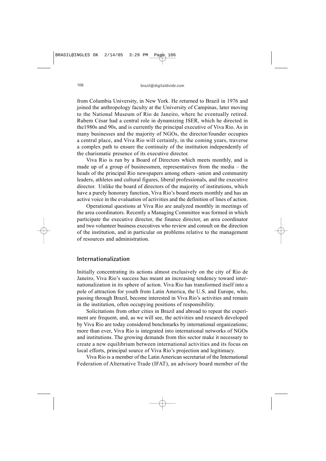from Columbia University, in New York. He returned to Brazil in 1976 and joined the anthropology faculty at the University of Campinas, later moving to the National Museum of Rio de Janeiro, where he eventually retired. Rubem César had a central role in dynamizing ISER, which he directed in the1980s and 90s, and is currently the principal executive of Viva Rio. As in many businesses and the majority of NGOs, the director/founder occupies a central place, and Viva Rio will certainly, in the coming years, traverse a complex path to ensure the continuity of the institution independently of the charismatic presence of its executive director.

Viva Rio is run by a Board of Directors which meets monthly, and is made up of a group of businessmen, representatives from the media – the heads of the principal Rio newspapers among others -union and community leaders, athletes and cultural figures, liberal professionals, and the executive director. Unlike the board of directors of the majority of institutions, which have a purely honorary function, Viva Rio's board meets monthly and has an active voice in the evaluation of activities and the definition of lines of action.

Operational questions at Viva Rio are analyzed monthly in meetings of the area coordinators. Recently a Managing Committee was formed in which participate the executive director, the finance director, an area coordinator and two volunteer business executives who review and consult on the direction of the institution, and in particular on problems relative to the management of resources and administration.

#### **Internationalization**

Initially concentrating its actions almost exclusively on the city of Rio de Janeiro, Viva Rio's success has meant an increasing tendency toward internationalization in its sphere of action. Viva Rio has transformed itself into a pole of attraction for youth from Latin America, the U.S. and Europe, who, passing through Brazil, become interested in Viva Rio's activities and remain in the institution, often occupying positions of responsibility.

Solicitations from other cities in Brazil and abroad to repeat the experiment are frequent, and, as we will see, the activities and research developed by Viva Rio are today considered benchmarks by international organizations; more than ever, Viva Rio is integrated into international networks of NGOs and institutions. The growing demands from this sector make it necessary to create a new equilibrium between international activities and its focus on local efforts, principal source of Viva Rio's projection and legitimacy.

Viva Rio is a member of the Latin American secretariat of the International Federation of Alternative Trade (IFAT), an advisory board member of the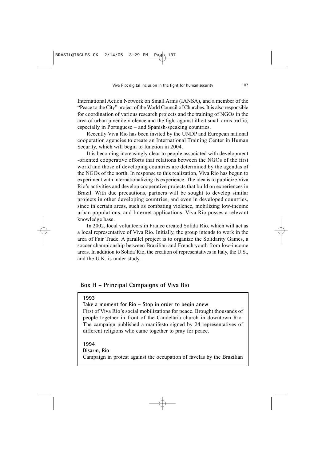International Action Network on Small Arms (IANSA), and a member of the "Peace to the City" project of the World Council of Churches. It is also responsible for coordination of various research projects and the training of NGOs in the area of urban juvenile violence and the fight against illicit small arms traffic, especially in Portuguese – and Spanish-speaking countries.

Recently Viva Rio has been invited by the UNDP and European national cooperation agencies to create an International Training Center in Human Security, which will begin to function in 2004.

It is becoming increasingly clear to people associated with development -oriented cooperative efforts that relations between the NGOs of the first world and those of developing countries are determined by the agendas of the NGOs of the north. In response to this realization, Viva Rio has begun to experiment with internationalizing its experience. The idea is to publicize Viva Rio's activities and develop cooperative projects that build on experiences in Brazil. With due precautions, partners will be sought to develop similar projects in other developing countries, and even in developed countries, since in certain areas, such as combating violence, mobilizing low-income urban populations, and Internet applications, Viva Rio posses a relevant knowledge base.

In 2002, local volunteers in France created Solida'Rio, which will act as a local representative of Viva Rio. Initially, the group intends to work in the area of Fair Trade. A parallel project is to organize the Solidarity Games, a soccer championship between Brazilian and French youth from low-income areas. In addition to Solida'Rio, the creation of representatives in Italy, the U.S., and the U.K. is under study.

## **Box H – Principal Campaigns of Viva Rio**

#### **1993**

**Take a moment for Rio – Stop in order to begin anew**

First of Viva Rio's social mobilizations for peace. Brought thousands of people together in front of the Candelária church in downtown Rio. The campaign published a manifesto signed by 24 representatives of different religions who came together to pray for peace.

**1994 Disarm, Rio** Campaign in protest against the occupation of favelas by the Brazilian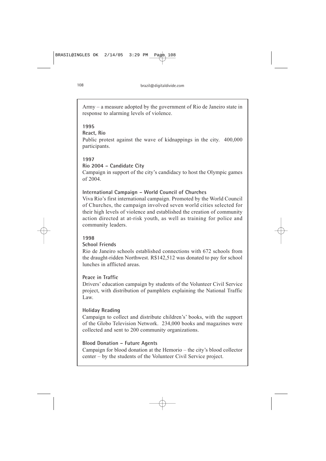Army – a measure adopted by the government of Rio de Janeiro state in response to alarming levels of violence.

## **1995**

## **React, Rio**

Public protest against the wave of kidnappings in the city. 400,000 participants.

#### **1997**

## **Rio 2004 – Candidate City**

Campaign in support of the city's candidacy to host the Olympic games of 2004.

## **International Campaign – World Council of Churches**

Viva Rio's first international campaign. Promoted by the World Council of Churches, the campaign involved seven world cities selected for their high levels of violence and established the creation of community action directed at at-risk youth, as well as training for police and community leaders.

#### **1998**

#### **School Friends**

Rio de Janeiro schools established connections with 672 schools from the draught-ridden Northwest. R\$142,512 was donated to pay for school lunches in afflicted areas.

#### **Peace in Traffic**

Drivers' education campaign by students of the Volunteer Civil Service project, with distribution of pamphlets explaining the National Traffic Law.

#### **Holiday Reading**

Campaign to collect and distribute children's' books, with the support of the Globo Television Network. 234,000 books and magazines were collected and sent to 200 community organizations.

#### **Blood Donation – Future Agents**

Campaign for blood donation at the Hemorio – the city's blood collector center – by the students of the Volunteer Civil Service project.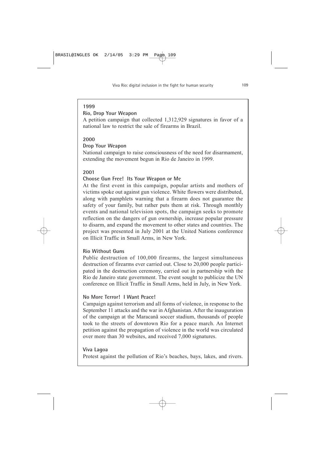# **1999**

# **Rio, Drop Your Weapon**

A petition campaign that collected 1,312,929 signatures in favor of a national law to restrict the sale of firearms in Brazil.

# **2000**

### **Drop Your Weapon**

National campaign to raise consciousness of the need for disarmament, extending the movement begun in Rio de Janeiro in 1999.

# **2001**

## **Choose Gun Free! Its Your Weapon or Me**

At the first event in this campaign, popular artists and mothers of victims spoke out against gun violence. White flowers were distributed, along with pamphlets warning that a firearm does not guarantee the safety of your family, but rather puts them at risk. Through monthly events and national television spots, the campaign seeks to promote reflection on the dangers of gun ownership, increase popular pressure to disarm, and expand the movement to other states and countries. The project was presented in July 2001 at the United Nations conference on Illicit Traffic in Small Arms, in New York.

## **Rio Without Guns**

Public destruction of 100,000 firearms, the largest simultaneous destruction of firearms ever carried out. Close to 20,000 people participated in the destruction ceremony, carried out in partnership with the Rio de Janeiro state government. The event sought to publicize the UN conference on Illicit Traffic in Small Arms, held in July, in New York.

## **No More Terror! I Want Peace!**

Campaign against terrorism and all forms of violence, in response to the September 11 attacks and the war in Afghanistan. After the inauguration of the campaign at the Maracanã soccer stadium, thousands of people took to the streets of downtown Rio for a peace march. An Internet petition against the propagation of violence in the world was circulated over more than 30 websites, and received 7,000 signatures.

## **Viva Lagoa**

Protest against the pollution of Rio's beaches, bays, lakes, and rivers.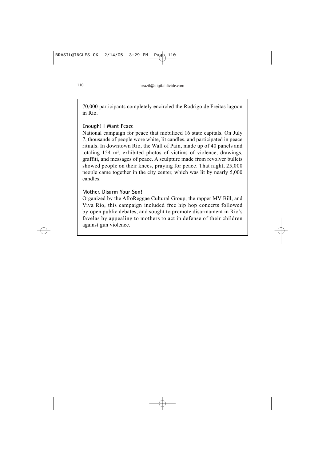70,000 participants completely encircled the Rodrigo de Freitas lagoon in Rio.

### **Enough! I Want Peace**

National campaign for peace that mobilized 16 state capitals. On July 7, thousands of people wore white, lit candles, and participated in peace rituals. In downtown Rio, the Wall of Pain, made up of 40 panels and totaling 154 m<sup>2</sup>, exhibited photos of victims of violence, drawings, graffiti, and messages of peace. A sculpture made from revolver bullets showed people on their knees, praying for peace. That night, 25,000 people came together in the city center, which was lit by nearly 5,000 candles.

### **Mother, Disarm Your Son!**

Organized by the AfroReggae Cultural Group, the rapper MV Bill, and Viva Rio, this campaign included free hip hop concerts followed by open public debates, and sought to promote disarmament in Rio's favelas by appealing to mothers to act in defense of their children against gun violence.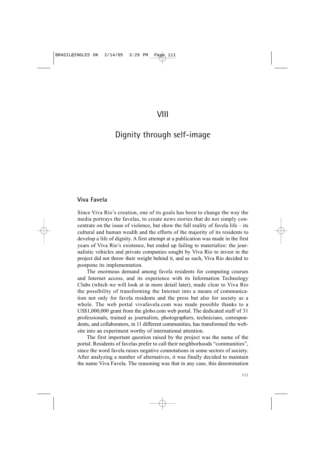# Dignity through self-image

### **Viva Favela**

Since Viva Rio's creation, one of its goals has been to change the way the media portrays the favelas, to create news stories that do not simply concentrate on the issue of violence, but show the full reality of favela life – its cultural and human wealth and the efforts of the majority of its residents to develop a life of dignity. A first attempt at a publication was made in the first years of Viva Rio's existence, but ended up failing to materialize: the journalistic vehicles and private companies sought by Viva Rio to invest in the project did not throw their weight behind it, and as such, Viva Rio decided to postpone its implementation.

The enormous demand among favela residents for computing courses and Internet access, and its experience with its Information Technology Clubs (which we will look at in more detail later), made clear to Viva Rio the possibility of transforming the Internet into a means of communication not only for favela residents and the press but also for society as a whole. The web portal vivafavela.com was made possible thanks to a US\$1,000,000 grant from the globo.com web portal. The dedicated staff of 31 professionals, trained as journalists, photographers, technicians, correspondents, and collaborators, in 11 different communities, has transformed the website into an experiment worthy of international attention.

The first important question raised by the project was the name of the portal. Residents of favelas prefer to call their neighborhoods "communities", since the word favela raises negative connotations in some sectors of society. After analyzing a number of alternatives, it was finally decided to maintain the name Viva Favela. The reasoning was that in any case, this denomination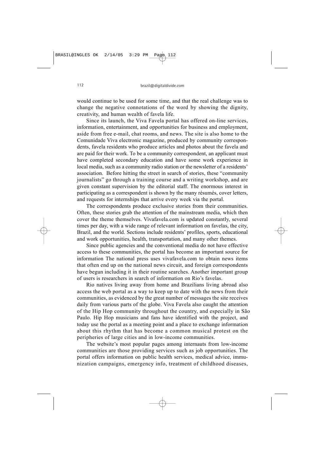would continue to be used for some time, and that the real challenge was to change the negative connotations of the word by showing the dignity, creativity, and human wealth of favela life.

Since its launch, the Viva Favela portal has offered on-line services, information, entertainment, and opportunities for business and employment, aside from free e-mail, chat rooms, and news. The site is also home to the Comunidade Viva electronic magazine, produced by community correspondents, favela residents who produce articles and photos about the favela and are paid for their work. To be a community correspondent, an applicant must have completed secondary education and have some work experience in local media, such as a community radio station or the newsletter of a residents' association. Before hitting the street in search of stories, these "community journalists" go through a training course and a writing workshop, and are given constant supervision by the editorial staff. The enormous interest in participating as a correspondent is shown by the many résumés, cover letters, and requests for internships that arrive every week via the portal.

The correspondents produce exclusive stories from their communities. Often, these stories grab the attention of the mainstream media, which then cover the theme themselves. Vivafavela.com is updated constantly, several times per day, with a wide range of relevant information on favelas, the city, Brazil, and the world. Sections include residents' profiles, sports, educational and work opportunities, health, transportation, and many other themes.

Since public agencies and the conventional media do not have effective access to these communities, the portal has become an important source for information The national press uses vivafavela.com to obtain news items that often end up on the national news circuit, and foreign correspondents have begun including it in their routine searches. Another important group of users is researchers in search of information on Rio's favelas.

Rio natives living away from home and Brazilians living abroad also access the web portal as a way to keep up to date with the news from their communities, as evidenced by the great number of messages the site receives daily from various parts of the globe. Viva Favela also caught the attention of the Hip Hop community throughout the country, and especially in São Paulo. Hip Hop musicians and fans have identified with the project, and today use the portal as a meeting point and a place to exchange information about this rhythm that has become a common musical protest on the peripheries of large cities and in low-income communities.

The website's most popular pages among internauts from low-income communities are those providing services such as job opportunities. The portal offers information on public health services, medical advice, immunization campaigns, emergency info, treatment of childhood diseases,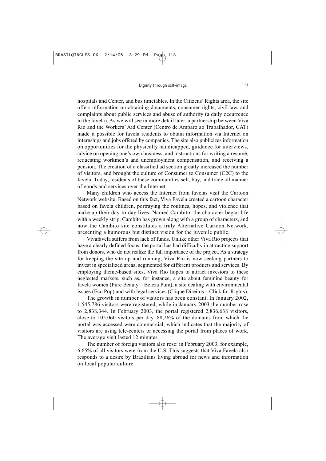hospitals and Center, and bus timetables. In the Citizens' Rights area, the site offers information on obtaining documents, consumer rights, civil law, and complaints about public services and abuse of authority (a daily occurrence in the favela). As we will see in more detail later, a partnership between Viva Rio and the Workers' Aid Center (Centro de Amparo ao Trabalhador, CAT) made it possible for favela residents to obtain information via Internet on internships and jobs offered by companies. The site also publicizes information on opportunities for the physically handicapped, guidance for interviews, advice on opening one's own business, and instructions for writing a résumé, requesting workmen's and unemployment compensation, and receiving a pension. The creation of a classified ad section greatly increased the number of visitors, and brought the culture of Consumer to Consumer (C2C) to the favela. Today, residents of these communities sell, buy, and trade all manner of goods and services over the Internet.

Many children who access the Internet from favelas visit the Cartoon Network website. Based on this fact, Viva Favela created a cartoon character based on favela children, portraying the routines, hopes, and violence that make up their day-to-day lives. Named Cambito, the character began life with a weekly strip. Cambito has grown along with a group of characters, and now the Cambito site constitutes a truly Alternative Cartoon Network, presenting a humorous but distinct vision for the juvenile public.

Vivafavela suffers from lack of funds. Unlike other Viva Rio projects that have a clearly defined focus, the portal has had difficulty in attracting support from donors, who do not realize the full importance of the project. As a strategy for keeping the site up and running, Viva Rio is now seeking partners to invest in specialized areas, segmented for different products and services. By employing theme-based sites, Viva Rio hopes to attract investors to these neglected markets, such as, for instance, a site about feminine beauty for favela women (Pure Beauty – Beleza Pura), a site dealing with environmental issues (Eco Pop) and with legal services (Clique Direitos – Click for Rights).

The growth in number of visitors has been constant. In January 2002, 1,545,786 visitors were registered, while in January 2003 the number rose to 2,838,344. In February 2003, the portal registered 2,836,638 visitors, close to 105,060 visitors per day. 88,26% of the domains from which the portal was accessed were commercial, which indicates that the majority of visitors are using tele-centers or accessing the portal from places of work. The average visit lasted 12 minutes.

The number of foreign visitors also rose: in February 2003, for example, 6.65% of all visitors were from the U.S. This suggests that Viva Favela also responds to a desire by Brazilians living abroad for news and information on local popular culture.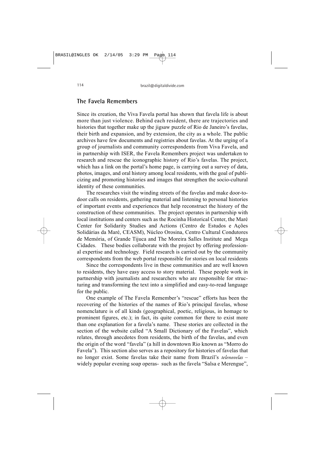#### **The Favela Remembers**

Since its creation, the Viva Favela portal has shown that favela life is about more than just violence. Behind each resident, there are trajectories and histories that together make up the jigsaw puzzle of Rio de Janeiro's favelas, their birth and expansion, and by extension, the city as a whole. The public archives have few documents and registries about favelas. At the urging of a group of journalists and community correspondents from Viva Favela, and in partnership with ISER, the Favela Remembers project was undertaken to research and rescue the iconographic history of Rio's favelas. The project, which has a link on the portal's home page, is carrying out a survey of data, photos, images, and oral history among local residents, with the goal of publicizing and promoting histories and images that strengthen the socio-cultural identity of these communities.

The researches visit the winding streets of the favelas and make door-todoor calls on residents, gathering material and listening to personal histories of important events and experiences that help reconstruct the history of the construction of these communities. The project operates in partnership with local institutions and centers such as the Rocinha Historical Center, the Maré Center for Solidarity Studies and Actions (Centro de Estudos e Ações Solidárias da Maré, CEASM), Núcleo Orosina, Centro Cultural Condutores de Memória, of Grande Tijuca and The Moreira Salles Institute and Mega Cidades. These bodies collaborate with the project by offering professional expertise and technology. Field research is carried out by the community correspondents from the web portal responsible for stories on local residents

Since the correspondents live in these communities and are well known to residents, they have easy access to story material. These people work in partnership with journalists and researchers who are responsible for structuring and transforming the text into a simplified and easy-to-read language for the public.

One example of The Favela Remember's "rescue" efforts has been the recovering of the histories of the names of Rio's principal favelas, whose nomenclature is of all kinds (geographical, poetic, religious, in homage to prominent figures, etc.); in fact, its quite common for there to exist more than one explanation for a favela's name. These stories are collected in the section of the website called "A Small Dictionary of the Favelas", which relates, through anecdotes from residents, the birth of the favelas, and even the origin of the word "favela" (a hill in downtown Rio known as "Morro do Favela"). This section also serves as a repository for histories of favelas that no longer exist. Some favelas take their name from Brazil's *telenovelas* – widely popular evening soap operas- such as the favela "Salsa e Merengue",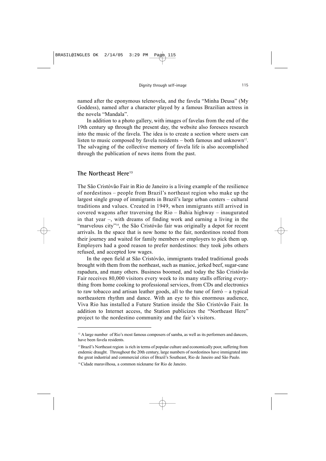named after the eponymous telenovela, and the favela "Minha Deusa" (My Goddess), named after a character played by a famous Brazilian actress in the novela "Mandala".

In addition to a photo gallery, with images of favelas from the end of the 19th century up through the present day, the website also foresees research into the music of the favela. The idea is to create a section where users can listen to music composed by favela residents – both famous and unknown<sup>12</sup>. The salvaging of the collective memory of favela life is also accomplished through the publication of news items from the past.

### **The Northeast Here13**

The São Cristóvão Fair in Rio de Janeiro is a living example of the resilience of nordestinos – people from Brazil's northeast region who make up the largest single group of immigrants in Brazil's large urban centers – cultural traditions and values. Created in 1949, when immigrants still arrived in covered wagons after traversing the Rio – Bahia highway – inaugurated in that year –, with dreams of finding work and earning a living in the "marvelous city"<sup>14</sup>, the São Cristóvão fair was originally a depot for recent arrivals. In the space that is now home to the fair, nordestinos rested from their journey and waited for family members or employers to pick them up. Employers had a good reason to prefer nordestinos: they took jobs others refused, and accepted low wages.

In the open field at São Cristóvão, immigrants traded traditional goods brought with them from the northeast, such as manioc, jerked beef, sugar-cane rapadura, and many others. Business boomed, and today the São Cristóvão Fair receives 80,000 visitors every week to its many stalls offering everything from home cooking to professional services, from CDs and electronics to raw tobacco and artisan leather goods, all to the tune of forró – a typical northeastern rhythm and dance. With an eye to this enormous audience, Viva Rio has installed a Future Station inside the São Cristóvão Fair. In addition to Internet access, the Station publicizes the "Northeast Here" project to the nordestino community and the fair's visitors.

 $12$  A large number of Rio's most famous composers of samba, as well as its performers and dancers, have been favela residents.

<sup>&</sup>lt;sup>13</sup> Brazil's Northeast region is rich in terms of popular culture and economically poor, suffering from endemic draught. Throughout the 20th century, large numbers of nordestinos have immigrated into the great industrial and commercial cities of Brazil's Southeast, Rio de Janeiro and São Paulo.

<sup>14</sup> Cidade maravilhosa, a common nickname for Rio de Janeiro.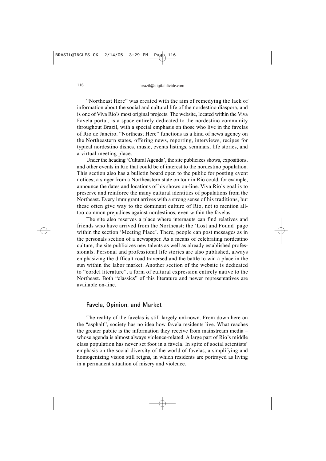"Northeast Here" was created with the aim of remedying the lack of information about the social and cultural life of the nordestino diaspora, and is one of Viva Rio's most original projects. The website, located within the Viva Favela portal, is a space entirely dedicated to the nordestino community throughout Brazil, with a special emphasis on those who live in the favelas of Rio de Janeiro. "Northeast Here" functions as a kind of news agency on the Northeastern states, offering news, reporting, interviews, recipes for typical nordestino dishes, music, events listings, seminars, life stories, and a virtual meeting place.

Under the heading 'Cultural Agenda', the site publicizes shows, expositions, and other events in Rio that could be of interest to the nordestino population. This section also has a bulletin board open to the public for posting event notices; a singer from a Northeastern state on tour in Rio could, for example, announce the dates and locations of his shows on-line. Viva Rio's goal is to preserve and reinforce the many cultural identities of populations from the Northeast. Every immigrant arrives with a strong sense of his traditions, but these often give way to the dominant culture of Rio, not to mention alltoo-common prejudices against nordestinos, even within the favelas.

The site also reserves a place where internauts can find relatives and friends who have arrived from the Northeast: the 'Lost and Found' page within the section 'Meeting Place'. There, people can post messages as in the personals section of a newspaper. As a means of celebrating nordestino culture, the site publicizes new talents as well as already established professionals. Personal and professional life stories are also published, always emphasizing the difficult road traversed and the battle to win a place in the sun within the labor market. Another section of the website is dedicated to "cordel literature", a form of cultural expression entirely native to the Northeast. Both "classics" of this literature and newer representatives are available on-line.

#### **Favela, Opinion, and Market**

The reality of the favelas is still largely unknown. From down here on the "asphalt", society has no idea how favela residents live. What reaches the greater public is the information they receive from mainstream media – whose agenda is almost always violence-related. A large part of Rio's middle class population has never set foot in a favela. In spite of social scientists' emphasis on the social diversity of the world of favelas, a simplifying and homogenizing vision still reigns, in which residents are portrayed as living in a permanent situation of misery and violence.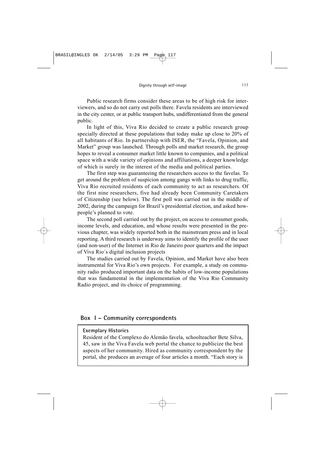Public research firms consider these areas to be of high risk for interviewers, and so do not carry out polls there. Favela residents are interviewed in the city center, or at public transport hubs, undifferentiated from the general public.

In light of this, Viva Rio decided to create a public research group specially directed at these populations that today make up close to 20% of all habitants of Rio. In partnership with ISER, the "Favela, Opinion, and Market" group was launched. Through polls and market research, the group hopes to reveal a consumer market little known to companies, and a political space with a wide variety of opinions and affiliations, a deeper knowledge of which is surely in the interest of the media and political parties.

The first step was guaranteeing the researchers access to the favelas. To get around the problem of suspicion among gangs with links to drug traffic, Viva Rio recruited residents of each community to act as researchers. Of the first nine researchers, five had already been Community Caretakers of Citizenship (see below). The first poll was carried out in the middle of 2002, during the campaign for Brazil's presidential election, and asked howpeople's planned to vote.

The second poll carried out by the project, on access to consumer goods, income levels, and education, and whose results were presented in the previous chapter, was widely reported both in the mainstream press and in local reporting. A third research is underway aims to identify the profile of the user (and non-user) of the Internet in Rio de Janeiro poor quarters and the impact of Viva Rio´s digital inclusion projects

The studies carried out by Favela, Opinion, and Market have also been instrumental for Viva Rio's own projects. For example, a study on community radio produced important data on the habits of low-income populations that was fundamental in the implementation of the Viva Rio Community Radio project, and its choice of programming.

# **Box I – Community correspondents**

#### **Exemplary Histories**

Resident of the Complexo do Alemão favela, schoolteacher Bete Silva, 45, saw in the Viva Favela web portal the chance to publicize the best aspects of her community. Hired as community correspondent by the portal, she produces an average of four articles a month. "Each story is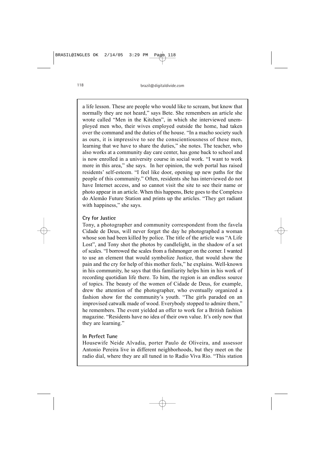a life lesson. These are people who would like to scream, but know that normally they are not heard," says Bete. She remembers an article she wrote called "Men in the Kitchen", in which she interviewed unemployed men who, their wives employed outside the home, had taken over the command and the duties of the house. "In a macho society such as ours, it is impressive to see the conscientiousness of these men, learning that we have to share the duties," she notes. The teacher, who also works at a community day care center, has gone back to school and is now enrolled in a university course in social work. "I want to work more in this area," she says. In her opinion, the web portal has raised residents' self-esteem. "I feel like door, opening up new paths for the people of this community." Often, residents she has interviewed do not have Internet access, and so cannot visit the site to see their name or photo appear in an article. When this happens, Bete goes to the Complexo do Alemão Future Station and prints up the articles. "They get radiant with happiness," she says.

### **Cry for Justice**

Tony, a photographer and community correspondent from the favela Cidade de Deus, will never forget the day he photographed a woman whose son had been killed by police. The title of the article was "A Life Lost", and Tony shot the photos by candlelight, in the shadow of a set of scales. "I borrowed the scales from a fishmonger on the corner. I wanted to use an element that would symbolize Justice, that would show the pain and the cry for help of this mother feels," he explains. Well-known in his community, he says that this familiarity helps him in his work of recording quotidian life there. To him, the region is an endless source of topics. The beauty of the women of Cidade de Deus, for example, drew the attention of the photographer, who eventually organized a fashion show for the community's youth. "The girls paraded on an improvised catwalk made of wood. Everybody stopped to admire them," he remembers. The event yielded an offer to work for a British fashion magazine. "Residents have no idea of their own value. It's only now that they are learning."

### **In Perfect Tune**

Housewife Neide Alvadia, porter Paulo de Oliveira, and assessor Antonio Pereira live in different neighborhoods, but they meet on the radio dial, where they are all tuned in to Radio Viva Rio. "This station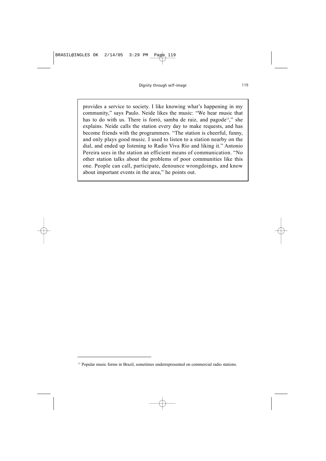provides a service to society. I like knowing what's happening in my community," says Paulo. Neide likes the music: "We hear music that has to do with us. There is forró, samba de raiz, and pagode<sup>15</sup>," she explains. Neide calls the station every day to make requests, and has become friends with the programmers. "The station is cheerful, funny, and only plays good music. I used to listen to a station nearby on the dial, and ended up listening to Radio Viva Rio and liking it." Antonio Pereira sees in the station an efficient means of communication. "No other station talks about the problems of poor communities like this one. People can call, participate, denounce wrongdoings, and know about important events in the area," he points out.

<sup>&</sup>lt;sup>12</sup> Popular music forms in Brazil, sometimes underrepresented on commercial radio stations.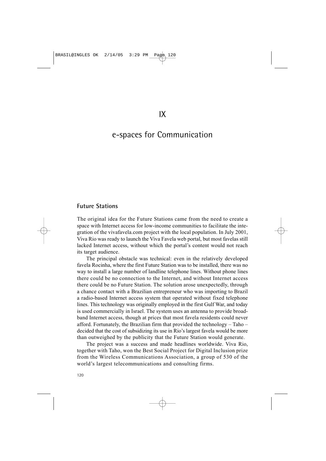# e-spaces for Communication

#### **Future Stations**

The original idea for the Future Stations came from the need to create a space with Internet access for low-income communities to facilitate the integration of the vivafavela.com project with the local population. In July 2001, Viva Rio was ready to launch the Viva Favela web portal, but most favelas still lacked Internet access, without which the portal's content would not reach its target audience.

The principal obstacle was technical: even in the relatively developed favela Rocinha, where the first Future Station was to be installed, there was no way to install a large number of landline telephone lines. Without phone lines there could be no connection to the Internet, and without Internet access there could be no Future Station. The solution arose unexpectedly, through a chance contact with a Brazilian entrepreneur who was importing to Brazil a radio-based Internet access system that operated without fixed telephone lines. This technology was originally employed in the first Gulf War, and today is used commercially in Israel. The system uses an antenna to provide broadband Internet access, though at prices that most favela residents could never afford. Fortunately, the Brazilian firm that provided the technology – Taho – decided that the cost of subsidizing its use in Rio's largest favela would be more than outweighed by the publicity that the Future Station would generate.

The project was a success and made headlines worldwide. Viva Rio, together with Taho, won the Best Social Project for Digital Inclusion prize from the Wireless Communications Association, a group of 530 of the world's largest telecommunications and consulting firms.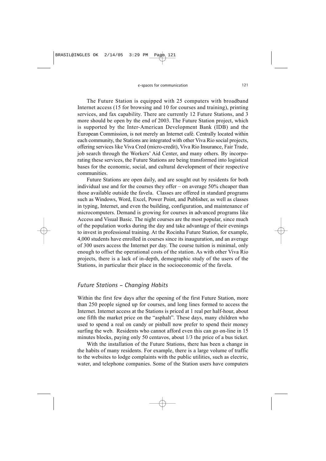The Future Station is equipped with 25 computers with broadband Internet access (15 for browsing and 10 for courses and training), printing services, and fax capability. There are currently 12 Future Stations, and 3 more should be open by the end of 2003. The Future Station project, which is supported by the Inter-American Development Bank (IDB) and the European Commission, is not merely an Internet café. Centrally located within each community, the Stations are integrated with other Viva Rio social projects, offering services like Viva Cred (micro-credit), Viva Rio Insurance, Fair Trade, job search through the Workers' Aid Center, and many others. By incorporating these services, the Future Stations are being transformed into logistical bases for the economic, social, and cultural development of their respective communities.

Future Stations are open daily, and are sought out by residents for both individual use and for the courses they offer – on average 50% cheaper than those available outside the favela. Classes are offered in standard programs such as Windows, Word, Excel, Power Point, and Publisher, as well as classes in typing, Internet, and even the building, configuration, and maintenance of microcomputers. Demand is growing for courses in advanced programs like Access and Visual Basic. The night courses are the most popular, since much of the population works during the day and take advantage of their evenings to invest in professional training. At the Rocinha Future Station, for example, 4,000 students have enrolled in courses since its inauguration, and an average of 300 users access the Internet per day. The course tuition is minimal, only enough to offset the operational costs of the station. As with other Viva Rio projects, there is a lack of in-depth, demographic study of the users of the Stations, in particular their place in the socioeconomic of the favela.

### *Future Stations – Changing Habits*

Within the first few days after the opening of the first Future Station, more than 250 people signed up for courses, and long lines formed to access the Internet. Internet access at the Stations is priced at 1 real per half-hour, about one fifth the market price on the "asphalt". These days, many children who used to spend a real on candy or pinball now prefer to spend their money surfing the web. Residents who cannot afford even this can go on-line in 15 minutes blocks, paying only 50 centavos, about 1/3 the price of a bus ticket.

With the installation of the Future Stations, there has been a change in the habits of many residents. For example, there is a large volume of traffic to the websites to lodge complaints with the public utilities, such as electric, water, and telephone companies. Some of the Station users have computers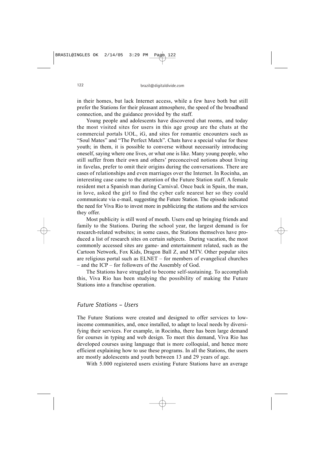in their homes, but lack Internet access, while a few have both but still prefer the Stations for their pleasant atmosphere, the speed of the broadband connection, and the guidance provided by the staff.

Young people and adolescents have discovered chat rooms, and today the most visited sites for users in this age group are the chats at the commercial portals UOL, iG, and sites for romantic encounters such as "Soul Mates" and "The Perfect Match". Chats have a special value for these youth; in them, it is possible to converse without necessarily introducing oneself, saying where one lives, or what one is like. Many young people, who still suffer from their own and others' preconceived notions about living in favelas, prefer to omit their origins during the conversations. There are cases of relationships and even marriages over the Internet. In Rocinha, an interesting case came to the attention of the Future Station staff. A female resident met a Spanish man during Carnival. Once back in Spain, the man, in love, asked the girl to find the cyber cafe nearest her so they could communicate via e-mail, suggesting the Future Station. The episode indicated the need for Viva Rio to invest more in publicizing the stations and the services they offer.

Most publicity is still word of mouth. Users end up bringing friends and family to the Stations. During the school year, the largest demand is for research-related websites; in some cases, the Stations themselves have produced a list of research sites on certain subjects. During vacation, the most commonly accessed sites are game- and entertainment related, such as the Cartoon Network, Fox Kids, Dragon Ball Z, and MTV. Other popular sites are religious portal such as ELNET – for members of evangelical churches – and the ICP – for followers of the Assembly of God.

The Stations have struggled to become self-sustaining. To accomplish this, Viva Rio has been studying the possibility of making the Future Stations into a franchise operation.

#### *Future Stations – Users*

The Future Stations were created and designed to offer services to lowincome communities, and, once installed, to adapt to local needs by diversifying their services. For example, in Rocinha, there has been large demand for courses in typing and web design. To meet this demand, Viva Rio has developed courses using language that is more colloquial, and hence more efficient explaining how to use these programs. In all the Stations, the users are mostly adolescents and youth between 13 and 29 years of age.

With 5.000 registered users existing Future Stations have an average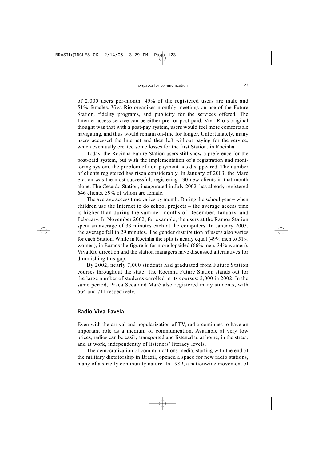of 2.000 users per-month. 49% of the registered users are male and 51% females. Viva Rio organizes monthly meetings on use of the Future Station, fidelity programs, and publicity for the services offered. The Internet access service can be either pre- or post-paid. Viva Rio's original thought was that with a post-pay system, users would feel more comfortable navigating, and thus would remain on-line for longer. Unfortunately, many users accessed the Internet and then left without paying for the service, which eventually created some losses for the first Station, in Rocinha.

Today, the Rocinha Future Station users still show a preference for the post-paid system, but with the implementation of a registration and monitoring system, the problem of non-payment has disappeared. The number of clients registered has risen considerably. In January of 2003, the Maré Station was the most successful, registering 130 new clients in that month alone. The Cesarão Station, inaugurated in July 2002, has already registered 646 clients, 59% of whom are female.

The average access time varies by month. During the school year – when children use the Internet to do school projects – the average access time is higher than during the summer months of December, January, and February. In November 2002, for example, the users at the Ramos Station spent an average of 33 minutes each at the computers. In January 2003, the average fell to 29 minutes. The gender distribution of users also varies for each Station. While in Rocinha the split is nearly equal (49% men to 51% women), in Ramos the figure is far more lopsided (66% men, 34% women). Viva Rio direction and the station managers have discussed alternatives for diminishing this gap.

By 2002, nearly 7,000 students had graduated from Future Station courses throughout the state. The Rocinha Future Station stands out for the large number of students enrolled in its courses: 2,000 in 2002. In the same period, Praça Seca and Maré also registered many students, with 564 and 711 respectively.

#### **Radio Viva Favela**

Even with the arrival and popularization of TV, radio continues to have an important role as a medium of communication. Available at very low prices, radios can be easily transported and listened to at home, in the street, and at work, independently of listeners' literacy levels.

The democratization of communications media, starting with the end of the military dictatorship in Brazil, opened a space for new radio stations, many of a strictly community nature. In 1989, a nationwide movement of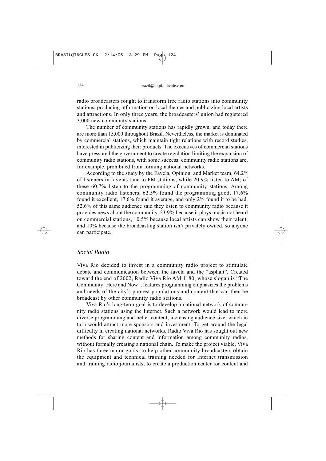radio broadcasters fought to transform free radio stations into community stations, producing information on local themes and publicizing local artists and attractions. In only three years, the broadcasters' union had registered 3,000 new community stations.

The number of community stations has rapidly grown, and today there are more than 15,000 throughout Brazil. Nevertheless, the market is dominated by commercial stations, which maintain tight relations with record studies, interested in publicizing their products. The executives of commercial stations have pressured the government to create regulation limiting the expansion of community radio stations, with some success: community radio stations are, for example, prohibited from forming national networks.

According to the study by the Favela, Opinion, and Market team, 64.2% of listeners in favelas tune to FM stations, while 20.9% listen to AM; of these 60.7% listen to the programming of community stations. Among community radio listeners, 62.5% found the programming good, 17.6% found it excellent, 17.6% found it average, and only 2% found it to be bad. 52.6% of this same audience said they listen to community radio because it provides news about the community, 23.9% because it plays music not heard on commercial stations, 10.5% because local artists can show their talent, and 10% because the broadcasting station isn't privately owned, so anyone can participate.

### *Social Radio*

Viva Rio decided to invest in a community radio project to stimulate debate and communication between the favela and the "asphalt". Created toward the end of 2002, Radio Viva Rio AM 1180, whose slogan is "The Community: Here and Now", features programming emphasizes the problems and needs of the city's poorest populations and content that can then be broadcast by other community radio stations.

Viva Rio's long-term goal is to develop a national network of community radio stations using the Internet. Such a network would lead to more diverse programming and better content, increasing audience size, which in turn would attract more sponsors and investment. To get around the legal difficulty in creating national networks, Radio Viva Rio has sought out new methods for sharing content and information among community radios, without formally creating a national chain. To make the project viable, Viva Rio has three major goals: to help other community broadcasters obtain the equipment and technical training needed for Internet transmission and training radio journalists; to create a production center for content and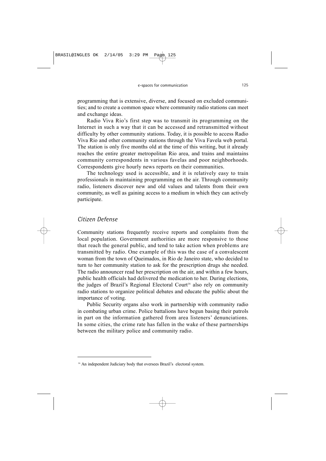programming that is extensive, diverse, and focused on excluded communities; and to create a common space where community radio stations can meet and exchange ideas.

Radio Viva Rio's first step was to transmit its programming on the Internet in such a way that it can be accessed and retransmitted without difficulty by other community stations. Today, it is possible to access Radio Viva Rio and other community stations through the Viva Favela web portal. The station is only five months old at the time of this writing, but it already reaches the entire greater metropolitan Rio area, and trains and maintains community correspondents in various favelas and poor neighborhoods. Correspondents give hourly news reports on their communities.

The technology used is accessible, and it is relatively easy to train professionals in maintaining programming on the air. Through community radio, listeners discover new and old values and talents from their own community, as well as gaining access to a medium in which they can actively participate.

# *Citizen Defense*

Community stations frequently receive reports and complaints from the local population. Government authorities are more responsive to those that reach the general public, and tend to take action when problems are transmitted by radio. One example of this was the case of a convalescent woman from the town of Queimados, in Rio de Janeiro state, who decided to turn to her community station to ask for the prescription drugs she needed. The radio announcer read her prescription on the air, and within a few hours, public health officials had delivered the medication to her. During elections, the judges of Brazil's Regional Electoral Court<sup>16</sup> also rely on community radio stations to organize political debates and educate the public about the importance of voting.

Public Security organs also work in partnership with community radio in combating urban crime. Police battalions have begun basing their patrols in part on the information gathered from area listeners' denunciations. In some cities, the crime rate has fallen in the wake of these partnerships between the military police and community radio.

<sup>&</sup>lt;sup>16</sup> An independent Judiciary body that oversees Brazil's electoral system.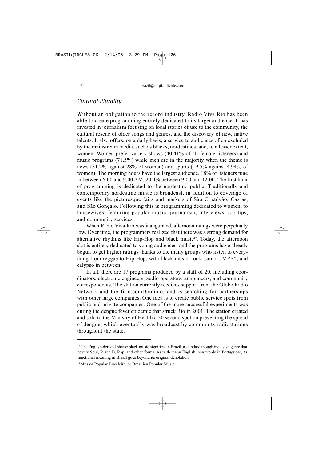### *Cultural Plurality*

Without an obligation to the record industry, Radio Viva Rio has been able to create programming entirely dedicated to its target audience. It has invested in journalism focusing on local stories of use to the community, the cultural rescue of older songs and genres, and the discovery of new, native talents. It also offers, on a daily basis, a service to audiences often excluded by the mainstream media, such as blacks, nordestinos, and, to a lesser extent, women. Women prefer variety shows (40.41% of all female listeners) and music programs (71.5%) while men are in the majority when the theme is news (31.2% against 28% of women) and sports (19.5% against 4.94% of women). The morning hours have the largest audience. 18% of listeners tune in between 6:00 and 9:00 AM, 20.4% between 9:00 and 12:00. The first hour of programming is dedicated to the nordestino public. Traditionally and contemporary nordestino music is broadcast, in addition to coverage of events like the picturesque fairs and markets of São Cristóvão, Caxias, and São Gonçalo. Following this is programming dedicated to women, to housewives, featuring popular music, journalism, interviews, job tips, and community services.

When Radio Viva Rio was inaugurated, afternoon ratings were perpetually low. Over time, the programmers realized that there was a strong demand for alternative rhythms like Hip-Hop and black music<sup>17</sup>. Today, the afternoon slot is entirely dedicated to young audiences, and the programs have already begun to get higher ratings thanks to the many groups who listen to everything from reggae to Hip-Hop, with black music, rock, samba,  $MPB<sup>18</sup>$ , and calypso in between.

In all, there are 17 programs produced by a staff of 20, including coordinators, electronic engineers, audio operators, announcers, and community correspondents. The station currently receives support from the Globo Radio Network and the firm.comDominio, and is searching for partnerships with other large companies. One idea is to create public service spots from public and private companies. One of the more successful experiments was during the dengue fever epidemic that struck Rio in 2001. The station created and sold to the Ministry of Health a 30 second spot on preventing the spread of dengue, which eventually was broadcast by community radiostations throughout the state.

<sup>&</sup>lt;sup>17</sup> The English-derived phrase black music signifies, in Brazil, a standard though inclusive genre that covers Soul, R and B, Rap, and other forms. As with many English loan words in Portuguese, its functional meaning in Brazil goes beyond its original denotation.

<sup>&</sup>lt;sup>18</sup> Musica Popular Brasileira, or Brazilian Popular Music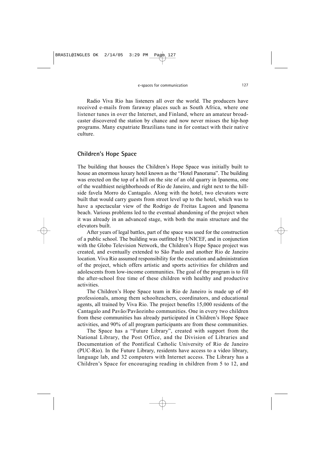Radio Viva Rio has listeners all over the world. The producers have received e-mails from faraway places such as South Africa, where one listener tunes in over the Internet, and Finland, where an amateur broadcaster discovered the station by chance and now never misses the hip-hop programs. Many expatriate Brazilians tune in for contact with their native culture.

# **Children's Hope Space**

The building that houses the Children's Hope Space was initially built to house an enormous luxury hotel known as the "Hotel Panorama". The building was erected on the top of a hill on the site of an old quarry in Ipanema, one of the wealthiest neighborhoods of Rio de Janeiro, and right next to the hillside favela Morro do Cantagalo. Along with the hotel, two elevators were built that would carry guests from street level up to the hotel, which was to have a spectacular view of the Rodrigo de Freitas Lagoon and Ipanema beach. Various problems led to the eventual abandoning of the project when it was already in an advanced stage, with both the main structure and the elevators built.

After years of legal battles, part of the space was used for the construction of a public school. The building was outfitted by UNICEF, and in conjunction with the Globo Television Network, the Children's Hope Space project was created, and eventually extended to São Paulo and another Rio de Janeiro location. Viva Rio assumed responsibility for the execution and administration of the project, which offers artistic and sports activities for children and adolescents from low-income communities. The goal of the program is to fill the after-school free time of these children with healthy and productive activities.

The Children's Hope Space team in Rio de Janeiro is made up of 40 professionals, among them schoolteachers, coordinators, and educational agents, all trained by Viva Rio. The project benefits 15,000 residents of the Cantagalo and Pavão/Pavãozinho communities. One in every two children from these communities has already participated in Children's Hope Space activities, and 90% of all program participants are from these communities.

The Space has a "Future Library", created with support from the National Library, the Post Office, and the Division of Libraries and Documentation of the Pontifical Catholic University of Rio de Janeiro (PUC-Rio). In the Future Library, residents have access to a video library, language lab, and 32 computers with Internet access. The Library has a Children's Space for encouraging reading in children from 5 to 12, and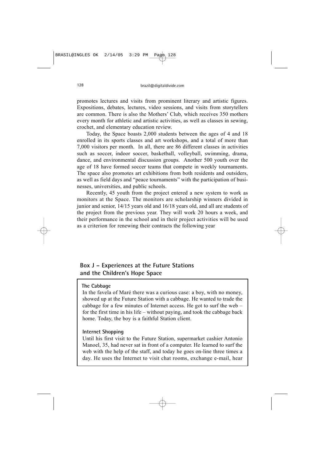promotes lectures and visits from prominent literary and artistic figures. Expositions, debates, lectures, video sessions, and visits from storytellers are common. There is also the Mothers' Club, which receives 350 mothers every month for athletic and artistic activities, as well as classes in sewing, crochet, and elementary education review.

Today, the Space boasts 2,000 students between the ages of 4 and 18 enrolled in its sports classes and art workshops, and a total of more than 7,000 visitors per month. In all, there are 86 different classes in activities such as soccer, indoor soccer, basketball, volleyball, swimming, drama, dance, and environmental discussion groups. Another 500 youth over the age of 18 have formed soccer teams that compete in weekly tournaments. The space also promotes art exhibitions from both residents and outsiders, as well as field days and "peace tournaments" with the participation of businesses, universities, and public schools.

Recently, 45 youth from the project entered a new system to work as monitors at the Space. The monitors are scholarship winners divided in junior and senior, 14/15 years old and 16/18 years old, and all are students of the project from the previous year. They will work 20 hours a week, and their performance in the school and in their project activities will be used as a criterion for renewing their contracts the following year

# **Box J – Experiences at the Future Stations and the Children's Hope Space**

#### **The Cabbage**

In the favela of Maré there was a curious case: a boy, with no money, showed up at the Future Station with a cabbage. He wanted to trade the cabbage for a few minutes of Internet access. He got to surf the web – for the first time in his life – without paying, and took the cabbage back home. Today, the boy is a faithful Station client.

#### **Internet Shopping**

Until his first visit to the Future Station, supermarket cashier Antonio Manoel, 35, had never sat in front of a computer. He learned to surf the web with the help of the staff, and today he goes on-line three times a day. He uses the Internet to visit chat rooms, exchange e-mail, hear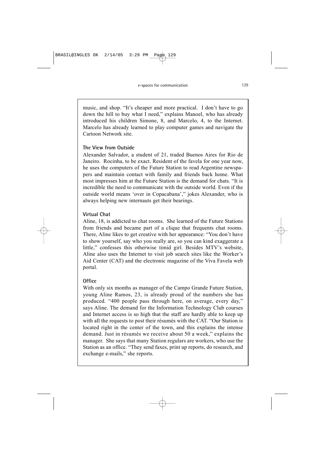music, and shop. "It's cheaper and more practical. I don't have to go down the hill to buy what I need," explains Manoel, who has already introduced his children Simone, 8, and Marcelo, 4, to the Internet. Marcelo has already learned to play computer games and navigate the Cartoon Network site.

### **The View from Outside**

Alexander Salvador, a student of 21, traded Buenos Aires for Rio de Janeiro. Rocinha, to be exact. Resident of the favela for one year now, he uses the computers of the Future Station to read Argentine newspapers and maintain contact with family and friends back home. What most impresses him at the Future Station is the demand for chats. "It is incredible the need to communicate with the outside world. Even if the outside world means 'over in Copacabana'," jokes Alexander, who is always helping new internauts get their bearings.

## **Virtual Chat**

Aline, 18, is addicted to chat rooms. She learned of the Future Stations from friends and became part of a clique that frequents chat rooms. There, Aline likes to get creative with her appearance: "You don't have to show yourself, say who you really are, so you can kind exaggerate a little," confesses this otherwise timid girl. Besides MTV's website, Aline also uses the Internet to visit job search sites like the Worker's Aid Center (CAT) and the electronic magazine of the Viva Favela web portal.

## **Office**

With only six months as manager of the Campo Grande Future Station, young Aline Ramos, 23, is already proud of the numbers she has produced. "400 people pass through here, on average, every day," says Aline. The demand for the Information Technology Club courses and Internet access is so high that the staff are hardly able to keep up with all the requests to post their résumés with the CAT. "Our Station is located right in the center of the town, and this explains the intense demand. Just in résumés we receive about 50 a week," explains the manager. She says that many Station regulars are workers, who use the Station as an office. "They send faxes, print up reports, do research, and exchange e-mails," she reports.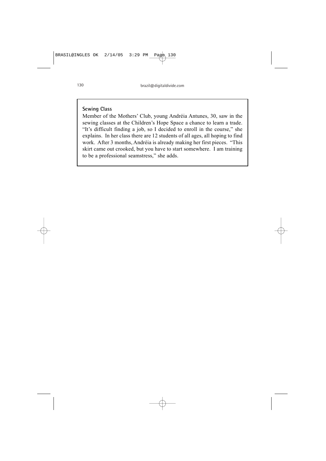# **Sewing Class**

Member of the Mothers' Club, young Andréia Antunes, 30, saw in the sewing classes at the Children's Hope Space a chance to learn a trade. "It's difficult finding a job, so I decided to enroll in the course," she explains. In her class there are 12 students of all ages, all hoping to find work. After 3 months, Andréia is already making her first pieces. "This skirt came out crooked, but you have to start somewhere. I am training to be a professional seamstress," she adds.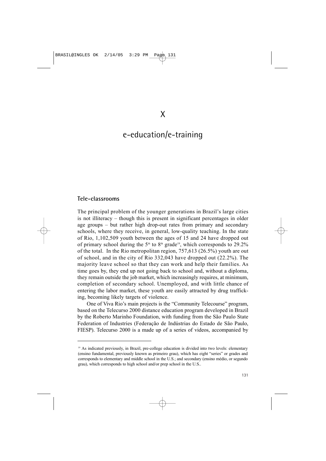# e-education/e-training

#### **Tele-classrooms**

The principal problem of the younger generations in Brazil's large cities is not illiteracy – though this is present in significant percentages in older age groups – but rather high drop-out rates from primary and secondary schools, where they receive, in general, low-quality teaching. In the state of Rio, 1,102,509 youth between the ages of 15 and 24 have dropped out of primary school during the  $5<sup>th</sup>$  to  $8<sup>th</sup>$  grade<sup>19</sup>, which corresponds to 29.2% of the total. In the Rio metropolitan region, 757,613 (26.5%) youth are out of school, and in the city of Rio 332,043 have dropped out (22.2%). The majority leave school so that they can work and help their families. As time goes by, they end up not going back to school and, without a diploma, they remain outside the job market, which increasingly requires, at minimum, completion of secondary school. Unemployed, and with little chance of entering the labor market, these youth are easily attracted by drug trafficking, becoming likely targets of violence.

One of Viva Rio's main projects is the "Community Telecourse" program, based on the Telecurso 2000 distance education program developed in Brazil by the Roberto Marinho Foundation, with funding from the São Paulo State Federation of Industries (Federação de Indústrias do Estado de São Paulo, FIESP). Telecurso 2000 is a made up of a series of videos, accompanied by

<sup>&</sup>lt;sup>19</sup> As indicated previously, in Brazil, pre-college education is divided into two levels: elementary (ensino fundamental, previously known as primeiro grau), which has eight "series" or grades and corresponds to elementary and middle school in the U.S.; and secondary (ensino médio, or segundo grau), which corresponds to high school and/or prep school in the U.S..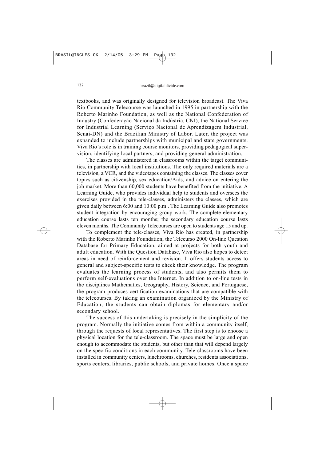textbooks, and was originally designed for television broadcast. The Viva Rio Community Telecourse was launched in 1995 in partnership with the Roberto Marinho Foundation, as well as the National Confederation of Industry (Confederação Nacional da Indústria, CNI), the National Service for Industrial Learning (Serviço Nacional de Aprendizagem Industrial, Senai-DN) and the Brazilian Ministry of Labor. Later, the project was expanded to include partnerships with municipal and state governments. Viva Rio's role is in training course monitors, providing pedagogical supervision, identifying local partners, and providing general administration.

The classes are administered in classrooms within the target communities, in partnership with local institutions. The only required materials are a television, a VCR, and the videotapes containing the classes. The classes cover topics such as citizenship, sex education/Aids, and advice on entering the job market. More than 60,000 students have benefited from the initiative. A Learning Guide, who provides individual help to students and oversees the exercises provided in the tele-classes, administers the classes, which are given daily between 6:00 and 10:00 p.m.. The Learning Guide also promotes student integration by encouraging group work. The complete elementary education course lasts ten months; the secondary education course lasts eleven months. The Community Telecourses are open to students age 15 and up.

To complement the tele-classes, Viva Rio has created, in partnership with the Roberto Marinho Foundation, the Telecurso 2000 On-line Question Database for Primary Education, aimed at projects for both youth and adult education. With the Question Database, Viva Rio also hopes to detect areas in need of reinforcement and revision. It offers students access to general and subject-specific tests to check their knowledge. The program evaluates the learning process of students, and also permits them to perform self-evaluations over the Internet. In addition to on-line tests in the disciplines Mathematics, Geography, History, Science, and Portuguese, the program produces certification examinations that are compatible with the telecourses. By taking an examination organized by the Ministry of Education, the students can obtain diplomas for elementary and/or secondary school.

The success of this undertaking is precisely in the simplicity of the program. Normally the initiative comes from within a community itself, through the requests of local representatives. The first step is to choose a physical location for the tele-classroom. The space must be large and open enough to accommodate the students, but other than that will depend largely on the specific conditions in each community. Tele-classrooms have been installed in community centers, lunchrooms, churches, residents associations, sports centers, libraries, public schools, and private homes. Once a space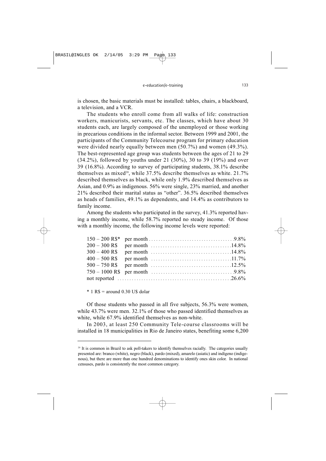is chosen, the basic materials must be installed: tables, chairs, a blackboard, a television, and a VCR.

The students who enroll come from all walks of life: construction workers, manicurists, servants, etc. The classes, which have about 30 students each, are largely composed of the unemployed or those working in precarious conditions in the informal sector. Between 1999 and 2001, the participants of the Community Telecourse program for primary education were divided nearly equally between men (50.7%) and women (49.3%). The best-represented age group was students between the ages of 21 to 29 (34.2%), followed by youths under 21 (30%), 30 to 39 (19%) and over 39 (16.8%). According to survey of participating students, 38.1% describe themselves as mixed<sup>20</sup>, while  $37.5\%$  describe themselves as white.  $21.7\%$ described themselves as black, while only 1.9% described themselves as Asian, and 0.9% as indigenous. 56% were single, 23% married, and another 21% described their marital status as "other". 36.5% described themselves as heads of families, 49.1% as dependents, and 14.4% as contributors to family income.

Among the students who participated in the survey, 41.3% reported having a monthly income, while 58.7% reported no steady income. Of those with a monthly income, the following income levels were reported:

 $*$  1 R\$ = around 0.30 U\$ dolar

Of those students who passed in all five subjects, 56.3% were women, while 43.7% were men. 32.1% of those who passed identified themselves as white, while 67.9% identified themselves as non-white.

In 2003, at least 250 Community Tele-course classrooms will be installed in 18 municipalities in Rio de Janeiro states, benefiting some 6,200

<sup>&</sup>lt;sup>20</sup> It is common in Brazil to ask poll-takers to identify themselves racially. The categories usually presented are: branco (white), negro (black), pardo (mixed), amarelo (asiatic) and indígeno (indigenous), but there are more than one hundred denominations to identify ones skin color. In national censuses, pardo is consistently the most common category.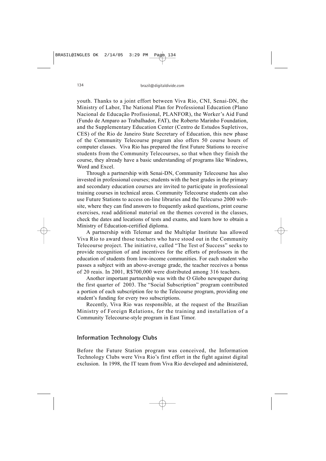youth. Thanks to a joint effort between Viva Rio, CNI, Senai-DN, the Ministry of Labor, The National Plan for Professional Education (Plano Nacional de Educação Profissional, PLANFOR), the Worker's Aid Fund (Fundo de Amparo ao Trabalhador, FAT), the Roberto Marinho Foundation, and the Supplementary Education Center (Centro de Estudos Supletivos, CES) of the Rio de Janeiro State Secretary of Education, this new phase of the Community Telecourse program also offers 50 course hours of computer classes. Viva Rio has prepared the first Future Stations to receive students from the Community Telecourses, so that when they finish the course, they already have a basic understanding of programs like Windows, Word and Excel.

Through a partnership with Senai-DN, Community Telecourse has also invested in professional courses; students with the best grades in the primary and secondary education courses are invited to participate in professional training courses in technical areas. Community Telecourse students can also use Future Stations to access on-line libraries and the Telecurso 2000 website, where they can find answers to frequently asked questions, print course exercises, read additional material on the themes covered in the classes, check the dates and locations of tests and exams, and learn how to obtain a Ministry of Education-certified diploma.

A partnership with Telemar and the Multiplar Institute has allowed Viva Rio to award those teachers who have stood out in the Community Telecourse project. The initiative, called "The Test of Success" seeks to provide recognition of and incentives for the efforts of professors in the education of students from low-income communities. For each student who passes a subject with an above-average grade, the teacher receives a bonus of 20 reais. In 2001, R\$700,000 were distributed among 316 teachers.

Another important partnership was with the O Globo newspaper during the first quarter of 2003. The "Social Subscription" program contributed a portion of each subscription fee to the Telecourse program, providing one student's funding for every two subscriptions.

Recently, Viva Rio was responsible, at the request of the Brazilian Ministry of Foreign Relations, for the training and installation of a Community Telecourse-style program in East Timor.

## **Information Technology Clubs**

Before the Future Station program was conceived, the Information Technology Clubs were Viva Rio's first effort in the fight against digital exclusion. In 1998, the IT team from Viva Rio developed and administered,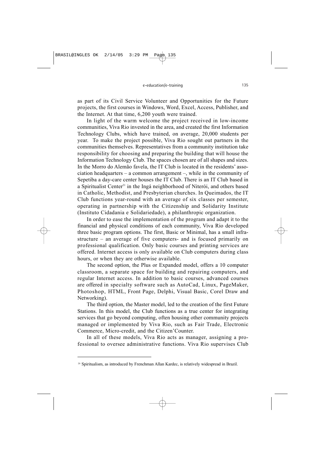as part of its Civil Service Volunteer and Opportunities for the Future projects, the first courses in Windows, Word, Excel, Access, Publisher, and the Internet. At that time, 6,200 youth were trained.

In light of the warm welcome the project received in low-income communities, Viva Rio invested in the area, and created the first Information Technology Clubs, which have trained, on average, 20,000 students per year. To make the project possible, Viva Rio sought out partners in the communities themselves. Representatives from a community institution take responsibility for choosing and preparing the building that will house the Information Technology Club. The spaces chosen are of all shapes and sizes. In the Morro do Alemão favela, the IT Club is located in the residents' association headquarters – a common arrangement –, while in the community of Sepetiba a day-care center houses the IT Club. There is an IT Club based in a Spiritualist Center<sup>21</sup> in the Ingá neighborhood of Niterói, and others based in Catholic, Methodist, and Presbyterian churches. In Queimados, the IT Club functions year-round with an average of six classes per semester, operating in partnership with the Citizenship and Solidarity Institute (Instituto Cidadania e Solidariedade), a philanthropic organization.

In order to ease the implementation of the program and adapt it to the financial and physical conditions of each community, Viva Rio developed three basic program options. The first, Basic or Minimal, has a small infrastructure – an average of five computers- and is focused primarily on professional qualification. Only basic courses and printing services are offered. Internet access is only available on Club computers during class hours, or when they are otherwise available.

The second option, the Plus or Expanded model, offers a 10 computer classroom, a separate space for building and repairing computers, and regular Internet access. In addition to basic courses, advanced courses are offered in specialty software such as AutoCad, Linux, PageMaker, Photoshop, HTML, Front Page, Delphi, Visual Basic, Corel Draw and Networking).

The third option, the Master model, led to the creation of the first Future Stations. In this model, the Club functions as a true center for integrating services that go beyond computing, often housing other community projects managed or implemented by Viva Rio, such as Fair Trade, Electronic Commerce, Micro-credit, and the Citizen'Counter.

In all of these models, Viva Rio acts as manager, assigning a professional to oversee administrative functions. Viva Rio supervises Club

<sup>&</sup>lt;sup>20</sup> Spiritualism, as introduced by Frenchman Allan Kardec, is relatively widespread in Brazil.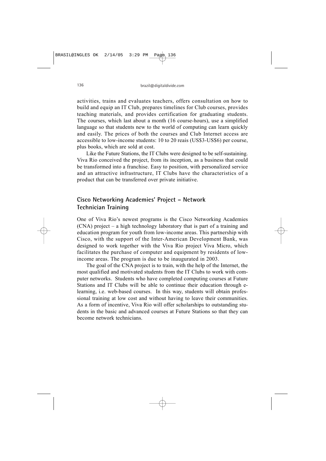activities, trains and evaluates teachers, offers consultation on how to build and equip an IT Club, prepares timelines for Club courses, provides teaching materials, and provides certification for graduating students. The courses, which last about a month (16 course-hours), use a simplified language so that students new to the world of computing can learn quickly and easily. The prices of both the courses and Club Internet access are accessible to low-income students: 10 to 20 reais (US\$3-US\$6) per course, plus books, which are sold at cost.

Like the Future Stations, the IT Clubs were designed to be self-sustaining. Viva Rio conceived the project, from its inception, as a business that could be transformed into a franchise. Easy to position, with personalized service and an attractive infrastructure, IT Clubs have the characteristics of a product that can be transferred over private initiative.

# **Cisco Networking Academies' Project – Network Technician Training**

One of Viva Rio's newest programs is the Cisco Networking Academies (CNA) project – a high technology laboratory that is part of a training and education program for youth from low-income areas. This partnership with Cisco, with the support of the Inter-American Development Bank, was designed to work together with the Viva Rio project Viva Micro, which facilitates the purchase of computer and equipment by residents of lowincome areas. The program is due to be inaugurated in 2003.

The goal of the CNA project is to train, with the help of the Internet, the most qualified and motivated students from the IT Clubs to work with computer networks. Students who have completed computing courses at Future Stations and IT Clubs will be able to continue their education through elearning, i.e. web-based courses. In this way, students will obtain professional training at low cost and without having to leave their communities. As a form of incentive, Viva Rio will offer scholarships to outstanding students in the basic and advanced courses at Future Stations so that they can become network technicians.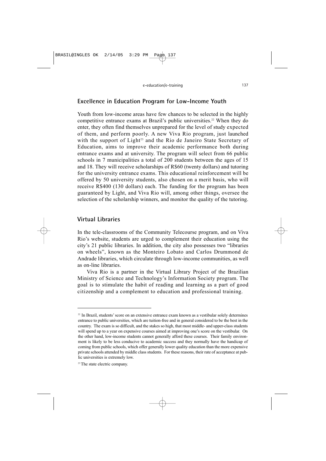# **Excellence in Education Program for Low-Income Youth**

Youth from low-income areas have few chances to be selected in the highly competitive entrance exams at Brazil's public universities.<sup>22</sup> When they do enter, they often find themselves unprepared for the level of study expected of them, and perform poorly. A new Viva Rio program, just launched with the support of Light<sup>23</sup> and the Rio de Janeiro State Secretary of Education, aims to improve their academic performance both during entrance exams and at university. The program will select from 66 public schools in 7 municipalities a total of 200 students between the ages of 15 and 18. They will receive scholarships of R\$60 (twenty dollars) and tutoring for the university entrance exams. This educational reinforcement will be offered by 50 university students, also chosen on a merit basis, who will receive R\$400 (130 dollars) each. The funding for the program has been guaranteed by Light, and Viva Rio will, among other things, oversee the selection of the scholarship winners, and monitor the quality of the tutoring.

# **Virtual Libraries**

In the tele-classrooms of the Community Telecourse program, and on Viva Rio's website, students are urged to complement their education using the city's 21 public libraries. In addition, the city also possesses two "libraries on wheels", known as the Monteiro Lobato and Carlos Drummond de Andrade libraries, which circulate through low-income communities, as well as on-line libraries.

Viva Rio is a partner in the Virtual Library Project of the Brazilian Ministry of Science and Technology's Information Society program. The goal is to stimulate the habit of reading and learning as a part of good citizenship and a complement to education and professional training.

<sup>22</sup> In Brazil, students' score on an extensive entrance exam known as a vestibular solely determines entrance to public universities, which are tuition-free and in general considered to be the best in the country. The exam is so difficult, and the stakes so high, that most middle- and upper-class students will spend up to a year on expensive courses aimed at improving one's score on the vestibular. On the other hand, low-income students cannot generally afford these courses. Their family environment is likely to be less conducive to academic success and they normally have the handicap of coming from public schools, which offer generally lower quality education than the more expensive private schools attended by middle class students. For these reasons, their rate of acceptance at public universities is extremely low.

<sup>23</sup> The state electric company.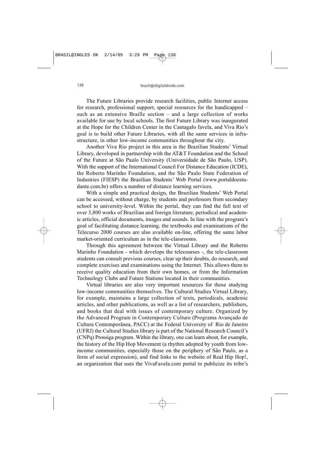The Future Libraries provide research facilities, public Internet access for research, professional support, special resources for the handicapped – such as an extensive Braille section – and a large collection of works available for use by local schools. The first Future Library was inaugurated at the Hope for the Children Center in the Cantagalo favela, and Viva Rio's goal is to build other Future Libraries, with all the same services in infrastructure, in other low-income communities throughout the city.

Another Viva Rio project in this area is the Brazilian Students' Virtual Library, developed in partnership with the AT&T Foundation and the School of the Future at São Paulo University (Universidade de São Paulo, USP). With the support of the International Council For Distance Education (ICDE), the Roberto Marinho Foundation, and the São Paulo State Federation of Industries (FIESP) the Brazilian Students' Web Portal (www.portaldoestudante.com.br) offers a number of distance learning services.

With a simple and practical design, the Brazilian Students' Web Portal can be accessed, without charge, by students and professors from secondary school to university-level. Within the portal, they can find the full text of over 3,800 works of Brazilian and foreign literature, periodical and academic articles, official documents, images and sounds. In line with the program's goal of facilitating distance learning, the textbooks and examinations of the Telecurso 2000 courses are also available on-line, offering the same labor market-oriented curriculum as in the tele-classrooms.

Through this agreement between the Virtual Library and the Roberto Marinho Foundation - which develops the telecourses -, the tele-classroom students can consult previous courses, clear up their doubts, do research, and complete exercises and examinations using the Internet. This allows them to receive quality education from their own homes, or from the Information Technology Clubs and Future Stations located in their communities.

Virtual libraries are also very important resources for those studying low-income communities themselves. The Cultural Studies Virtual Library, for example, maintains a large collection of texts, periodicals, academic articles, and other publications, as well as a list of researchers, publishers, and books that deal with issues of contemporary culture. Organized by the Advanced Program in Contemporary Culture (Programa Avançado de Cultura Contemporânea, PACC) at the Federal University of Rio de Janeiro (UFRJ) the Cultural Studies library is part of the National Research Council's (CNPq) Prossiga program. Within the library, one can learn about, for example, the history of the Hip Hop Movement (a rhythm adopted by youth from lowincome communities, especially those on the periphery of São Paulo, as a form of social expression), and find links to the website of Real Hip Hop!, an organization that uses the VivaFavela.com portal to publicize its tribe's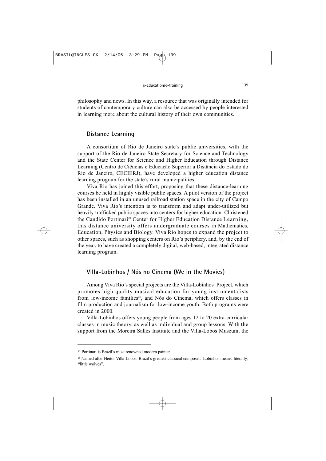philosophy and news. In this way, a resource that was originally intended for students of contemporary culture can also be accessed by people interested in learning more about the cultural history of their own communities.

#### **Distance Learning**

A consortium of Rio de Janeiro state's public universities, with the support of the Rio de Janeiro State Secretary for Science and Technology and the State Center for Science and Higher Education through Distance Learning (Centro de Ciências e Educação Superior a Distância do Estado do Rio de Janeiro, CECIERJ), have developed a higher education distance learning program for the state's rural municipalities.

Viva Rio has joined this effort, proposing that these distance-learning courses be held in highly visible public spaces. A pilot version of the project has been installed in an unused railroad station space in the city of Campo Grande. Viva Rio's intention is to transform and adapt under-utilized but heavily trafficked public spaces into centers for higher education. Christened the Candido Portinari<sup>24</sup> Center for Higher Education Distance Learning. this distance university offers undergraduate courses in Mathematics, Education, Physics and Biology. Viva Rio hopes to expand the project to other spaces, such as shopping centers on Rio's periphery, and, by the end of the year, to have created a completely digital, web-based, integrated distance learning program.

# **Villa-Lobinhos / Nós no Cinema (We in the Movies)**

Among Viva Rio's special projects are the Villa-Lobinhos' Project, which promotes high-quality musical education for young instrumentalists from low-income families<sup>25</sup>, and Nós do Cinema, which offers classes in film production and journalism for low-income youth. Both programs were created in 2000.

Villa-Lobinhos offers young people from ages 12 to 20 extra-curricular classes in music theory, as well as individual and group lessons. With the support from the Moreira Salles Institute and the Villa-Lobos Museum, the

<sup>24</sup> Portinari is Brazil's most renowned modern painter.

<sup>&</sup>lt;sup>25</sup> Named after Heitor Villa-Lobos, Brazil's greatest classical composer. Lobinhos means, literally, "little wolves".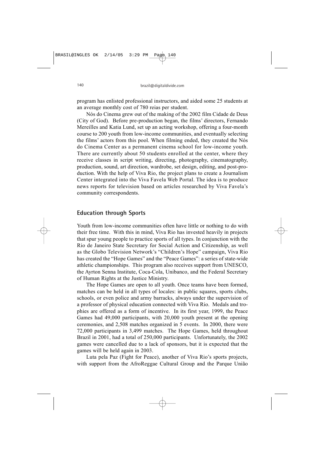program has enlisted professional instructors, and aided some 25 students at an average monthly cost of 780 reias per student.

Nós do Cinema grew out of the making of the 2002 film Cidade de Deus (City of God). Before pre-production began, the films' directors, Fernando Mereilles and Katia Lund, set up an acting workshop, offering a four-month course to 200 youth from low-income communities, and eventually selecting the films' actors from this pool. When filming ended, they created the Nós do Cinema Center as a permanent cinema school for low-income youth. There are currently about 50 students enrolled at the center, where they receive classes in script writing, directing, photography, cinematography, production, sound, art direction, wardrobe, set design, editing, and post-production. With the help of Viva Rio, the project plans to create a Journalism Center integrated into the Viva Favela Web Portal. The idea is to produce news reports for television based on articles researched by Viva Favela's community correspondents.

### **Education through Sports**

Youth from low-income communities often have little or nothing to do with their free time. With this in mind, Viva Rio has invested heavily in projects that spur young people to practice sports of all types. In conjunction with the Rio de Janeiro State Secretary for Social Action and Citizenship, as well as the Globo Television Network's "Children's Hope" campaign, Viva Rio has created the "Hope Games" and the "Peace Games": a series of state-wide athletic championships. This program also receives support from UNESCO, the Ayrton Senna Institute, Coca-Cola, Unibanco, and the Federal Secretary of Human Rights at the Justice Ministry.

The Hope Games are open to all youth. Once teams have been formed, matches can be held in all types of locales: in public squares, sports clubs, schools, or even police and army barracks, always under the supervision of a professor of physical education connected with Viva Rio. Medals and trophies are offered as a form of incentive. In its first year, 1999, the Peace Games had 49,000 participants, with 20,000 youth present at the opening ceremonies, and 2,508 matches organized in 5 events. In 2000, there were 72,000 participants in 3,499 matches. The Hope Games, held throughout Brazil in 2001, had a total of 250,000 participants. Unfortunately, the 2002 games were cancelled due to a lack of sponsors, but it is expected that the games will be held again in 2003.

Luta pela Paz (Fight for Peace), another of Viva Rio's sports projects, with support from the AfroReggae Cultural Group and the Parque União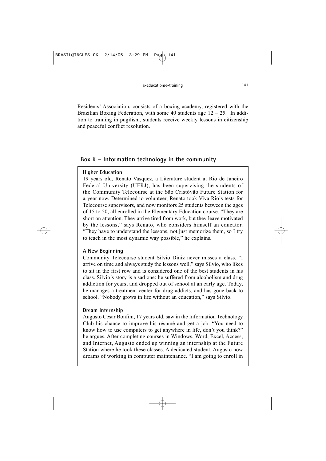Residents' Association, consists of a boxing academy, registered with the Brazilian Boxing Federation, with some 40 students age  $12 - 25$ . In addition to training in pugilism, students receive weekly lessons in citizenship and peaceful conflict resolution.

# **Box K – Information technology in the community**

### **Higher Education**

19 years old, Renato Vasquez, a Literature student at Rio de Janeiro Federal University (UFRJ), has been supervising the students of the Community Telecourse at the São Cristóvão Future Station for a year now. Determined to volunteer, Renato took Viva Rio's tests for Telecourse supervisors, and now monitors 25 students between the ages of 15 to 50, all enrolled in the Elementary Education course. "They are short on attention. They arrive tired from work, but they leave motivated by the lessons," says Renato, who considers himself an educator. "They have to understand the lessons, not just memorize them, so I try to teach in the most dynamic way possible," he explains.

### **A New Beginning**

Community Telecourse student Silvio Diniz never misses a class. "I arrive on time and always study the lessons well," says Silvio, who likes to sit in the first row and is considered one of the best students in his class. Silvio's story is a sad one: he suffered from alcoholism and drug addiction for years, and dropped out of school at an early age. Today, he manages a treatment center for drug addicts, and has gone back to school. "Nobody grows in life without an education," says Silvio.

### **Dream Internship**

Augusto Cesar Bonfim, 17 years old, saw in the Information Technology Club his chance to improve his résumé and get a job. "You need to know how to use computers to get anywhere in life, don't you think?" he argues. After completing courses in Windows, Word, Excel, Access, and Internet, Augusto ended up winning an internship at the Future Station where he took these classes. A dedicated student, Augusto now dreams of working in computer maintenance. "I am going to enroll in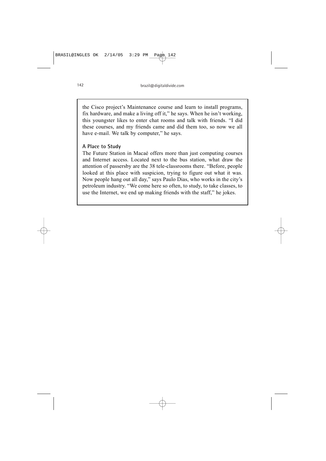the Cisco project's Maintenance course and learn to install programs, fix hardware, and make a living off it," he says. When he isn't working, this youngster likes to enter chat rooms and talk with friends. "I did these courses, and my friends came and did them too, so now we all have e-mail. We talk by computer," he says.

### **A Place to Study**

The Future Station in Macaé offers more than just computing courses and Internet access. Located next to the bus station, what draw the attention of passersby are the 38 tele-classrooms there. "Before, people looked at this place with suspicion, trying to figure out what it was. Now people hang out all day," says Paulo Dias, who works in the city's petroleum industry. "We come here so often, to study, to take classes, to use the Internet, we end up making friends with the staff," he jokes.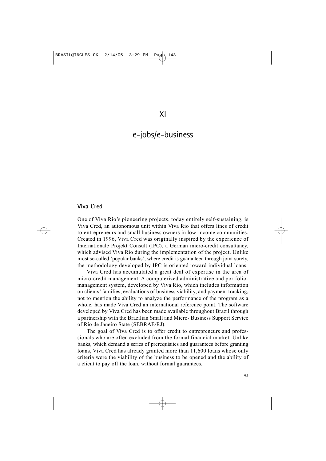# e-jobs/e-business

#### **Viva Cred**

One of Viva Rio's pioneering projects, today entirely self-sustaining, is Viva Cred, an autonomous unit within Viva Rio that offers lines of credit to entrepreneurs and small business owners in low-income communities. Created in 1996, Viva Cred was originally inspired by the experience of Internationale Projekt Consult (IPC), a German micro-credit consultancy, which advised Viva Rio during the implementation of the project. Unlike most so-called 'popular banks', where credit is guaranteed through joint surety, the methodology developed by IPC is oriented toward individual loans.

Viva Cred has accumulated a great deal of expertise in the area of micro-credit management. A computerized administrative and portfoliomanagement system, developed by Viva Rio, which includes information on clients' families, evaluations of business viability, and payment tracking, not to mention the ability to analyze the performance of the program as a whole, has made Viva Cred an international reference point. The software developed by Viva Cred has been made available throughout Brazil through a partnership with the Brazilian Small and Micro- Business Support Service of Rio de Janeiro State (SEBRAE/RJ).

The goal of Viva Cred is to offer credit to entrepreneurs and professionals who are often excluded from the formal financial market. Unlike banks, which demand a series of prerequisites and guarantees before granting loans, Viva Cred has already granted more than 11,600 loans whose only criteria were the viability of the business to be opened and the ability of a client to pay off the loan, without formal guarantees.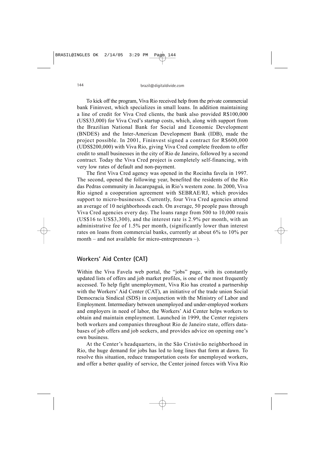To kick off the program, Viva Rio received help from the private commercial bank Fininvest, which specializes in small loans. In addition maintaining a line of credit for Viva Cred clients, the bank also provided R\$100,000 (US\$33,000) for Viva Cred's startup costs, which, along with support from the Brazilian National Bank for Social and Economic Development (BNDES) and the Inter-American Development Bank (IDB), made the project possible. In 2001, Fininvest signed a contract for R\$600,000 (UDS\$200,000) with Viva Rio, giving Viva Cred complete freedom to offer credit to small businesses in the city of Rio de Janeiro, followed by a second contract. Today the Viva Cred project is completely self-financing, with very low rates of default and non-payment.

The first Viva Cred agency was opened in the Rocinha favela in 1997. The second, opened the following year, benefited the residents of the Rio das Pedras community in Jacarepaguá, in Rio's western zone. In 2000, Viva Rio signed a cooperation agreement with SEBRAE/RJ, which provides support to micro-businesses. Currently, four Viva Cred agencies attend an average of 10 neighborhoods each. On average, 50 people pass through Viva Cred agencies every day. The loans range from 500 to 10,000 reais (US\$16 to US\$3,300), and the interest rate is 2.9% per month, with an administrative fee of 1.5% per month, (significantly lower than interest rates on loans from commercial banks, currently at about 6% to 10% per month – and not available for micro-entrepreneurs –).

# **Workers' Aid Center (CAT)**

Within the Viva Favela web portal, the "jobs" page, with its constantly updated lists of offers and job market profiles, is one of the most frequently accessed. To help fight unemployment, Viva Rio has created a partnership with the Workers' Aid Center (CAT), an initiative of the trade union Social Democracia Sindical (SDS) in conjunction with the Ministry of Labor and Employment. Intermediary between unemployed and under-employed workers and employers in need of labor, the Workers' Aid Center helps workers to obtain and maintain employment. Launched in 1999, the Center registers both workers and companies throughout Rio de Janeiro state, offers databases of job offers and job seekers, and provides advice on opening one's own business.

At the Center's headquarters, in the São Cristóvão neighborhood in Rio, the huge demand for jobs has led to long lines that form at dawn. To resolve this situation, reduce transportation costs for unemployed workers, and offer a better quality of service, the Center joined forces with Viva Rio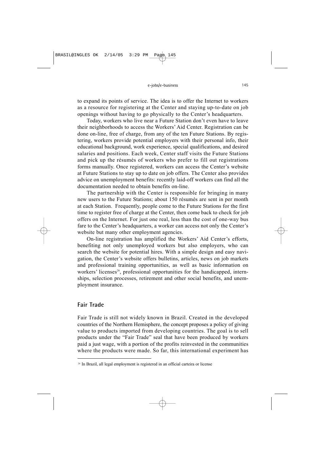to expand its points of service. The idea is to offer the Internet to workers as a resource for registering at the Center and staying up-to-date on job openings without having to go physically to the Center's headquarters.

Today, workers who live near a Future Station don't even have to leave their neighborhoods to access the Workers' Aid Center. Registration can be done on-line, free of charge, from any of the ten Future Stations. By registering, workers provide potential employers with their personal info, their educational background, work experience, special qualifications, and desired salaries and positions. Each week, Center staff visits the Future Stations and pick up the résumés of workers who prefer to fill out registrations forms manually. Once registered, workers can access the Center's website at Future Stations to stay up to date on job offers. The Center also provides advice on unemployment benefits: recently laid-off workers can find all the documentation needed to obtain benefits on-line.

The partnership with the Center is responsible for bringing in many new users to the Future Stations; about 150 résumés are sent in per month at each Station. Frequently, people come to the Future Stations for the first time to register free of charge at the Center, then come back to check for job offers on the Internet. For just one real, less than the cost of one-way bus fare to the Center's headquarters, a worker can access not only the Center's website but many other employment agencies.

On-line registration has amplified the Workers' Aid Center's efforts, benefiting not only unemployed workers but also employers, who can search the website for potential hires. With a simple design and easy navigation, the Center's website offers bulletins, articles, news on job markets and professional training opportunities, as well as basic information on workers' licenses<sup>26</sup>, professional opportunities for the handicapped, internships, selection processes, retirement and other social benefits, and unemployment insurance.

## **Fair Trade**

Fair Trade is still not widely known in Brazil. Created in the developed countries of the Northern Hemisphere, the concept proposes a policy of giving value to products imported from developing countries. The goal is to sell products under the "Fair Trade" seal that have been produced by workers paid a just wage, with a portion of the profits reinvested in the communities where the products were made. So far, this international experiment has

<sup>&</sup>lt;sup>26</sup> In Brazil, all legal employment is registered in an official carteira or license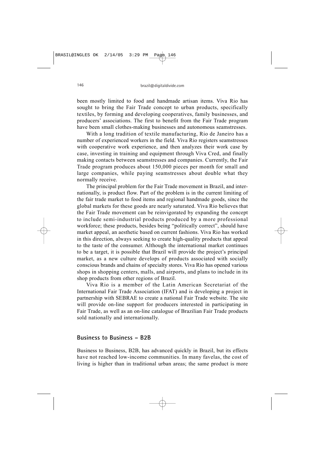been mostly limited to food and handmade artisan items. Viva Rio has sought to bring the Fair Trade concept to urban products, specifically textiles, by forming and developing cooperatives, family businesses, and producers' associations. The first to benefit from the Fair Trade program have been small clothes-making businesses and autonomous seamstresses.

With a long tradition of textile manufacturing, Rio de Janeiro has a number of experienced workers in the field. Viva Rio registers seamstresses with cooperative work experience, and then analyzes their work case by case, investing in training and equipment through Viva Cred, and finally making contacts between seamstresses and companies. Currently, the Fair Trade program produces about 150,000 pieces per month for small and large companies, while paying seamstresses about double what they normally receive.

The principal problem for the Fair Trade movement in Brazil, and internationally, is product flow. Part of the problem is in the current limiting of the fair trade market to food items and regional handmade goods, since the global markets for these goods are nearly saturated. Viva Rio believes that the Fair Trade movement can be reinvigorated by expanding the concept to include semi-industrial products produced by a more professional workforce; these products, besides being "politically correct", should have market appeal, an aesthetic based on current fashions. Viva Rio has worked in this direction, always seeking to create high-quality products that appeal to the taste of the consumer. Although the international market continues to be a target, it is possible that Brazil will provide the project's principal market, as a new culture develops of products associated with socially conscious brands and chains of specialty stores. Viva Rio has opened various shops in shopping centers, malls, and airports, and plans to include in its shop products from other regions of Brazil.

Viva Rio is a member of the Latin American Secretariat of the International Fair Trade Association (IFAT) and is developing a project in partnership with SEBRAE to create a national Fair Trade website. The site will provide on-line support for producers interested in participating in Fair Trade, as well as an on-line catalogue of Brazilian Fair Trade products sold nationally and internationally.

#### **Business to Business – B2B**

Business to Business, B2B, has advanced quickly in Brazil, but its effects have not reached low-income communities. In many favelas, the cost of living is higher than in traditional urban areas; the same product is more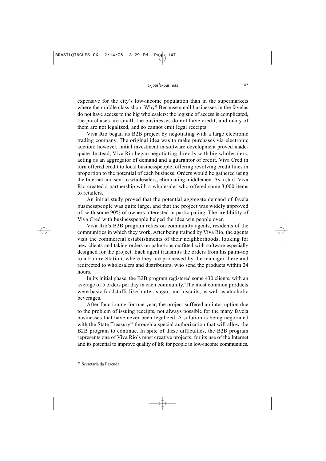expensive for the city's low-income population than in the supermarkets where the middle class shop. Why? Because small businesses in the favelas do not have access to the big wholesalers: the logistic of access is complicated, the purchases are small, the businesses do not have credit, and many of them are not legalized, and so cannot emit legal receipts.

Viva Rio began its B2B project by negotiating with a large electronic trading company. The original idea was to make purchases via electronic auction; however, initial investment in software development proved inadequate. Instead, Viva Rio began negotiating directly with big wholesalers, acting as an aggregator of demand and a guarantor of credit. Viva Cred in turn offered credit to local businesspeople, offering revolving credit lines in proportion to the potential of each business. Orders would be gathered using the Internet and sent to wholesalers, eliminating middlemen. As a start, Viva Rio created a partnership with a wholesaler who offered some 3,000 items to retailers.

An initial study proved that the potential aggregate demand of favela businesspeople was quite large, and that the project was widely approved of, with some 90% of owners interested in participating. The credibility of Viva Cred with businesspeople helped the idea win people over.

Viva Rio's B2B program relies on community agents, residents of the communities in which they work. After being trained by Viva Rio, the agents visit the commercial establishments of their neighborhoods, looking for new clients and taking orders on palm-tops outfitted with software especially designed for the project. Each agent transmits the orders from his palm-top to a Future Station, where they are processed by the manager there and redirected to wholesalers and distributors, who send the products within 24 hours.

In its initial phase, the B2B program registered some 430 clients, with an average of 5 orders per day in each community. The most common products were basic foodstuffs like butter, sugar, and biscuits, as well as alcoholic beverages.

After functioning for one year, the project suffered an interruption due to the problem of issuing receipts, not always possible for the many favela businesses that have never been legalized. A solution is being negotiated with the State Treasury<sup>27</sup> through a special authorization that will allow the B2B program to continue. In spite of these difficulties, the B2B program represents one of Viva Rio's most creative projects, for its use of the Internet and its potential to improve quality of life for people in low-income communities.

<sup>27</sup> Secretaria da Fazenda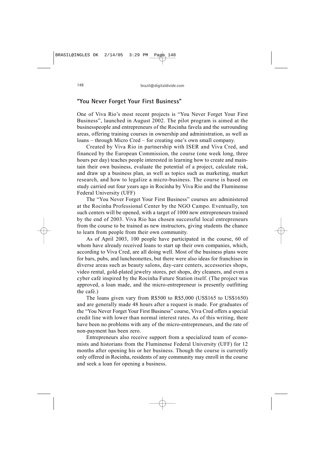## **"You Never Forget Your First Business"**

One of Viva Rio's most recent projects is "You Never Forget Your First Business", launched in August 2002. The pilot program is aimed at the businesspeople and entrepreneurs of the Rocinha favela and the surrounding areas, offering training courses in ownership and administration, as well as loans – through Micro Cred – for creating one's own small company.

Created by Viva Rio in partnership with ISER and Viva Cred, and financed by the European Commission, the course (one week long, three hours per day) teaches people interested in learning how to create and maintain their own business, evaluate the potential of a project, calculate risk, and draw up a business plan, as well as topics such as marketing, market research, and how to legalize a micro-business. The course is based on study carried out four years ago in Rocinha by Viva Rio and the Fluminense Federal University (UFF)

The "You Never Forget Your First Business" courses are administered at the Rocinha Professional Center by the NGO Campo. Eventually, ten such centers will be opened, with a target of 1000 new entrepreneurs trained by the end of 2003. Viva Rio has chosen successful local entrepreneurs from the course to be trained as new instructors, giving students the chance to learn from people from their own community.

As of April 2003, 100 people have participated in the course, 60 of whom have already received loans to start up their own companies, which, according to Viva Cred, are all doing well. Most of the business plans were for bars, pubs, and luncheonettes, but there were also ideas for franchises in diverse areas such as beauty salons, day-care centers, accessories shops, video rental, gold-plated jewelry stores, pet shops, dry cleaners, and even a cyber café inspired by the Rocinha Future Station itself. (The project was approved, a loan made, and the micro-entrepreneur is presently outfitting the café.)

The loans given vary from R\$500 to R\$5,000 (US\$165 to US\$1650) and are generally made 48 hours after a request is made. For graduates of the "You Never Forget Your First Business" course, Viva Cred offers a special credit line with lower than normal interest rates. As of this writing, there have been no problems with any of the micro-entrepreneurs, and the rate of non-payment has been zero.

Entrepreneurs also receive support from a specialized team of economists and historians from the Fluminense Federal University (UFF) for 12 months after opening his or her business. Though the course is currently only offered in Rocinha, residents of any community may enroll in the course and seek a loan for opening a business.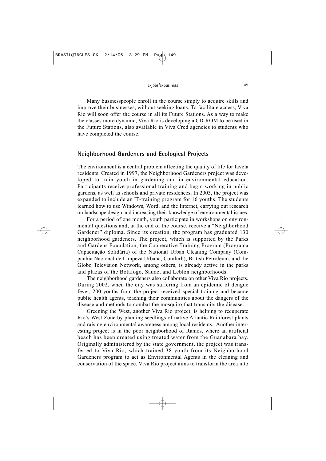Many businesspeople enroll in the course simply to acquire skills and improve their businesses, without seeking loans. To facilitate access, Viva Rio will soon offer the course in all its Future Stations. As a way to make the classes more dynamic, Viva Rio is developing a CD-ROM to be used in the Future Stations, also available in Viva Cred agencies to students who have completed the course.

#### **Neighborhood Gardeners and Ecological Projects**

The environment is a central problem affecting the quality of life for favela residents. Created in 1997, the Neighborhood Gardeners project was developed to train youth in gardening and in environmental education. Participants receive professional training and begin working in public gardens, as well as schools and private residences. In 2003, the project was expanded to include an IT-training program for 16 youths. The students learned how to use Windows, Word, and the Internet, carrying out research on landscape design and increasing their knowledge of environmental issues.

For a period of one month, youth participate in workshops on environmental questions and, at the end of the course, receive a "Neighborhood Gardener" diploma. Since its creation, the program has graduated 130 neighborhood gardeners. The project, which is supported by the Parks and Gardens Foundation, the Cooperative Training Program (Programa Capacitação Solidária) of the National Urban Cleaning Company (Companhia Nacional de Limpeza Urbana, Comlurb), British Petroleum, and the Globo Television Network, among others, is already active in the parks and plazas of the Botafogo, Saúde, and Leblon neighborhoods.

The neighborhood gardeners also collaborate on other Viva Rio projects. During 2002, when the city was suffering from an epidemic of dengue fever, 200 youths from the project received special training and became public health agents, teaching their communities about the dangers of the disease and methods to combat the mosquito that transmits the disease.

Greening the West, another Viva Rio project, is helping to recuperate Rio's West Zone by planting seedlings of native Atlantic Rainforest plants and raising environmental awareness among local residents. Another interesting project is in the poor neighborhood of Ramos, where an artificial beach has been created using treated water from the Guanabara bay. Originally administered by the state government, the project was transferred to Viva Rio, which trained 38 youth from its Neighborhood Gardeners program to act as Environmental Agents in the cleaning and conservation of the space. Viva Rio project aims to transform the area into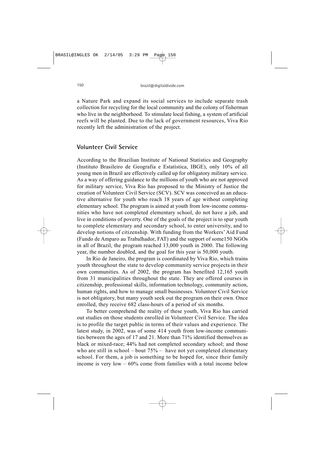a Nature Park and expand its social services to include separate trash collection for recycling for the local community and the colony of fisherman who live in the neighborhood. To stimulate local fishing, a system of artificial reefs will be planted. Due to the lack of government resources, Viva Rio recently left the administration of the project.

## **Volunteer Civil Service**

According to the Brazilian Institute of National Statistics and Geography (Instituto Brasileiro de Geografia e Estatística, IBGE), only 10% of all young men in Brazil are effectively called up for obligatory military service. As a way of offering guidance to the millions of youth who are not approved for military service, Viva Rio has proposed to the Ministry of Justice the creation of Volunteer Civil Service (SCV). SCV was conceived as an educative alternative for youth who reach 18 years of age without completing elementary school. The program is aimed at youth from low-income communities who have not completed elementary school, do not have a job, and live in conditions of poverty. One of the goals of the project is to spur youth to complete elementary and secondary school, to enter university, and to develop notions of citizenship. With funding from the Workers' Aid Fund (Fundo de Amparo au Trabalhador, FAT) and the support of some150 NGOs in all of Brazil, the program reached 13,000 youth in 2000. The following year, the number doubled, and the goal for this year is 50,000 youth.

In Rio de Janeiro, the program is coordinated by Viva Rio, which trains youth throughout the state to develop community service projects in their own communities. As of 2002, the program has benefited 12,165 youth from 31 municipalities throughout the state. They are offered courses in citizenship, professional skills, information technology, community action, human rights, and how to manage small businesses. Volunteer Civil Service is not obligatory, but many youth seek out the program on their own. Once enrolled, they receive 682 class-hours of a period of six months.

To better comprehend the reality of these youth, Viva Rio has carried out studies on those students enrolled in Volunteer Civil Service. The idea is to profile the target public in terms of their values and experience. The latest study, in 2002, was of some 414 youth from low-income communities between the ages of 17 and 21. More than 71% identified themselves as black or mixed-race; 44% had not completed secondary school; and those who are still in school – bout  $75%$  – have not yet completed elementary school. For them, a job is something to be hoped for, since their family income is very  $low - 60\%$  come from families with a total income below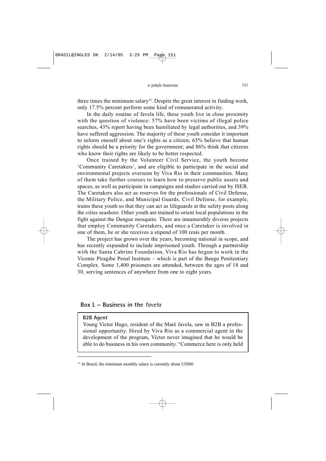three times the minimum salary<sup>28</sup>. Despite the great interest in finding work, only 17.5% percent perform some kind of remunerated activity.

In the daily routine of favela life, these youth live in close proximity with the question of violence: 57% have been victims of illegal police searches, 43% report having been humiliated by legal authorities, and 39% have suffered aggression. The majority of these youth consider it important to inform oneself about one's rights as a citizen; 65% believe that human rights should be a priority for the government; and 86% think that citizens who know their rights are likely to be better respected.

Once trained by the Volunteer Civil Service, the youth become 'Community Caretakers', and are eligible to participate in the social and environmental projects overseen by Viva Rio in their communities. Many of them take further courses to learn how to preserve public assets and spaces, as well as participate in campaigns and studies carried out by ISER. The Caretakers also act as reserves for the professionals of Civil Defense, the Military Police, and Municipal Guards. Civil Defense, for example, trains these youth so that they can act as lifeguards at the safety posts along the cities seashore. Other youth are trained to orient local populations in the fight against the Dengue mosquito. There are innumerably diverse projects that employ Community Caretakers, and once a Caretaker is involved in one of them, he or she receives a stipend of 100 reais per month.

The project has grown over the years, becoming national in scope, and has recently expanded to include imprisoned youth. Through a partnership with the Santa Cabrine Foundation, Viva Rio has begun to work in the Vicente Piragibe Penal Institute – which is part of the Bangu Penitentiary Complex. Some 1,400 prisoners are attended, between the ages of 18 and 30, serving sentences of anywhere from one to eight years.

#### **Box L – Business in the** *favela*

#### **B2B Agent**

Young Victor Hugo, resident of the Maré favela, saw in B2B a professional opportunity. Hired by Viva Rio as a commercial agent in the development of the program, Victor never imagined that he would be able to do business in his own community. "Commerce here is only held

<sup>&</sup>lt;sup>28</sup> In Brazil, the minimum monthly salary is currently about US\$80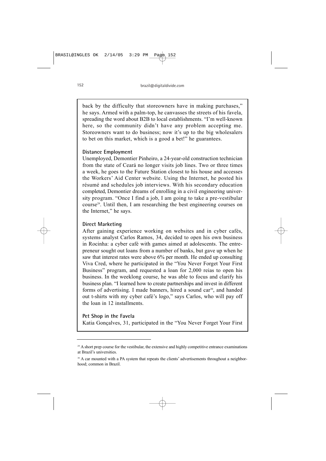back by the difficulty that storeowners have in making purchases," he says. Armed with a palm-top, he canvasses the streets of his favela, spreading the word about B2B to local establishments. "I'm well-known here, so the community didn't have any problem accepting me. Storeowners want to do business; now it's up to the big wholesalers to bet on this market, which is a good a bet!" he guarantees.

#### **Distance Employment**

Unemployed, Demontier Pinheiro, a 24-year-old construction technician from the state of Ceará no longer visits job lines. Two or three times a week, he goes to the Future Station closest to his house and accesses the Workers' Aid Center website. Using the Internet, he posted his résumé and schedules job interviews. With his secondary education completed, Demontier dreams of enrolling in a civil engineering university program. "Once I find a job, I am going to take a pre-vestibular course29. Until then, I am researching the best engineering courses on the Internet," he says.

#### **Direct Marketing**

After gaining experience working on websites and in cyber cafés, systems analyst Carlos Ramos, 34, decided to open his own business in Rocinha: a cyber café with games aimed at adolescents. The entrepreneur sought out loans from a number of banks, but gave up when he saw that interest rates were above 6% per month. He ended up consulting Viva Cred, where he participated in the "You Never Forget Your First Business" program, and requested a loan for 2,000 reias to open his business. In the weeklong course, he was able to focus and clarify his business plan. "I learned how to create partnerships and invest in different forms of advertising. I made banners, hired a sound car<sup>30</sup>, and handed out t-shirts with my cyber café's logo," says Carlos, who will pay off the loan in 12 installments.

#### **Pet Shop in the Favela**

Katia Gonçalves, 31, participated in the "You Never Forget Your First

<sup>&</sup>lt;sup>29</sup> A short prep course for the vestibular, the extensive and highly competitive entrance examinations at Brazil's universities.

<sup>&</sup>lt;sup>30</sup> A car mounted with a PA system that repeats the clients' advertisements throughout a neighborhood; common in Brazil.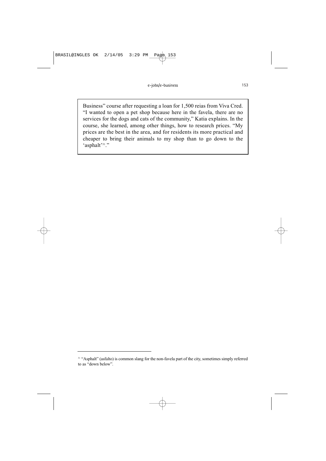Business" course after requesting a loan for 1,500 reias from Viva Cred. "I wanted to open a pet shop because here in the favela, there are no services for the dogs and cats of the community," Katia explains. In the course, she learned, among other things, how to research prices. "My prices are the best in the area, and for residents its more practical and cheaper to bring their animals to my shop than to go down to the 'asphalt'<sup>31</sup>."

<sup>&</sup>lt;sup>31</sup> "Asphalt" (asfalto) is common slang for the non-favela part of the city, sometimes simply referred to as "down below".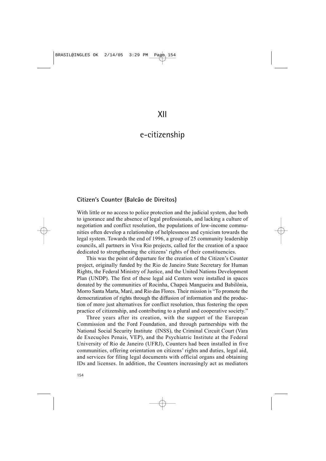## e-citizenship

### **Citizen's Counter (Balcão de Direitos)**

With little or no access to police protection and the judicial system, due both to ignorance and the absence of legal professionals, and lacking a culture of negotiation and conflict resolution, the populations of low-income communities often develop a relationship of helplessness and cynicism towards the legal system. Towards the end of 1996, a group of 25 community leadership councils, all partners in Viva Rio projects, called for the creation of a space dedicated to strengthening the citizens' rights of their constituencies.

This was the point of departure for the creation of the Citizen's Counter project, originally funded by the Rio de Janeiro State Secretary for Human Rights, the Federal Ministry of Justice, and the United Nations Development Plan (UNDP). The first of these legal aid Centers were installed in spaces donated by the communities of Rocinha, Chapeú Mangueira and Babilônia, Morro Santa Marta, Maré, and Rio das Flores. Their mission is "To promote the democratization of rights through the diffusion of information and the production of more just alternatives for conflict resolution, thus fostering the open practice of citizenship, and contributing to a plural and cooperative society."

Three years after its creation, with the support of the European Commission and the Ford Foundation, and through partnerships with the National Social Security Institute (INSS), the Criminal Circuit Court (Vara de Execuções Penais, VEP), and the Psychiatric Institute at the Federal University of Rio de Janeiro (UFRJ), Counters had been installed in five communities, offering orientation on citizens' rights and duties, legal aid, and services for filing legal documents with official organs and obtaining IDs and licenses. In addition, the Counters increasingly act as mediators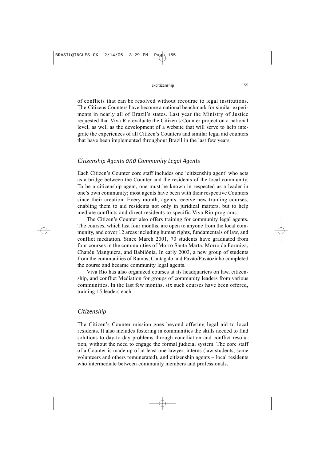of conflicts that can be resolved without recourse to legal institutions. The Citizens Counters have become a national benchmark for similar experiments in nearly all of Brazil's states. Last year the Ministry of Justice requested that Viva Rio evaluate the Citizen's Counter project on a national level, as well as the development of a website that will serve to help integrate the experiences of all Citizen's Counters and similar legal aid counters that have been implemented throughout Brazil in the last few years.

## *Citizenship Agents and Community Legal Agents*

Each Citizen's Counter core staff includes one 'citizenship agent' who acts as a bridge between the Counter and the residents of the local community. To be a citizenship agent, one must be known in respected as a leader in one's own community; most agents have been with their respective Counters since their creation. Every month, agents receive new training courses, enabling them to aid residents not only in juridical matters, but to help mediate conflicts and direct residents to specific Viva Rio programs.

The Citizen's Counter also offers training for community legal agents. The courses, which last four months, are open to anyone from the local community, and cover 12 areas including human rights, fundamentals of law, and conflict mediation. Since March 2001, 70 students have graduated from four courses in the communities of Morro Santa Marta, Morro da Formiga, Chapéu Manguiera, and Babilônia. In early 2003, a new group of students from the communities of Ramos, Cantagalo and Pavão/Pavãozinho completed the course and became community legal agents.

Viva Rio has also organized courses at its headquarters on law, citizenship, and conflict Mediation for groups of community leaders from various communities. In the last few months, six such courses have been offered, training 15 leaders each.

#### *Citizenship*

The Citizen's Counter mission goes beyond offering legal aid to local residents. It also includes fostering in communities the skills needed to find solutions to day-to-day problems through conciliation and conflict resolution, without the need to engage the formal judicial system. The core staff of a Counter is made up of at least one lawyer, interns (law students, some volunteers and others remunerated), and citizenship agents – local residents who intermediate between community members and professionals.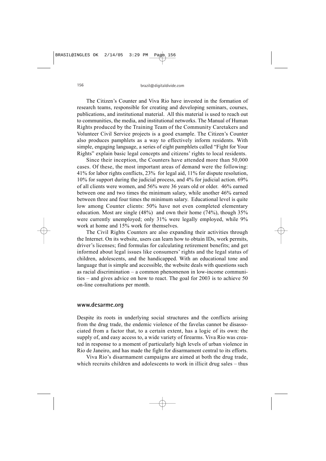The Citizen's Counter and Viva Rio have invested in the formation of research teams, responsible for creating and developing seminars, courses, publications, and institutional material. All this material is used to reach out to communities, the media, and institutional networks. The Manual of Human Rights produced by the Training Team of the Community Caretakers and Volunteer Civil Service projects is a good example. The Citizen's Counter also produces pamphlets as a way to effectively inform residents. With simple, engaging language, a series of eight pamphlets called "Fight for Your Rights" explain basic legal concepts and citizens' rights to local residents.

Since their inception, the Counters have attended more than 50,000 cases. Of these, the most important areas of demand were the following: 41% for labor rights conflicts, 23% for legal aid, 11% for dispute resolution, 10% for support during the judicial process, and 4% for judicial action. 69% of all clients were women, and 56% were 36 years old or older. 46% earned between one and two times the minimum salary, while another 46% earned between three and four times the minimum salary. Educational level is quite low among Counter clients: 50% have not even completed elementary education. Most are single (48%) and own their home (74%), though 35% were currently unemployed; only 31% were legally employed, while 9% work at home and 15% work for themselves.

The Civil Rights Counters are also expanding their activities through the Internet. On its website, users can learn how to obtain IDs, work permits, driver's licenses; find formulas for calculating retirement benefits; and get informed about legal issues like consumers' rights and the legal status of children, adolescents, and the handicapped. With an educational tone and language that is simple and accessible, the website deals with questions such as racial discrimination – a common phenomenon in low-income communities – and gives advice on how to react. The goal for 2003 is to achieve 50 on-line consultations per month.

#### **www.desarme.org**

Despite its roots in underlying social structures and the conflicts arising from the drug trade, the endemic violence of the favelas cannot be disassociated from a factor that, to a certain extent, has a logic of its own: the supply of, and easy access to, a wide variety of firearms. Viva Rio was created in response to a moment of particularly high levels of urban violence in Rio de Janeiro, and has made the fight for disarmament central to its efforts.

Viva Rio's disarmament campaigns are aimed at both the drug trade, which recruits children and adolescents to work in illicit drug sales – thus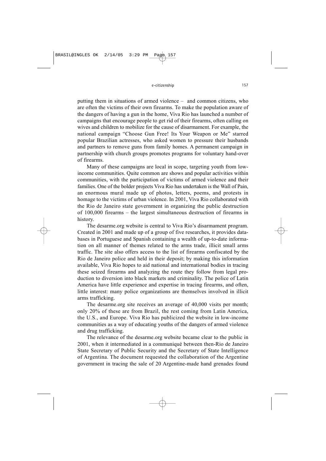putting them in situations of armed violence – and common citizens, who are often the victims of their own firearms. To make the population aware of the dangers of having a gun in the home, Viva Rio has launched a number of campaigns that encourage people to get rid of their firearms, often calling on wives and children to mobilize for the cause of disarmament. For example, the national campaign "Choose Gun Free! Its Your Weapon or Me" starred popular Brazilian actresses, who asked women to pressure their husbands and partners to remove guns from family homes. A permanent campaign in partnership with church groups promotes programs for voluntary hand-over of firearms.

Many of these campaigns are local in scope, targeting youth from lowincome communities. Quite common are shows and popular activities within communities, with the participation of victims of armed violence and their families. One of the bolder projects Viva Rio has undertaken is the Wall of Pain, an enormous mural made up of photos, letters, poems, and protests in homage to the victims of urban violence. In 2001, Viva Rio collaborated with the Rio de Janeiro state government in organizing the public destruction of 100,000 firearms – the largest simultaneous destruction of firearms in history.

The desarme.org website is central to Viva Rio's disarmament program. Created in 2001 and made up of a group of five researches, it provides databases in Portuguese and Spanish containing a wealth of up-to-date information on all manner of themes related to the arms trade, illicit small arms traffic. The site also offers access to the list of firearms confiscated by the Rio de Janeiro police and held in their deposit; by making this information available, Viva Rio hopes to aid national and international bodies in tracing these seized firearms and analyzing the route they follow from legal production to diversion into black markets and criminality. The police of Latin America have little experience and expertise in tracing firearms, and often, little interest: many police organizations are themselves involved in illicit arms trafficking.

The desarme.org site receives an average of 40,000 visits per month; only 20% of these are from Brazil, the rest coming from Latin America, the U.S., and Europe. Viva Rio has publicized the website in low-income communities as a way of educating youths of the dangers of armed violence and drug trafficking.

The relevance of the desarme.org website became clear to the public in 2001, when it intermediated in a communiqué between then-Rio de Janeiro State Secretary of Public Security and the Secretary of State Intelligence of Argentina. The document requested the collaboration of the Argentine government in tracing the sale of 20 Argentine-made hand grenades found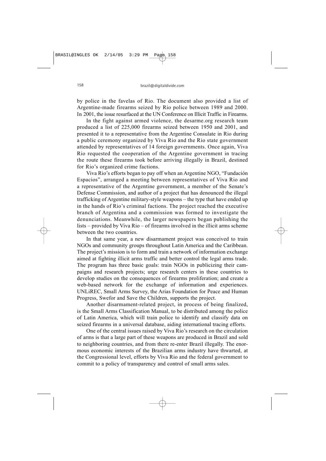by police in the favelas of Rio. The document also provided a list of Argentine-made firearms seized by Rio police between 1989 and 2000. In 2001, the issue resurfaced at the UN Conference on Illicit Traffic in Firearms.

In the fight against armed violence, the desarme.org research team produced a list of 225,000 firearms seized between 1950 and 2001, and presented it to a representative from the Argentine Consulate in Rio during a public ceremony organized by Viva Rio and the Rio state government attended by representatives of 14 foreign governments. Once again, Viva Rio requested the cooperation of the Argentine government in tracing the route these firearms took before arriving illegally in Brazil, destined for Rio's organized crime factions.

Viva Rio's efforts began to pay off when an Argentine NGO, "Fundación Espacios", arranged a meeting between representatives of Viva Rio and a representative of the Argentine government, a member of the Senate's Defense Commission, and author of a project that has denounced the illegal trafficking of Argentine military-style weapons – the type that have ended up in the hands of Rio's criminal factions. The project reached the executive branch of Argentina and a commission was formed to investigate the denunciations. Meanwhile, the larger newspapers began publishing the lists – provided by Viva Rio – of firearms involved in the illicit arms scheme between the two countries.

In that same year, a new disarmament project was conceived to train NGOs and community groups throughout Latin America and the Caribbean. The project's mission is to form and train a network of information exchange aimed at fighting illicit arms traffic and better control the legal arms trade. The program has three basic goals: train NGOs in publicizing their campaigns and research projects; urge research centers in these countries to develop studies on the consequences of firearms proliferation; and create a web-based network for the exchange of information and experiences. UNLiREC, Small Arms Survey, the Arias Foundation for Peace and Human Progress, Swefor and Save the Children, supports the project.

Another disarmament-related project, in process of being finalized, is the Small Arms Classification Manual, to be distributed among the police of Latin America, which will train police to identify and classify data on seized firearms in a universal database, aiding international tracing efforts.

One of the central issues raised by Viva Rio's research on the circulation of arms is that a large part of these weapons are produced in Brazil and sold to neighboring countries, and from there re-enter Brazil illegally. The enormous economic interests of the Brazilian arms industry have thwarted, at the Congressional level, efforts by Viva Rio and the federal government to commit to a policy of transparency and control of small arms sales.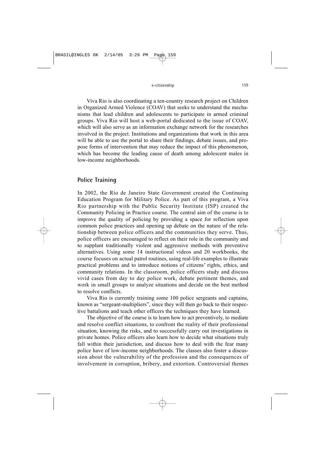Viva Rio is also coordinating a ten-country research project on Children in Organized Armed Violence (COAV) that seeks to understand the mechanisms that lead children and adolescents to participate in armed criminal groups. Viva Rio will host a web-portal dedicated to the issue of COAV, which will also serve as an information exchange network for the researches involved in the project. Institutions and organizations that work in this area will be able to use the portal to share their findings, debate issues, and propose forms of intervention that may reduce the impact of this phenomenon, which has become the leading cause of death among adolescent males in low-income neighborhoods.

## **Police Training**

In 2002, the Rio de Janeiro State Government created the Continuing Education Program for Military Police. As part of this program, a Viva Rio partnership with the Public Security Institute (ISP) created the Community Policing in Practice course. The central aim of the course is to improve the quality of policing by providing a space for reflection upon common police practices and opening up debate on the nature of the relationship between police officers and the communities they serve. Thus, police officers are encouraged to reflect on their role in the community and to supplant traditionally violent and aggressive methods with preventive alternatives. Using some 14 instructional videos and 20 workbooks, the course focuses on actual patrol routines, using real-life examples to illustrate practical problems and to introduce notions of citizens' rights, ethics, and community relations. In the classroom, police officers study and discuss vivid cases from day to day police work, debate pertinent themes, and work in small groups to analyze situations and decide on the best method to resolve conflicts.

Viva Rio is currently training some 100 police sergeants and captains, known as "sergeant-multipliers", since they will then go back to their respective battalions and teach other officers the techniques they have learned.

The objective of the course is to learn how to act preventively, to mediate and resolve conflict situations, to confront the reality of their professional situation, knowing the risks, and to successfully carry out investigations in private homes. Police officers also learn how to decide what situations truly fall within their jurisdiction, and discuss how to deal with the fear many police have of low-income neighborhoods. The classes also foster a discussion about the vulnerability of the profession and the consequences of involvement in corruption, bribery, and extortion. Controversial themes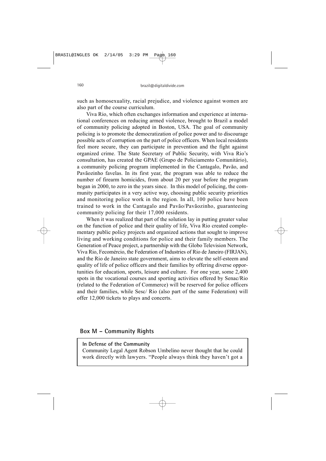such as homosexuality, racial prejudice, and violence against women are also part of the course curriculum.

Viva Rio, which often exchanges information and experience at international conferences on reducing armed violence, brought to Brazil a model of community policing adopted in Boston, USA. The goal of community policing is to promote the democratization of police power and to discourage possible acts of corruption on the part of police officers. When local residents feel more secure, they can participate in prevention and the fight against organized crime. The State Secretary of Public Security, with Viva Rio's consultation, has created the GPAE (Grupo de Policiamento Comunitário), a community policing program implemented in the Cantagalo, Pavão, and Pavãozinho favelas. In its first year, the program was able to reduce the number of firearm homicides, from about 20 per year before the program began in 2000, to zero in the years since. In this model of policing, the community participates in a very active way, choosing public security priorities and monitoring police work in the region. In all, 100 police have been trained to work in the Cantagalo and Pavão/Pavãozinho, guaranteeing community policing for their 17,000 residents.

When it was realized that part of the solution lay in putting greater value on the function of police and their quality of life, Viva Rio created complementary public policy projects and organized actions that sought to improve living and working conditions for police and their family members. The Generation of Peace project, a partnership with the Globo Television Network, Viva Rio, Fecomércio, the Federation of Industries of Rio de Janeiro (FIRJAN), and the Rio de Janeiro state government, aims to elevate the self-esteem and quality of life of police officers and their families by offering diverse opportunities for education, sports, leisure and culture. For one year, some 2,400 spots in the vocational courses and sporting activities offered by Senac/Rio (related to the Federation of Commerce) will be reserved for police officers and their families, while Sesc/ Rio (also part of the same Federation) will offer 12,000 tickets to plays and concerts.

## **Box M – Community Rights**

#### **In Defense of the Community**

Community Legal Agent Robson Umbelino never thought that he could work directly with lawyers. "People always think they haven't got a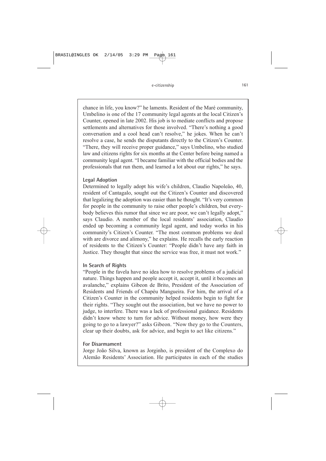chance in life, you know?" he laments. Resident of the Maré community, Umbelino is one of the 17 community legal agents at the local Citizen's Counter, opened in late 2002. His job is to mediate conflicts and propose settlements and alternatives for those involved. "There's nothing a good conversation and a cool head can't resolve," he jokes. When he can't resolve a case, he sends the disputants directly to the Citizen's Counter. "There, they will receive proper guidance," says Umbelino, who studied law and citizens rights for six months at the Center before being named a community legal agent. "I became familiar with the official bodies and the professionals that run them, and learned a lot about our rights," he says.

#### **Legal Adoption**

Determined to legally adopt his wife's children, Claudio Napoleão, 40, resident of Cantagalo, sought out the Citizen's Counter and discovered that legalizing the adoption was easier than he thought. "It's very common for people in the community to raise other people's children, but everybody believes this rumor that since we are poor, we can't legally adopt," says Claudio. A member of the local residents' association, Claudio ended up becoming a community legal agent, and today works in his community's Citizen's Counter. "The most common problems we deal with are divorce and alimony," he explains. He recalls the early reaction of residents to the Citizen's Counter: "People didn't have any faith in Justice. They thought that since the service was free, it must not work."

#### **In Search of Rights**

"People in the favela have no idea how to resolve problems of a judicial nature. Things happen and people accept it, accept it, until it becomes an avalanche," explains Gibeon de Brito, President of the Association of Residents and Friends of Chapéu Mangueira. For him, the arrival of a Citizen's Counter in the community helped residents begin to fight for their rights. "They sought out the association, but we have no power to judge, to interfere. There was a lack of professional guidance. Residents didn't know where to turn for advice. Without money, how were they going to go to a lawyer?" asks Gibeon. "Now they go to the Counters, clear up their doubts, ask for advice, and begin to act like citizens."

#### **For Disarmament**

Jorge João Silva, known as Jorginho, is president of the Complexo do Alemão Residents' Association. He participates in each of the studies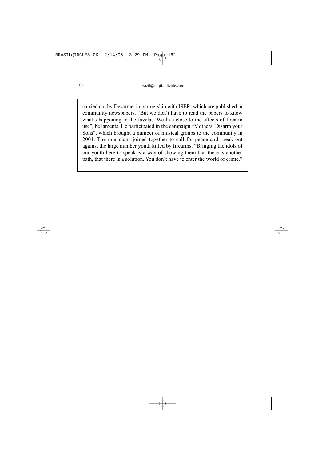carried out by Desarme, in partnership with ISER, which are published in community newspapers. "But we don't have to read the papers to know what's happening in the favelas. We live close to the effects of firearm use", he laments. He participated in the campaign "Mothers, Disarm your Sons", which brought a number of musical groups to the community in 2001. The musicians joined together to call for peace and speak out against the large number youth killed by firearms. "Bringing the idols of our youth here to speak is a way of showing them that there is another path, that there is a solution. You don't have to enter the world of crime."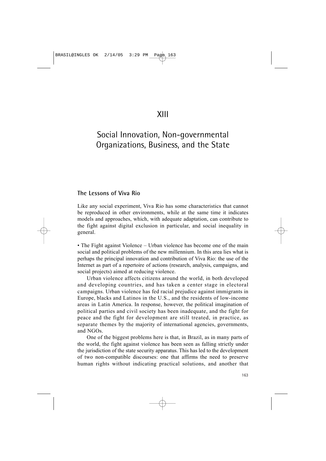# XIII

# Social Innovation, Non-governmental Organizations, Business, and the State

## **The Lessons of Viva Rio**

Like any social experiment, Viva Rio has some characteristics that cannot be reproduced in other environments, while at the same time it indicates models and approaches, which, with adequate adaptation, can contribute to the fight against digital exclusion in particular, and social inequality in general.

• The Fight against Violence – Urban violence has become one of the main social and political problems of the new millennium. In this area lies what is perhaps the principal innovation and contribution of Viva Rio: the use of the Internet as part of a repertoire of actions (research, analysis, campaigns, and social projects) aimed at reducing violence.

Urban violence affects citizens around the world, in both developed and developing countries, and has taken a center stage in electoral campaigns. Urban violence has fed racial prejudice against immigrants in Europe, blacks and Latinos in the U.S., and the residents of low-income areas in Latin America. In response, however, the political imagination of political parties and civil society has been inadequate, and the fight for peace and the fight for development are still treated, in practice, as separate themes by the majority of international agencies, governments, and NGOs.

One of the biggest problems here is that, in Brazil, as in many parts of the world, the fight against violence has been seen as falling strictly under the jurisdiction of the state security apparatus. This has led to the development of two non-compatible discourses: one that affirms the need to preserve human rights without indicating practical solutions, and another that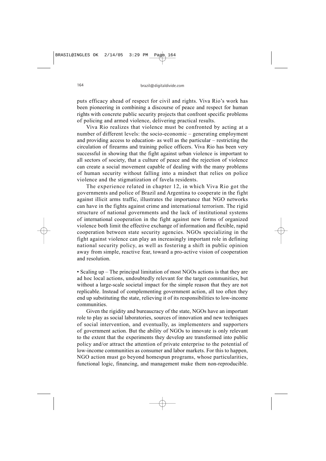puts efficacy ahead of respect for civil and rights. Viva Rio's work has been pioneering in combining a discourse of peace and respect for human rights with concrete public security projects that confront specific problems of policing and armed violence, delivering practical results.

Viva Rio realizes that violence must be confronted by acting at a number of different levels: the socio-economic – generating employment and providing access to education- as well as the particular – restricting the circulation of firearms and training police officers. Viva Rio has been very successful in showing that the fight against urban violence is important to all sectors of society, that a culture of peace and the rejection of violence can create a social movement capable of dealing with the many problems of human security without falling into a mindset that relies on police violence and the stigmatization of favela residents.

The experience related in chapter 12, in which Viva Rio got the governments and police of Brazil and Argentina to cooperate in the fight against illicit arms traffic, illustrates the importance that NGO networks can have in the fights against crime and international terrorism. The rigid structure of national governments and the lack of institutional systems of international cooperation in the fight against new forms of organized violence both limit the effective exchange of information and flexible, rapid cooperation between state security agencies. NGOs specializing in the fight against violence can play an increasingly important role in defining national security policy, as well as fostering a shift in public opinion away from simple, reactive fear, toward a pro-active vision of cooperation and resolution.

• Scaling up – The principal limitation of most NGOs actions is that they are ad hoc local actions, undoubtedly relevant for the target communities, but without a large-scale societal impact for the simple reason that they are not replicable. Instead of complementing government action, all too often they end up substituting the state, relieving it of its responsibilities to low-income communities.

Given the rigidity and bureaucracy of the state, NGOs have an important role to play as social laboratories, sources of innovation and new techniques of social intervention, and eventually, as implementers and supporters of government action. But the ability of NGOs to innovate is only relevant to the extent that the experiments they develop are transformed into public policy and/or attract the attention of private enterprise to the potential of low-income communities as consumer and labor markets. For this to happen, NGO action must go beyond homespun programs, whose particularities, functional logic, financing, and management make them non-reproducible.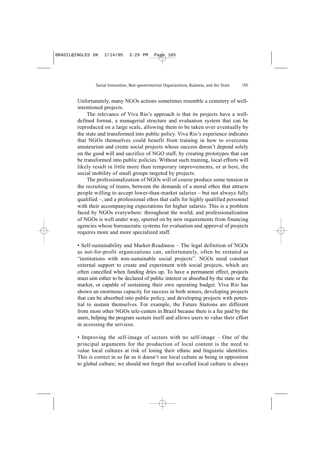Unfortunately, many NGOs actions sometimes resemble a cemetery of wellintentioned projects.

The relevance of Viva Rio's approach is that its projects have a welldefined format, a managerial structure and evaluation system that can be reproduced on a large scale, allowing them to be taken over eventually by the state and transformed into public policy. Viva Rio's experience indicates that NGOs themselves could benefit from training in how to overcome amateurism and create social projects whose success doesn't depend solely on the good will and sacrifice of NGO staff, by creating prototypes that can be transformed into public policies. Without such training, local efforts will likely result in little more than temporary improvements, or at best, the social mobility of small groups targeted by projects.

The professionalization of NGOs will of course produce some tension in the recruiting of teams, between the demands of a moral ethos that attracts people willing to accept lower-than-market salaries – but not always fully qualified –, and a professional ethos that calls for highly qualified personnel with their accompanying expectations for higher salaries. This is a problem faced by NGOs everywhere: throughout the world, and professionalization of NGOs is well under way, spurred on by new requirements from financing agencies whose bureaucratic systems for evaluation and approval of projects requires more and more specialized staff.

• Self-sustainability and Market-Readiness – The legal definition of NGOs as not-for-profit organizations can, unfortunately, often be restated as "institutions with non-sustainable social projects". NGOs need constant external support to create and experiment with social projects, which are often cancelled when funding dries up. To have a permanent effect, projects must aim either to be declared of public interest or absorbed by the state or the market, or capable of sustaining their own operating budget. Viva Rio has shown an enormous capacity for success in both senses, developing projects that can be absorbed into public policy, and developing projects with potential to sustain themselves. For example, the Future Stations are different from most other NGOs tele-centers in Brazil because there is a fee paid by the users, helping the program sustain itself and allows users to value their effort in accessing the services.

• Improving the self-image of sectors with no self-image – One of the principal arguments for the production of local content is the need to value local cultures at risk of losing their ethnic and linguistic identities. This is correct in so far as it doesn't see local culture as being in opposition to global culture; we should not forget that so-called local culture is always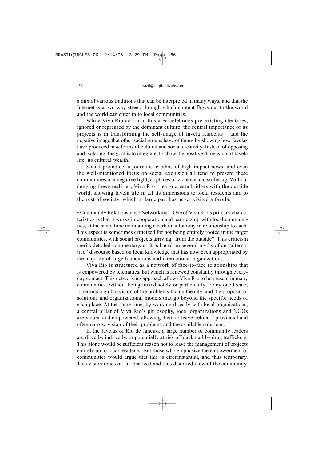a mix of various traditions that can be interpreted in many ways, and that the Internet is a two-way street, through which content flows out to the world and the world can enter in to local communities.

While Viva Rio action in this area celebrates pre-existing identities, ignored or repressed by the dominant culture, the central importance of its projects is in transforming the self-image of favela residents – and the negative image that other social groups have of them- by showing how favelas have produced new forms of cultural and social creativity. Instead of opposing and isolating, the goal is to integrate, to show the positive dimension of favela life, its cultural wealth.

Social prejudice, a journalistic ethos of high-impact news, and even the well-intentioned focus on social exclusion all tend to present these communities in a negative light, as places of violence and suffering. Without denying these realities, Viva Rio tries to create bridges with the outside world, showing favela life in all its dimensions to local residents and to the rest of society, which in large part has never visited a favela.

• Community Relationships / Networking – One of Viva Rio's primary characteristics is that it works in cooperation and partnership with local communities, at the same time maintaining a certain autonomy in relationship to each. This aspect is sometimes criticized for not being entirely rooted in the target communities, with social projects arriving "from the outside". This criticism merits detailed commentary, as it is based on several myths of an "alternative" discourse based on local knowledge that has now been appropriated by the majority of large foundations and international organizations.

Viva Rio is structured as a network of face-to-face relationships that is empowered by telematics, but which is renewed constantly through everyday contact. This networking approach allows Viva Rio to be present in many communities, without being linked solely or particularly to any one locale; it permits a global vision of the problems facing the city, and the proposal of solutions and organizational models that go beyond the specific needs of each place. At the same time, by working directly with local organizations, a central pillar of Viva Rio's philosophy, local organizations and NGOs are valued and empowered, allowing them to leave behind a provincial and often narrow vision of their problems and the available solutions.

In the favelas of Rio de Janeiro, a large number of community leaders are directly, indirectly, or potentially at risk of blackmail by drug traffickers. This alone would be sufficient reason not to leave the management of projects entirely up to local residents. But those who emphasize the empowerment of communities would argue that this is circumstantial, and thus temporary. This vision relies on an idealized and thus distorted view of the community.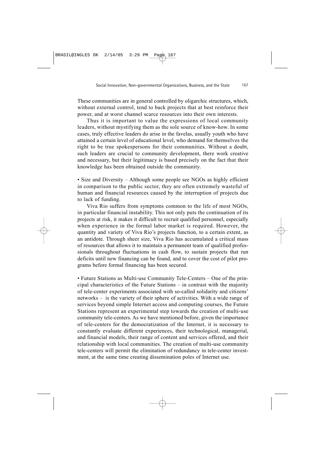These communities are in general controlled by oligarchic structures, which, without external control, tend to back projects that at best reinforce their power, and at worst channel scarce resources into their own interests.

Thus it is important to value the expressions of local community leaders, without mystifying them as the sole source of know-how. In some cases, truly effective leaders do arise in the favelas, usually youth who have attained a certain level of educational level, who demand for themselves the right to be true spokespersons for their communities. Without a doubt, such leaders are crucial to community development, there work creative and necessary, but their legitimacy is based precisely on the fact that their knowledge has been obtained outside the community.

• Size and Diversity – Although some people see NGOs as highly efficient in comparison to the public sector, they are often extremely wasteful of human and financial resources caused by the interruption of projects due to lack of funding.

Viva Rio suffers from symptoms common to the life of most NGOs, in particular financial instability. This not only puts the continuation of its projects at risk, it makes it difficult to recruit qualified personnel, especially when experience in the formal labor market is required. However, the quantity and variety of Viva Rio's projects function, to a certain extent, as an antidote. Through sheer size, Viva Rio has accumulated a critical mass of resources that allows it to maintain a permanent team of qualified professionals throughout fluctuations in cash flow, to sustain projects that run deficits until new financing can be found, and to cover the cost of pilot programs before formal financing has been secured.

• Future Stations as Multi-use Community Tele-Centers – One of the principal characteristics of the Future Stations – in contrast with the majority of tele-center experiments associated with so-called solidarity and citizens' networks – is the variety of their sphere of activities. With a wide range of services beyond simple Internet access and computing courses, the Future Stations represent an experimental step towards the creation of multi-use community tele-centers. As we have mentioned before, given the importance of tele-centers for the democratization of the Internet, it is necessary to constantly evaluate different experiences, their technological, managerial, and financial models, their range of content and services offered, and their relationship with local communities. The creation of multi-use community tele-centers will permit the elimination of redundancy in tele-center investment, at the same time creating dissemination poles of Internet use.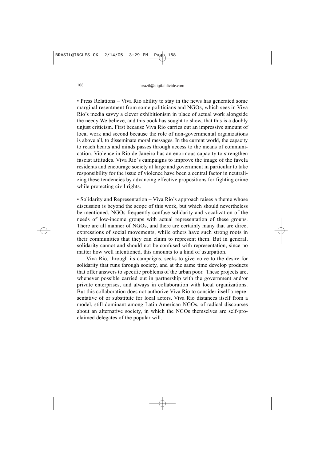• Press Relations – Viva Rio ability to stay in the news has generated some marginal resentment from some politicians and NGOs, which sees in Viva Rio's media savvy a clever exhibitionism in place of actual work alongside the needy We believe, and this book has sought to show, that this is a doubly unjust criticism. First because Viva Rio carries out an impressive amount of local work and second because the role of non-governmental organizations is above all, to disseminate moral messages. In the current world, the capacity to reach hearts and minds passes through access to the means of communication. Violence in Rio de Janeiro has an enormous capacity to strengthen fascist attitudes. Viva Rio´s campaigns to improve the image of the favela residents and encourage society at large and government in particular to take responsibility for the issue of violence have been a central factor in neutralizing these tendencies by advancing effective propositions for fighting crime while protecting civil rights.

• Solidarity and Representation – Viva Rio's approach raises a theme whose discussion is beyond the scope of this work, but which should nevertheless be mentioned. NGOs frequently confuse solidarity and vocalization of the needs of low-income groups with actual representation of these groups. There are all manner of NGOs, and there are certainly many that are direct expressions of social movements, while others have such strong roots in their communities that they can claim to represent them. But in general, solidarity cannot and should not be confused with representation, since no matter how well intentioned, this amounts to a kind of usurpation.

Viva Rio, through its campaigns, seeks to give voice to the desire for solidarity that runs through society, and at the same time develop products that offer answers to specific problems of the urban poor. These projects are, whenever possible carried out in partnership with the government and/or private enterprises, and always in collaboration with local organizations. But this collaboration does not authorize Viva Rio to consider itself a representative of or substitute for local actors. Viva Rio distances itself from a model, still dominant among Latin American NGOs, of radical discourses about an alternative society, in which the NGOs themselves are self-proclaimed delegates of the popular will.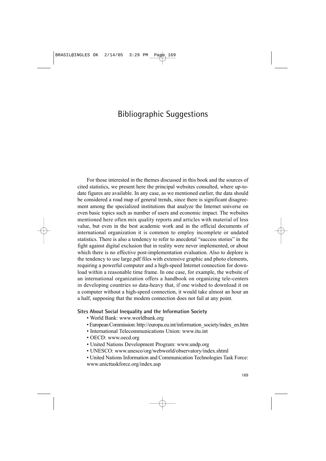# Bibliographic Suggestions

For those interested in the themes discussed in this book and the sources of cited statistics, we present here the principal websites consulted, where up-todate figures are available. In any case, as we mentioned earlier, the data should be considered a road map of general trends, since there is significant disagreement among the specialized institutions that analyze the Internet universe on even basic topics such as number of users and economic impact. The websites mentioned here often mix quality reports and articles with material of less value, but even in the best academic work and in the official documents of international organization it is common to employ incomplete or undated statistics. There is also a tendency to refer to anecdotal "success stories" in the fight against digital exclusion that in reality were never implemented, or about which there is no effective post-implementation evaluation. Also to deplore is the tendency to use large.pdf files with extensive graphic and photo elements, requiring a powerful computer and a high-speed Internet connection for download within a reasonable time frame. In one case, for example, the website of an international organization offers a handbook on organizing tele-centers in developing countries so data-heavy that, if one wished to download it on a computer without a high-speed connection, it would take almost an hour an a half, supposing that the modem connection does not fail at any point.

#### **Sites About Social Inequality and the Information Society**

- World Bank: www.worldbank.org
- European Commission: [http://europa.eu.int/information\\_society/index\\_en.htm](http://europa.eu.int/information_society/index_en.htm)
- International Telecommunications Union: www.itu.int
- OECD: www.oecd.org
- United Nations Development Program: www.undp.org
- UNESCO: www.unesco/org/webworld/observatory/index.shtml
- United Nations Information and Communication Technologies Task Force: www.unicttaskforce.org/index.asp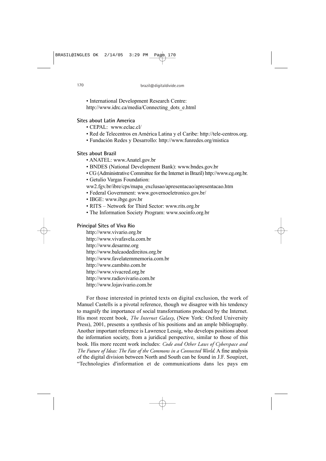• International Development Research Centre:

[http://www.idrc.ca/media/Connecting\\_dots\\_e.html](http://www.idrc.ca/media/Connecting_dots_e.html)

#### **Sites about Latin America**

- CEPAL: www.eclac.cl/
- Red de Telecentros en América Latina y el Caribe: [http://tele-centros.org.](http://tele-centros.org)
- Fundación Redes y Desarrollo:<http://www.funredes.org/mistica>

#### **Sites about Brazil**

- ANATEL: www.Anatel.gov.br
- BNDES (National Development Bank): www.bndes.gov.br
- CG (Administrative Committee for the Internet in Brazil) [http://www.cg.org.br.](http://www.cg.org.br)
- Getulio Vargas Foundation:
- ww2.fgv.br/ibre/cps/mapa\_exclusao/apresentacao/apresentacao.htm
- Federal Government: www.governoeletronico.gov.br/
- IBGE: www.ibge.gov.br
- RITS Network for Third Sector: www.rits.org.br
- The Information Society Program: www.socinfo.org.br

## **Principal Sites of Viva Rio**

<http://www.vivario.org.br> <http://www.vivafavela.com.br> <http://www.desarme.org> <http://www.balcaodedireitos.org.br> <http://www.favelatemmemoria.com.br> <http://www.cambito.com.br> <http://www.vivacred.org.br> <http://www.radiovivario.com.br> <http://www.lojavivario.com.br>

For those interested in printed texts on digital exclusion, the work of Manuel Castells is a pivotal reference, though we disagree with his tendency to magnify the importance of social transformations produced by the Internet. His most recent book, *The Internet Galaxy*, (New York: Oxford University Press), 2001, presents a synthesis of his positions and an ample bibliography. Another important reference is Lawrence Lessig, who develops positions about the information society, from a juridical perspective, similar to those of this book. His more recent work includes: *Code and Other Laws of Cyberspace and The Future of Ideas: The Fate of the Commons in a Connected World*. A fine analysis of the digital division between North and South can be found in J.F. Soupizet, "Technologies d'information et de communications dans les pays em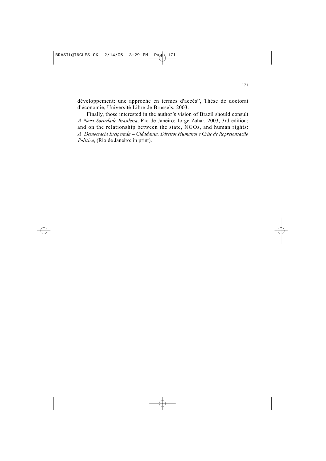développement: une approche en termes d'accès", Thèse de doctorat d'économie, Université Libre de Brussels, 2003.

Finally, those interested in the author's vision of Brazil should consult *A Nova Sociedade Brasileira*, Rio de Janeiro: Jorge Zahar, 2003, 3rd edition; and on the relationship between the state, NGOs, and human rights: *A Democracia Inesperada – Cidadania, Direitos Humanos e Crise de Representacão Política*, (Rio de Janeiro: in print).